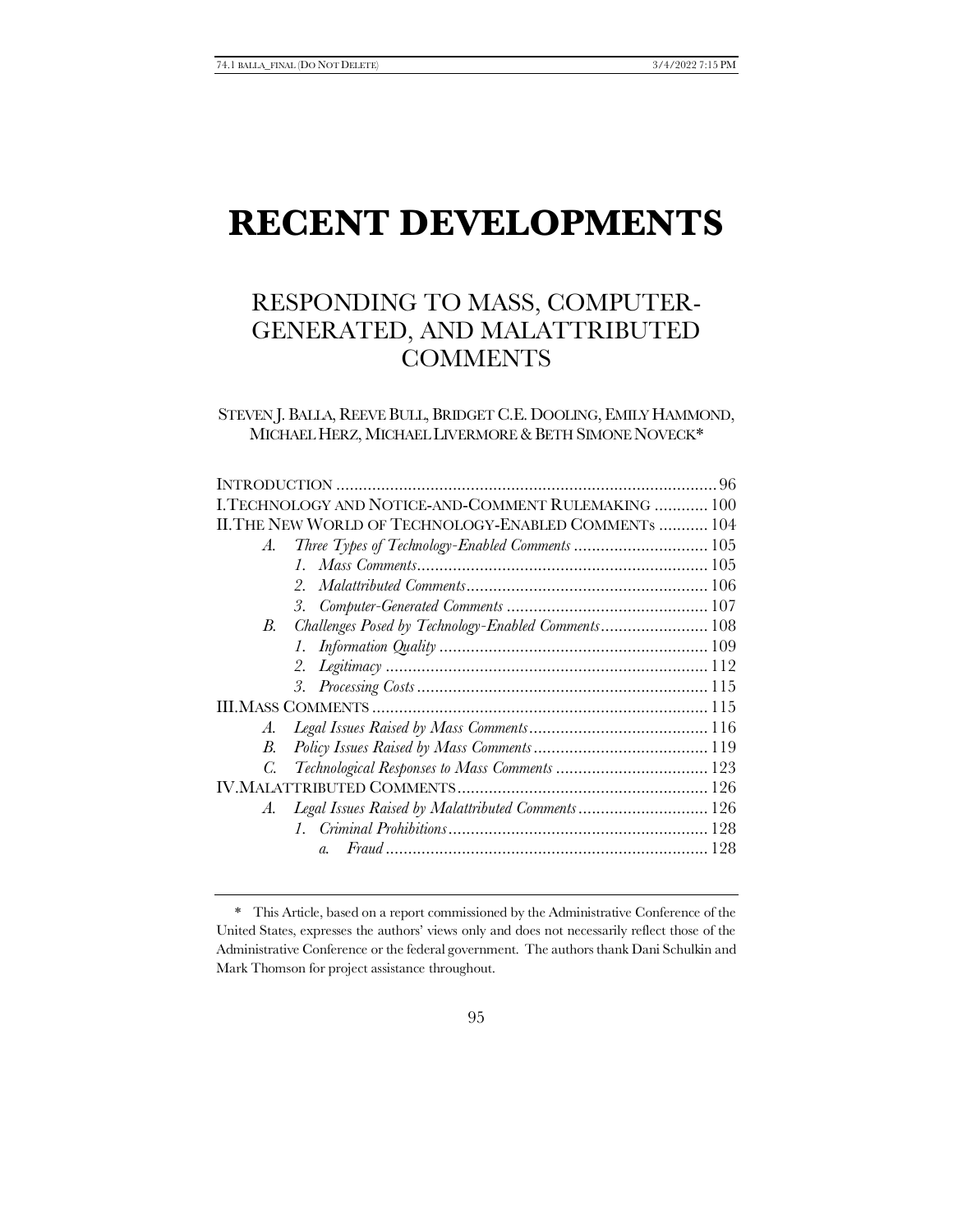# **RECENT DEVELOPMENTS**

# RESPONDING TO MASS, COMPUTER-GENERATED, AND MALATTRIBUTED **COMMENTS**

# STEVEN J. BALLA, REEVE BULL, BRIDGET C.E. DOOLING, EMILY HAMMOND, MICHAEL HERZ, MICHAEL LIVERMORE & BETH SIMONE NOVECK\*

|                                                       | I.TECHNOLOGY AND NOTICE-AND-COMMENT RULEMAKING  100 |  |
|-------------------------------------------------------|-----------------------------------------------------|--|
| II. THE NEW WORLD OF TECHNOLOGY-ENABLED COMMENTS  104 |                                                     |  |
| A.                                                    |                                                     |  |
|                                                       |                                                     |  |
|                                                       | $2_{1}$                                             |  |
|                                                       |                                                     |  |
| В.                                                    | Challenges Posed by Technology-Enabled Comments 108 |  |
|                                                       |                                                     |  |
|                                                       |                                                     |  |
|                                                       |                                                     |  |
|                                                       |                                                     |  |
| A.                                                    |                                                     |  |
| В.                                                    |                                                     |  |
| C.                                                    |                                                     |  |
|                                                       |                                                     |  |
| A.                                                    | Legal Issues Raised by Malattributed Comments 126   |  |
|                                                       |                                                     |  |
|                                                       | $\overline{a}$                                      |  |
|                                                       |                                                     |  |

<sup>\*</sup> This Article, based on a report commissioned by the Administrative Conference of the United States, expresses the authors' views only and does not necessarily reflect those of the Administrative Conference or the federal government. The authors thank Dani Schulkin and Mark Thomson for project assistance throughout.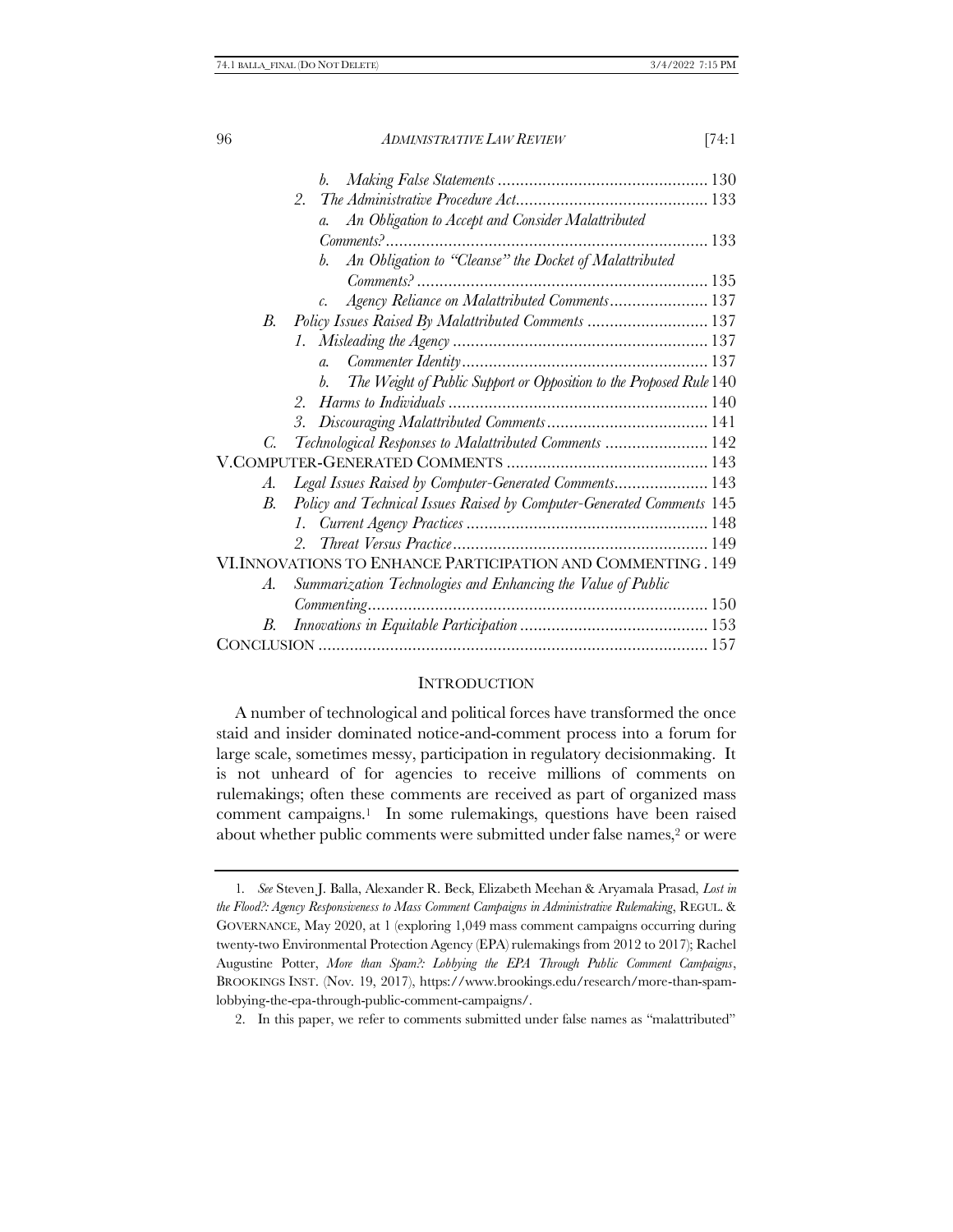|            | 2.                                                                        |  |
|------------|---------------------------------------------------------------------------|--|
|            | An Obligation to Accept and Consider Malattributed<br>$\mathfrak{a}$ .    |  |
|            |                                                                           |  |
|            | An Obligation to "Cleanse" the Docket of Malattributed<br>b.              |  |
|            |                                                                           |  |
|            | Agency Reliance on Malattributed Comments 137<br>$\mathcal{C}$ .          |  |
| <i>B</i> . | Policy Issues Raised By Malattributed Comments  137                       |  |
|            |                                                                           |  |
|            | $\overline{a}$ .                                                          |  |
|            | The Weight of Public Support or Opposition to the Proposed Rule 140<br>b. |  |
|            | $2^{+}$                                                                   |  |
|            | 3.                                                                        |  |
| C.         | Technological Responses to Malattributed Comments  142                    |  |
|            |                                                                           |  |
| А.         | Legal Issues Raised by Computer-Generated Comments 143                    |  |
| B.         | Policy and Technical Issues Raised by Computer-Generated Comments 145     |  |
|            | $l_{\rm{c}}$                                                              |  |
|            | $2^{\circ}$                                                               |  |
|            | VI. INNOVATIONS TO ENHANCE PARTICIPATION AND COMMENTING . 149             |  |
| A.         | Summarization Technologies and Enhancing the Value of Public              |  |
|            |                                                                           |  |
| В.         |                                                                           |  |
|            |                                                                           |  |

#### <span id="page-1-0"></span>**INTRODUCTION**

A number of technological and political forces have transformed the once staid and insider dominated notice-and-comment process into a forum for large scale, sometimes messy, participation in regulatory decisionmaking. It is not unheard of for agencies to receive millions of comments on rulemakings; often these comments are received as part of organized mass comment campaigns.1 In some rulemakings, questions have been raised about whether public comments were submitted under false names,<sup>2</sup> or were

<sup>1</sup>*. See* Steven J. Balla, Alexander R. Beck, Elizabeth Meehan & Aryamala Prasad, *Lost in the Flood?: Agency Responsiveness to Mass Comment Campaigns in Administrative Rulemaking*, REGUL. & GOVERNANCE, May 2020, at 1 (exploring 1,049 mass comment campaigns occurring during twenty-two Environmental Protection Agency (EPA) rulemakings from 2012 to 2017); Rachel Augustine Potter, *More than Spam?: Lobbying the EPA Through Public Comment Campaigns*, BROOKINGS INST. (Nov. 19, 2017), https://www.brookings.edu/research/more-than-spamlobbying-the-epa-through-public-comment-campaigns/.

<sup>2.</sup> In this paper, we refer to comments submitted under false names as "malattributed"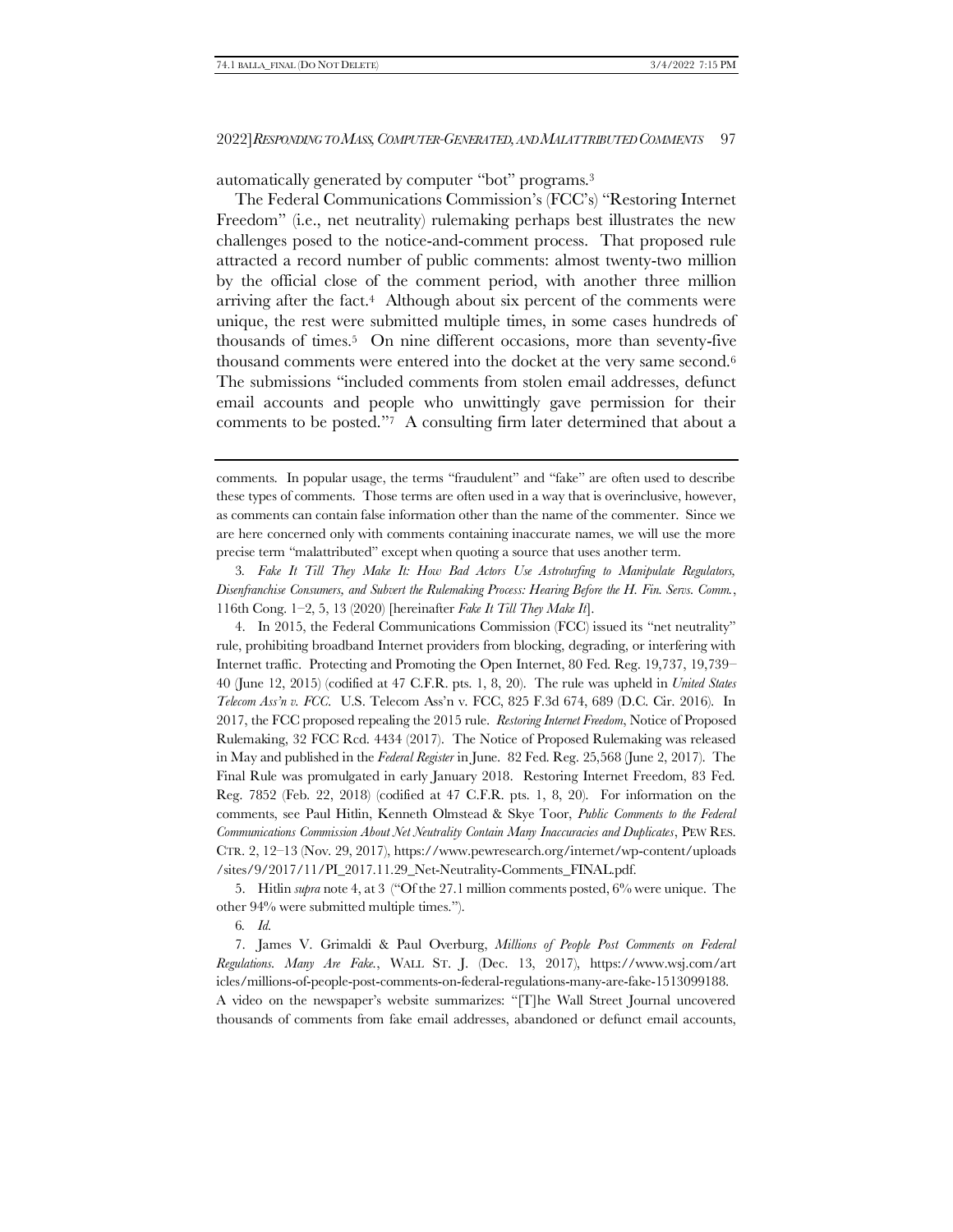<span id="page-2-1"></span>automatically generated by computer "bot" programs.<sup>3</sup>

<span id="page-2-2"></span><span id="page-2-0"></span>The Federal Communications Commission's (FCC's) "Restoring Internet Freedom" (i.e., net neutrality) rulemaking perhaps best illustrates the new challenges posed to the notice-and-comment process. That proposed rule attracted a record number of public comments: almost twenty-two million by the official close of the comment period, with another three million arriving after the fact.<sup>4</sup> Although about six percent of the comments were unique, the rest were submitted multiple times, in some cases hundreds of thousands of times.5 On nine different occasions, more than seventy-five thousand comments were entered into the docket at the very same second.<sup>6</sup> The submissions "included comments from stolen email addresses, defunct email accounts and people who unwittingly gave permission for their comments to be posted."7 A consulting firm later determined that about a

3*. Fake It Till They Make It: How Bad Actors Use Astroturfing to Manipulate Regulators, Disenfranchise Consumers, and Subvert the Rulemaking Process: Hearing Before the H. Fin. Servs. Comm.*, 116th Cong. 1–2, 5, 13 (2020) [hereinafter *Fake It Till They Make It*].

4. In 2015, the Federal Communications Commission (FCC) issued its "net neutrality" rule, prohibiting broadband Internet providers from blocking, degrading, or interfering with Internet traffic. Protecting and Promoting the Open Internet, 80 Fed. Reg. 19,737, 19,739– 40 (June 12, 2015) (codified at 47 C.F.R. pts. 1, 8, 20). The rule was upheld in *United States Telecom Ass'n v. FCC*. U.S. Telecom Ass'n v. FCC, 825 F.3d 674, 689 (D.C. Cir. 2016). In 2017, the FCC proposed repealing the 2015 rule. *Restoring Internet Freedom*, Notice of Proposed Rulemaking, 32 FCC Rcd. 4434 (2017). The Notice of Proposed Rulemaking was released in May and published in the *Federal Register* in June. 82 Fed. Reg. 25,568 (June 2, 2017). The Final Rule was promulgated in early January 2018. Restoring Internet Freedom, 83 Fed. Reg. 7852 (Feb. 22, 2018) (codified at 47 C.F.R. pts. 1, 8, 20). For information on the comments, see Paul Hitlin, Kenneth Olmstead & Skye Toor, *Public Comments to the Federal Communications Commission About Net Neutrality Contain Many Inaccuracies and Duplicates*, PEW RES. CTR. 2, 12–13 (Nov. 29, 2017), https://www.pewresearch.org/internet/wp-content/uploads /sites/9/2017/11/PI\_2017.11.29\_Net-Neutrality-Comments\_FINAL.pdf.

5. Hitlin *supra* not[e 4,](#page-2-0) at 3 ("Of the 27.1 million comments posted, 6% were unique. The other 94% were submitted multiple times.").

6*. Id.* 

7. James V. Grimaldi & Paul Overburg, *Millions of People Post Comments on Federal Regulations. Many Are Fake.*, WALL ST. J. (Dec. 13, 2017), https://www.wsj.com/art icles/millions-of-people-post-comments-on-federal-regulations-many-are-fake-1513099188. A video on the newspaper's website summarizes: "[T]he Wall Street Journal uncovered thousands of comments from fake email addresses, abandoned or defunct email accounts,

<span id="page-2-3"></span>comments. In popular usage, the terms "fraudulent" and "fake" are often used to describe these types of comments. Those terms are often used in a way that is overinclusive, however, as comments can contain false information other than the name of the commenter. Since we are here concerned only with comments containing inaccurate names, we will use the more precise term "malattributed" except when quoting a source that uses another term.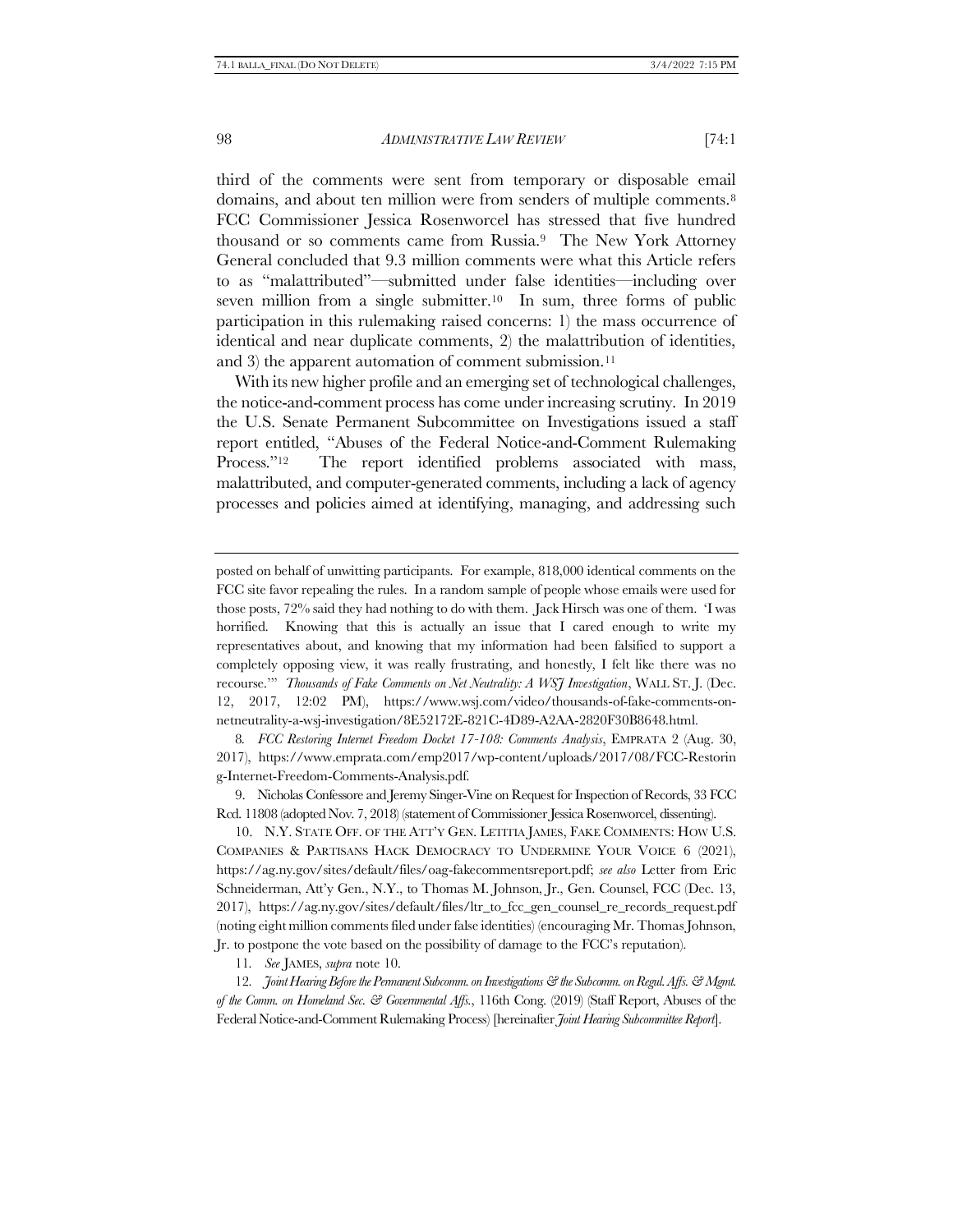third of the comments were sent from temporary or disposable email domains, and about ten million were from senders of multiple comments.<sup>8</sup> FCC Commissioner Jessica Rosenworcel has stressed that five hundred thousand or so comments came from Russia.9 The New York Attorney General concluded that 9.3 million comments were what this Article refers to as "malattributed"—submitted under false identities—including over seven million from a single submitter.<sup>10</sup> In sum, three forms of public participation in this rulemaking raised concerns: 1) the mass occurrence of identical and near duplicate comments, 2) the malattribution of identities, and 3) the apparent automation of comment submission.<sup>11</sup>

<span id="page-3-1"></span><span id="page-3-0"></span>With its new higher profile and an emerging set of technological challenges, the notice-and-comment process has come under increasing scrutiny. In 2019 the U.S. Senate Permanent Subcommittee on Investigations issued a staff report entitled, "Abuses of the Federal Notice-and-Comment Rulemaking Process."<sup>12</sup> The report identified problems associated with mass, malattributed, and computer-generated comments, including a lack of agency processes and policies aimed at identifying, managing, and addressing such

8*. FCC Restoring Internet Freedom Docket 17-108: Comments Analysis*, EMPRATA 2 (Aug. 30, 2017), https://www.emprata.com/emp2017/wp-content/uploads/2017/08/FCC-Restorin g-Internet-Freedom-Comments-Analysis.pdf.

9. Nicholas Confessore and Jeremy Singer-Vine on Request for Inspection of Records, 33 FCC Rcd. 11808 (adopted Nov. 7, 2018) (statement of Commissioner Jessica Rosenworcel, dissenting).

10. N.Y. STATE OFF. OF THE ATT'Y GEN. LETITIA JAMES, FAKE COMMENTS: HOW U.S. COMPANIES & PARTISANS HACK DEMOCRACY TO UNDERMINE YOUR VOICE 6 (2021), https://ag.ny.gov/sites/default/files/oag-fakecommentsreport.pdf; *see also* Letter from Eric Schneiderman, Att'y Gen., N.Y., to Thomas M. Johnson, Jr., Gen. Counsel, FCC (Dec. 13, 2017), https://ag.ny.gov/sites/default/files/ltr\_to\_fcc\_gen\_counsel\_re\_records\_request.pdf (noting eight million comments filed under false identities) (encouraging Mr. Thomas Johnson, Jr. to postpone the vote based on the possibility of damage to the FCC's reputation).

11*. See* JAMES, *supra* not[e 10.](#page-3-0) 

12*. Joint Hearing Before the Permanent Subcomm. on Investigations & the Subcomm. on Regul. Affs. & Mgmt. of the Comm. on Homeland Sec. & Governmental Affs.*, 116th Cong. (2019) (Staff Report, Abuses of the Federal Notice-and-Comment Rulemaking Process) [hereinafter *Joint Hearing Subcommittee Report*].

posted on behalf of unwitting participants. For example, 818,000 identical comments on the FCC site favor repealing the rules. In a random sample of people whose emails were used for those posts, 72% said they had nothing to do with them. Jack Hirsch was one of them. 'I was horrified. Knowing that this is actually an issue that I cared enough to write my representatives about, and knowing that my information had been falsified to support a completely opposing view, it was really frustrating, and honestly, I felt like there was no recourse.'" *Thousands of Fake Comments on Net Neutrality: A WSJ Investigation*, WALL ST. J. (Dec. 12, 2017, 12:02 PM), https://www.wsj.com/video/thousands-of-fake-comments-onnetneutrality-a-wsj-investigation/8E52172E-821C-4D89-A2AA-2820F30B8648.html.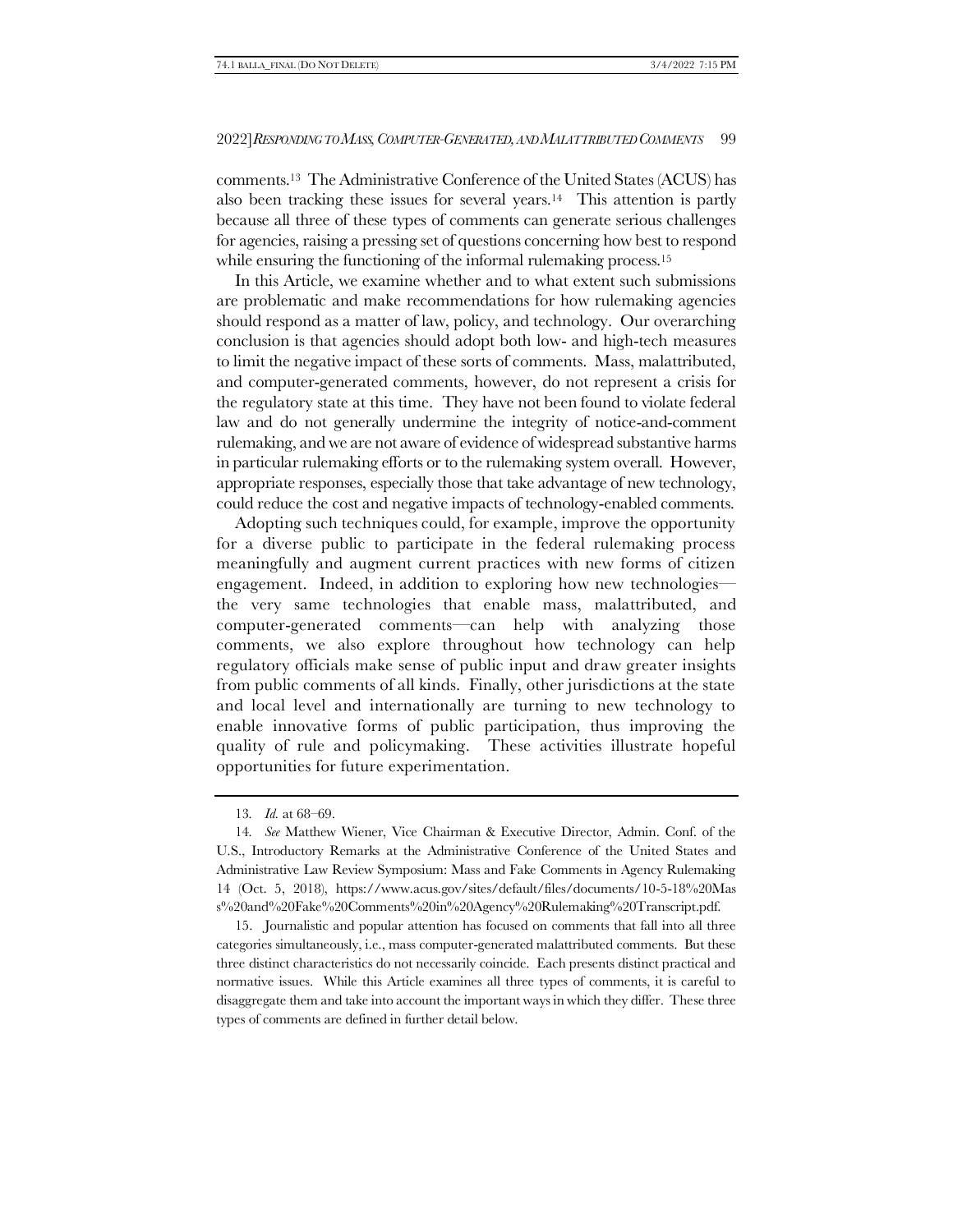comments.13 The Administrative Conference of the United States (ACUS) has also been tracking these issues for several years.14 This attention is partly because all three of these types of comments can generate serious challenges for agencies, raising a pressing set of questions concerning how best to respond while ensuring the functioning of the informal rulemaking process.<sup>15</sup>

In this Article, we examine whether and to what extent such submissions are problematic and make recommendations for how rulemaking agencies should respond as a matter of law, policy, and technology. Our overarching conclusion is that agencies should adopt both low- and high-tech measures to limit the negative impact of these sorts of comments. Mass, malattributed, and computer-generated comments, however, do not represent a crisis for the regulatory state at this time. They have not been found to violate federal law and do not generally undermine the integrity of notice-and-comment rulemaking, and we are not aware of evidence of widespread substantive harms in particular rulemaking efforts or to the rulemaking system overall. However, appropriate responses, especially those that take advantage of new technology, could reduce the cost and negative impacts of technology-enabled comments.

Adopting such techniques could, for example, improve the opportunity for a diverse public to participate in the federal rulemaking process meaningfully and augment current practices with new forms of citizen engagement. Indeed, in addition to exploring how new technologies the very same technologies that enable mass, malattributed, and computer-generated comments—can help with analyzing those comments, we also explore throughout how technology can help regulatory officials make sense of public input and draw greater insights from public comments of all kinds. Finally, other jurisdictions at the state and local level and internationally are turning to new technology to enable innovative forms of public participation, thus improving the quality of rule and policymaking. These activities illustrate hopeful opportunities for future experimentation.

15. Journalistic and popular attention has focused on comments that fall into all three categories simultaneously, i.e., mass computer-generated malattributed comments. But these three distinct characteristics do not necessarily coincide. Each presents distinct practical and normative issues. While this Article examines all three types of comments, it is careful to disaggregate them and take into account the important ways in which they differ. These three types of comments are defined in further detail below.

<sup>13</sup>*. Id.* at 68–69.

<sup>14</sup>*. See* Matthew Wiener, Vice Chairman & Executive Director, Admin. Conf. of the U.S., Introductory Remarks at the Administrative Conference of the United States and Administrative Law Review Symposium: Mass and Fake Comments in Agency Rulemaking 14 (Oct. 5, 2018), https://www.acus.gov/sites/default/files/documents/10-5-18%20Mas s%20and%20Fake%20Comments%20in%20Agency%20Rulemaking%20Transcript.pdf.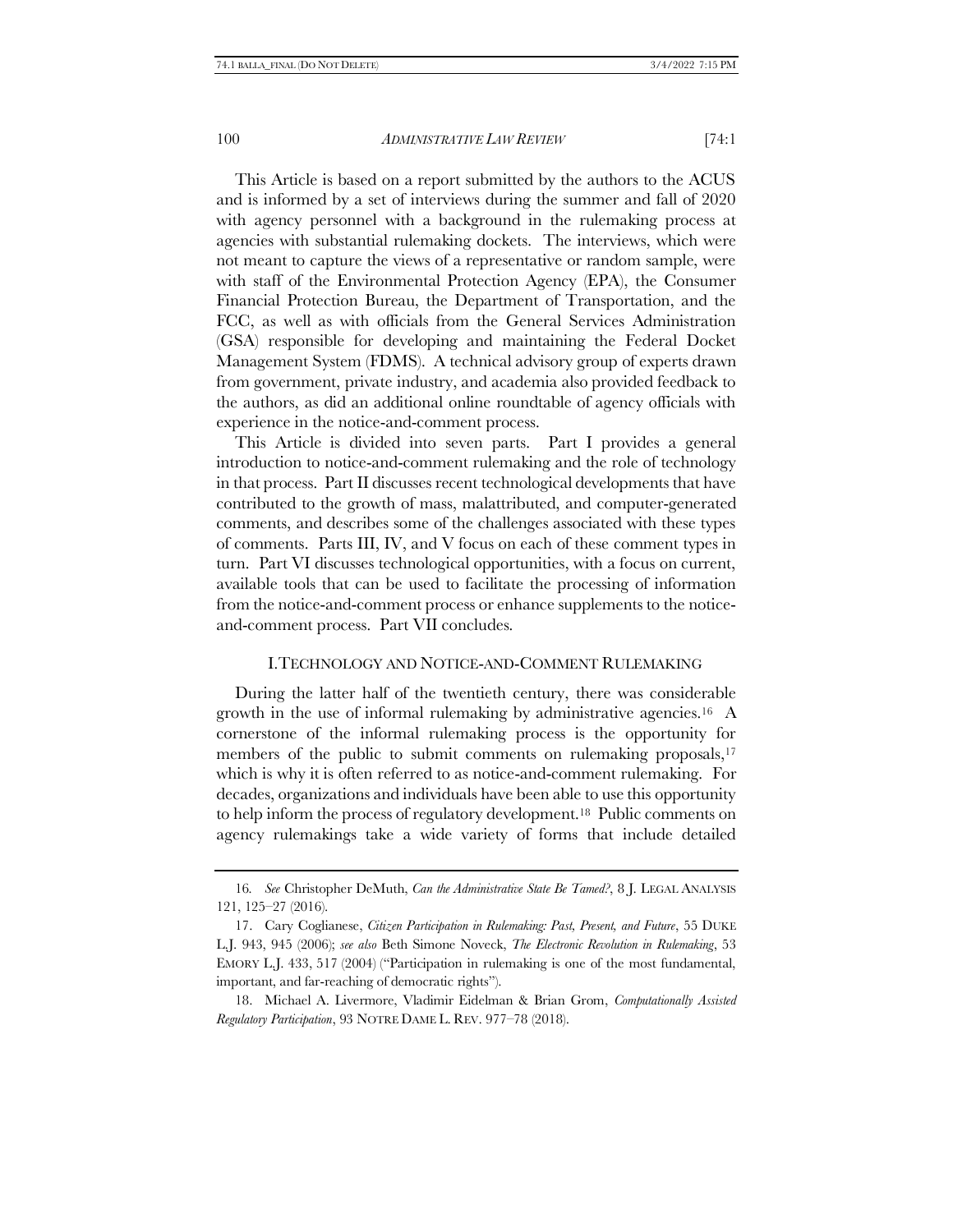This Article is based on a report submitted by the authors to the ACUS and is informed by a set of interviews during the summer and fall of 2020 with agency personnel with a background in the rulemaking process at agencies with substantial rulemaking dockets. The interviews, which were not meant to capture the views of a representative or random sample, were with staff of the Environmental Protection Agency (EPA), the Consumer Financial Protection Bureau, the Department of Transportation, and the FCC, as well as with officials from the General Services Administration (GSA) responsible for developing and maintaining the Federal Docket Management System (FDMS). A technical advisory group of experts drawn from government, private industry, and academia also provided feedback to the authors, as did an additional online roundtable of agency officials with experience in the notice-and-comment process.

This Article is divided into seven parts. Part I provides a general introduction to notice-and-comment rulemaking and the role of technology in that process. Part II discusses recent technological developments that have contributed to the growth of mass, malattributed, and computer-generated comments, and describes some of the challenges associated with these types of comments. Parts III, IV, and V focus on each of these comment types in turn. Part VI discusses technological opportunities, with a focus on current, available tools that can be used to facilitate the processing of information from the notice-and-comment process or enhance supplements to the noticeand-comment process. Part VII concludes.

# <span id="page-5-1"></span><span id="page-5-0"></span>I.TECHNOLOGY AND NOTICE-AND-COMMENT RULEMAKING

During the latter half of the twentieth century, there was considerable growth in the use of informal rulemaking by administrative agencies.16 A cornerstone of the informal rulemaking process is the opportunity for members of the public to submit comments on rulemaking proposals,<sup>17</sup> which is why it is often referred to as notice-and-comment rulemaking. For decades, organizations and individuals have been able to use this opportunity to help inform the process of regulatory development.18 Public comments on agency rulemakings take a wide variety of forms that include detailed

<sup>16</sup>*. See* Christopher DeMuth, *Can the Administrative State Be Tamed?*, 8 J. LEGAL ANALYSIS 121, 125–27 (2016).

<sup>17.</sup> Cary Coglianese, *Citizen Participation in Rulemaking: Past, Present, and Future*, 55 DUKE L.J. 943, 945 (2006); *see also* Beth Simone Noveck, *The Electronic Revolution in Rulemaking*, 53 EMORY L.J. 433, 517 (2004) ("Participation in rulemaking is one of the most fundamental, important, and far-reaching of democratic rights").

<sup>18.</sup> Michael A. Livermore, Vladimir Eidelman & Brian Grom, *Computationally Assisted Regulatory Participation*, 93 NOTRE DAME L. REV. 977–78 (2018).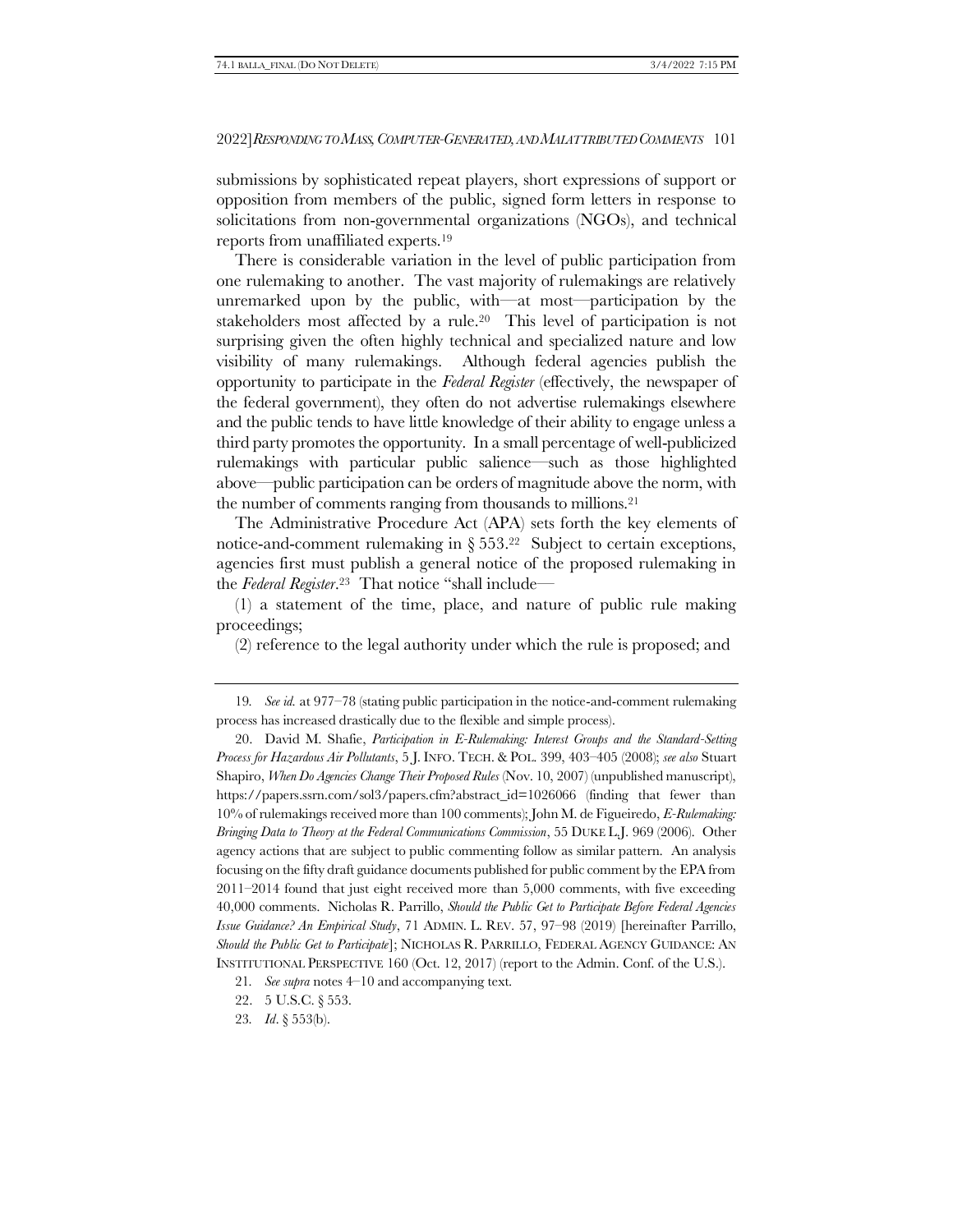submissions by sophisticated repeat players, short expressions of support or opposition from members of the public, signed form letters in response to solicitations from non-governmental organizations (NGOs), and technical reports from unaffiliated experts.<sup>19</sup>

<span id="page-6-0"></span>There is considerable variation in the level of public participation from one rulemaking to another. The vast majority of rulemakings are relatively unremarked upon by the public, with—at most—participation by the stakeholders most affected by a rule.20 This level of participation is not surprising given the often highly technical and specialized nature and low visibility of many rulemakings. Although federal agencies publish the opportunity to participate in the *Federal Register* (effectively, the newspaper of the federal government), they often do not advertise rulemakings elsewhere and the public tends to have little knowledge of their ability to engage unless a third party promotes the opportunity. In a small percentage of well-publicized rulemakings with particular public salience—such as those highlighted above—public participation can be orders of magnitude above the norm, with the number of comments ranging from thousands to millions.<sup>21</sup>

The Administrative Procedure Act (APA) sets forth the key elements of notice-and-comment rulemaking in  $\S 553<sup>22</sup>$  Subject to certain exceptions, agencies first must publish a general notice of the proposed rulemaking in the *Federal Register*. <sup>23</sup> That notice "shall include—

(1) a statement of the time, place, and nature of public rule making proceedings;

(2) reference to the legal authority under which the rule is proposed; and

<sup>19</sup>*. See id.* at 977–78 (stating public participation in the notice-and-comment rulemaking process has increased drastically due to the flexible and simple process).

<sup>20.</sup> David M. Shafie, *Participation in E-Rulemaking: Interest Groups and the Standard-Setting Process for Hazardous Air Pollutants*, 5 J. INFO. TECH. & POL. 399, 403–405 (2008); *see also* Stuart Shapiro, *When Do Agencies Change Their Proposed Rules* (Nov. 10, 2007) (unpublished manuscript), https://papers.ssrn.com/sol3/papers.cfm?abstract\_id=1026066 (finding that fewer than 10% of rulemakings received more than 100 comments); John M. de Figueiredo, *E-Rulemaking: Bringing Data to Theory at the Federal Communications Commission*, 55 DUKE L.J. 969 (2006). Other agency actions that are subject to public commenting follow as similar pattern. An analysis focusing on the fifty draft guidance documents published for public comment by the EPA from 2011–2014 found that just eight received more than 5,000 comments, with five exceeding 40,000 comments. Nicholas R. Parrillo, *Should the Public Get to Participate Before Federal Agencies Issue Guidance? An Empirical Study*, 71 ADMIN. L. REV. 57, 97–98 (2019) [hereinafter Parrillo, *Should the Public Get to Participate*]; NICHOLAS R. PARRILLO, FEDERAL AGENCY GUIDANCE: AN INSTITUTIONAL PERSPECTIVE 160 (Oct. 12, 2017) (report to the Admin. Conf. of the U.S.).

<sup>21</sup>*. See supra* note[s 4](#page-2-0)–[10](#page-3-0) and accompanying text.

<sup>22.</sup> 5 U.S.C. § 553.

<sup>23</sup>*. Id*. § 553(b).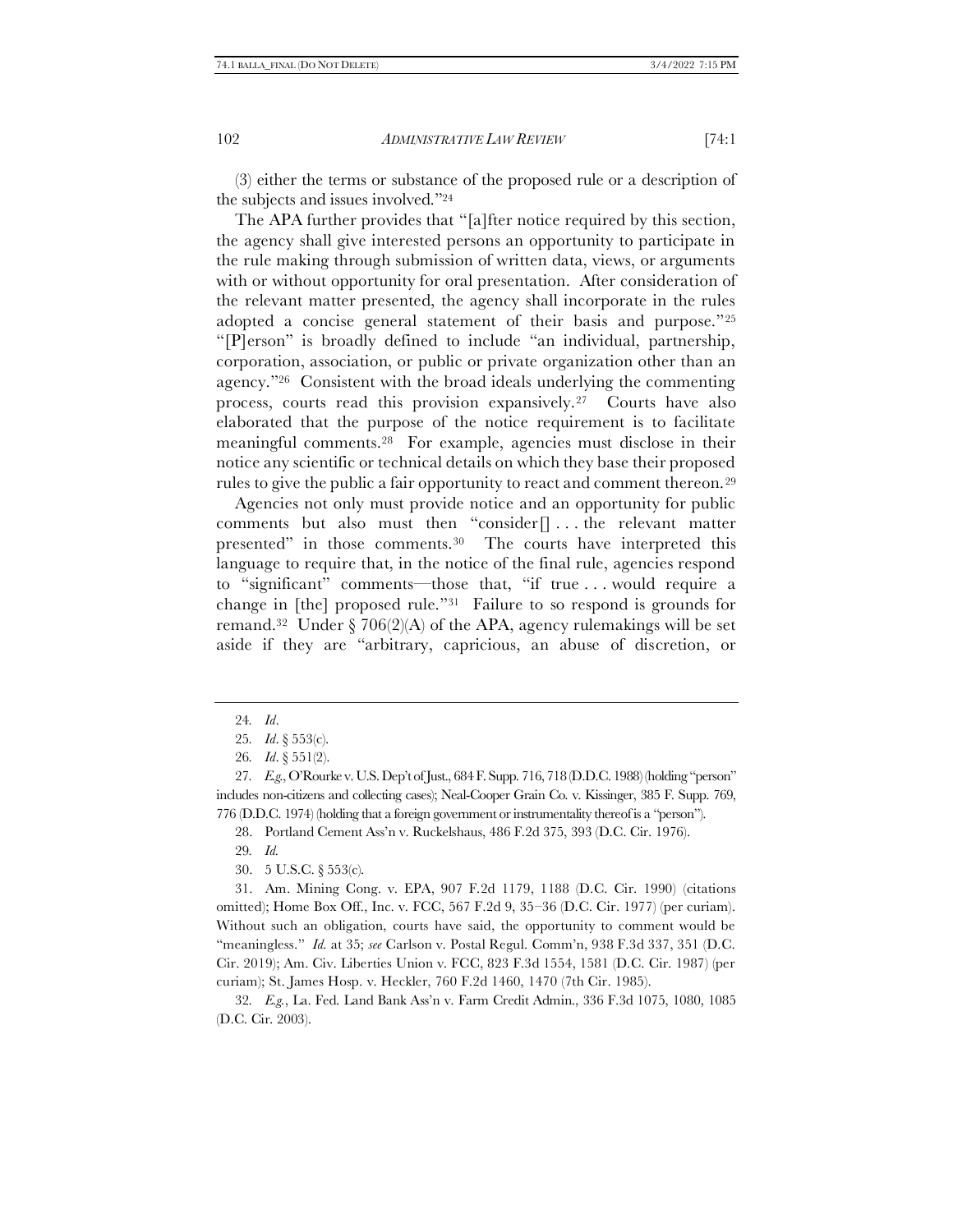(3) either the terms or substance of the proposed rule or a description of the subjects and issues involved."<sup>24</sup>

The APA further provides that "[a]fter notice required by this section, the agency shall give interested persons an opportunity to participate in the rule making through submission of written data, views, or arguments with or without opportunity for oral presentation. After consideration of the relevant matter presented, the agency shall incorporate in the rules adopted a concise general statement of their basis and purpose."<sup>25</sup> "[P]erson" is broadly defined to include "an individual, partnership, corporation, association, or public or private organization other than an agency."26 Consistent with the broad ideals underlying the commenting process, courts read this provision expansively.27 Courts have also elaborated that the purpose of the notice requirement is to facilitate meaningful comments.28 For example, agencies must disclose in their notice any scientific or technical details on which they base their proposed rules to give the public a fair opportunity to react and comment thereon.<sup>29</sup>

Agencies not only must provide notice and an opportunity for public comments but also must then "consider $[] \dots$  the relevant matter presented" in those comments.30 The courts have interpreted this language to require that, in the notice of the final rule, agencies respond to "significant" comments—those that, "if true . . . would require a change in [the] proposed rule."31 Failure to so respond is grounds for remand.<sup>32</sup> Under § 706(2)(A) of the APA, agency rulemakings will be set aside if they are "arbitrary, capricious, an abuse of discretion, or

28. Portland Cement Ass'n v. Ruckelshaus, 486 F.2d 375, 393 (D.C. Cir. 1976).

29*. Id.*

30. 5 U.S.C. § 553(c).

31. Am. Mining Cong. v. EPA, 907 F.2d 1179, 1188 (D.C. Cir. 1990) (citations omitted); Home Box Off., Inc. v. FCC, 567 F.2d 9, 35–36 (D.C. Cir. 1977) (per curiam). Without such an obligation, courts have said, the opportunity to comment would be "meaningless." *Id.* at 35; *see* Carlson v. Postal Regul. Comm'n, 938 F.3d 337, 351 (D.C. Cir. 2019); Am. Civ. Liberties Union v. FCC, 823 F.3d 1554, 1581 (D.C. Cir. 1987) (per curiam); St. James Hosp. v. Heckler, 760 F.2d 1460, 1470 (7th Cir. 1985).

32*. E.g.*, La. Fed. Land Bank Ass'n v. Farm Credit Admin., 336 F.3d 1075, 1080, 1085 (D.C. Cir. 2003).

<sup>24</sup>*. Id*.

<sup>25</sup>*. Id*. § 553(c).

<sup>26</sup>*. Id*. § 551(2).

<sup>27</sup>*. E.g.*, O'Rourke v. U.S. Dep't of Just., 684 F. Supp. 716, 718 (D.D.C. 1988) (holding "person" includes non-citizens and collecting cases); Neal-Cooper Grain Co. v. Kissinger, 385 F. Supp. 769, 776 (D.D.C. 1974) (holding that a foreign government or instrumentality thereof is a "person").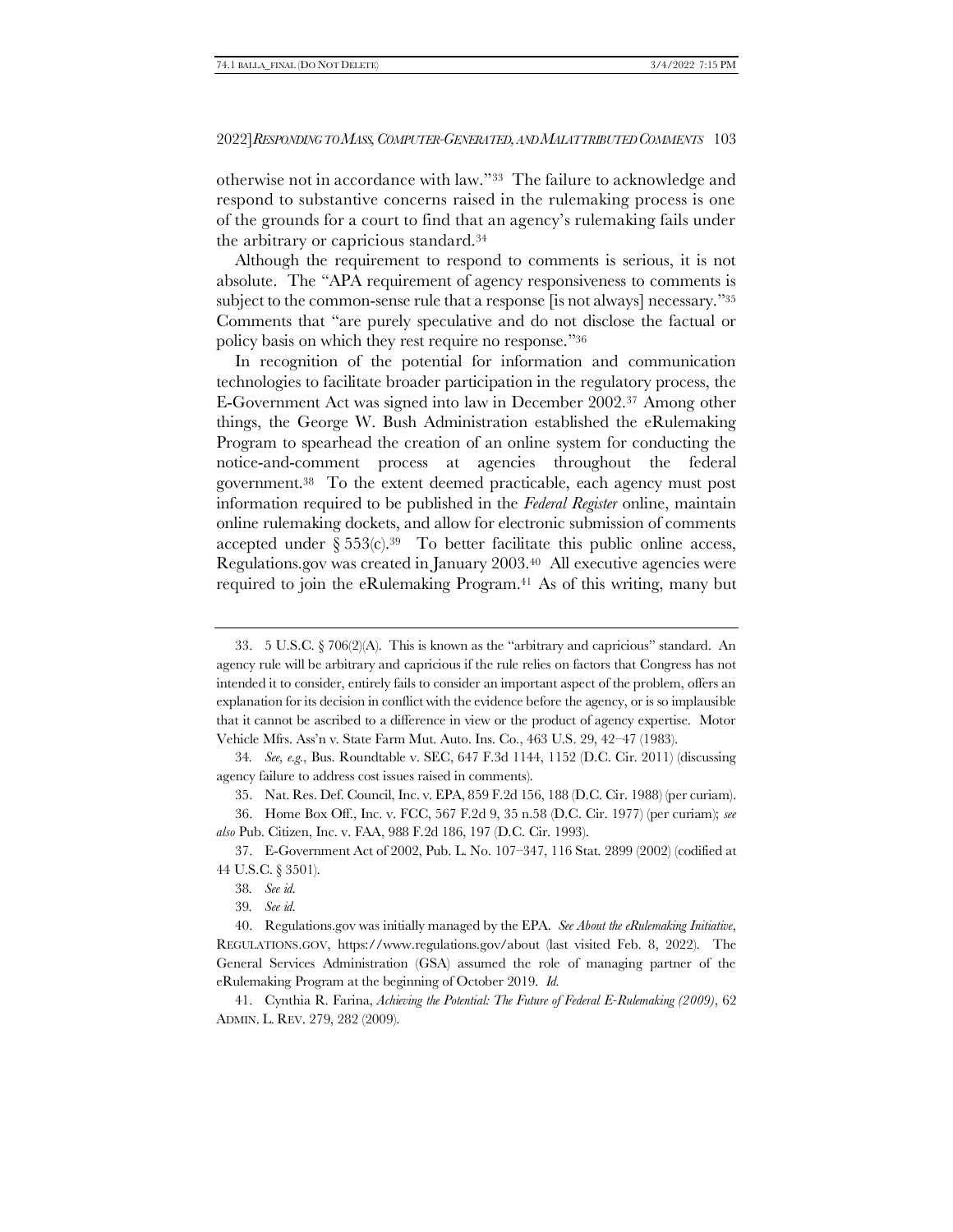otherwise not in accordance with law."33 The failure to acknowledge and respond to substantive concerns raised in the rulemaking process is one of the grounds for a court to find that an agency's rulemaking fails under the arbitrary or capricious standard.<sup>34</sup>

Although the requirement to respond to comments is serious, it is not absolute. The "APA requirement of agency responsiveness to comments is subject to the common-sense rule that a response [is not always] necessary."<sup>35</sup> Comments that "are purely speculative and do not disclose the factual or policy basis on which they rest require no response."<sup>36</sup>

In recognition of the potential for information and communication technologies to facilitate broader participation in the regulatory process, the E-Government Act was signed into law in December 2002.37 Among other things, the George W. Bush Administration established the eRulemaking Program to spearhead the creation of an online system for conducting the notice-and-comment process at agencies throughout the federal government.38 To the extent deemed practicable, each agency must post information required to be published in the *Federal Register* online, maintain online rulemaking dockets, and allow for electronic submission of comments accepted under  $\S 553(c).^{39}$  To better facilitate this public online access, Regulations.gov was created in January 2003.40 All executive agencies were required to join the eRulemaking Program.<sup>41</sup> As of this writing, many but

<sup>33.</sup> 5 U.S.C. § 706(2)(A). This is known as the "arbitrary and capricious" standard. An agency rule will be arbitrary and capricious if the rule relies on factors that Congress has not intended it to consider, entirely fails to consider an important aspect of the problem, offers an explanation for its decision in conflict with the evidence before the agency, or is so implausible that it cannot be ascribed to a difference in view or the product of agency expertise. Motor Vehicle Mfrs. Ass'n v. State Farm Mut. Auto. Ins. Co., 463 U.S. 29, 42–47 (1983).

<sup>34</sup>*. See, e.g.*, Bus. Roundtable v. SEC, 647 F.3d 1144, 1152 (D.C. Cir. 2011) (discussing agency failure to address cost issues raised in comments).

<sup>35.</sup> Nat. Res. Def. Council, Inc. v. EPA, 859 F.2d 156, 188 (D.C. Cir. 1988) (per curiam).

<sup>36.</sup> Home Box Off., Inc. v. FCC, 567 F.2d 9, 35 n.58 (D.C. Cir. 1977) (per curiam); *see also* Pub. Citizen, Inc. v. FAA, 988 F.2d 186, 197 (D.C. Cir. 1993).

<sup>37.</sup> E-Government Act of 2002, Pub. L. No. 107–347, 116 Stat. 2899 (2002) (codified at 44 U.S.C. § 3501).

<sup>38</sup>*. See id.*

<sup>39</sup>*. See id.*

<sup>40.</sup> Regulations.gov was initially managed by the EPA. *See About the eRulemaking Initiative*, REGULATIONS.GOV, https://www.regulations.gov/about (last visited Feb. 8, 2022). The General Services Administration (GSA) assumed the role of managing partner of the eRulemaking Program at the beginning of October 2019. *Id.*

<sup>41.</sup> Cynthia R. Farina, *Achieving the Potential: The Future of Federal E-Rulemaking (2009)*, 62 ADMIN. L. REV. 279, 282 (2009).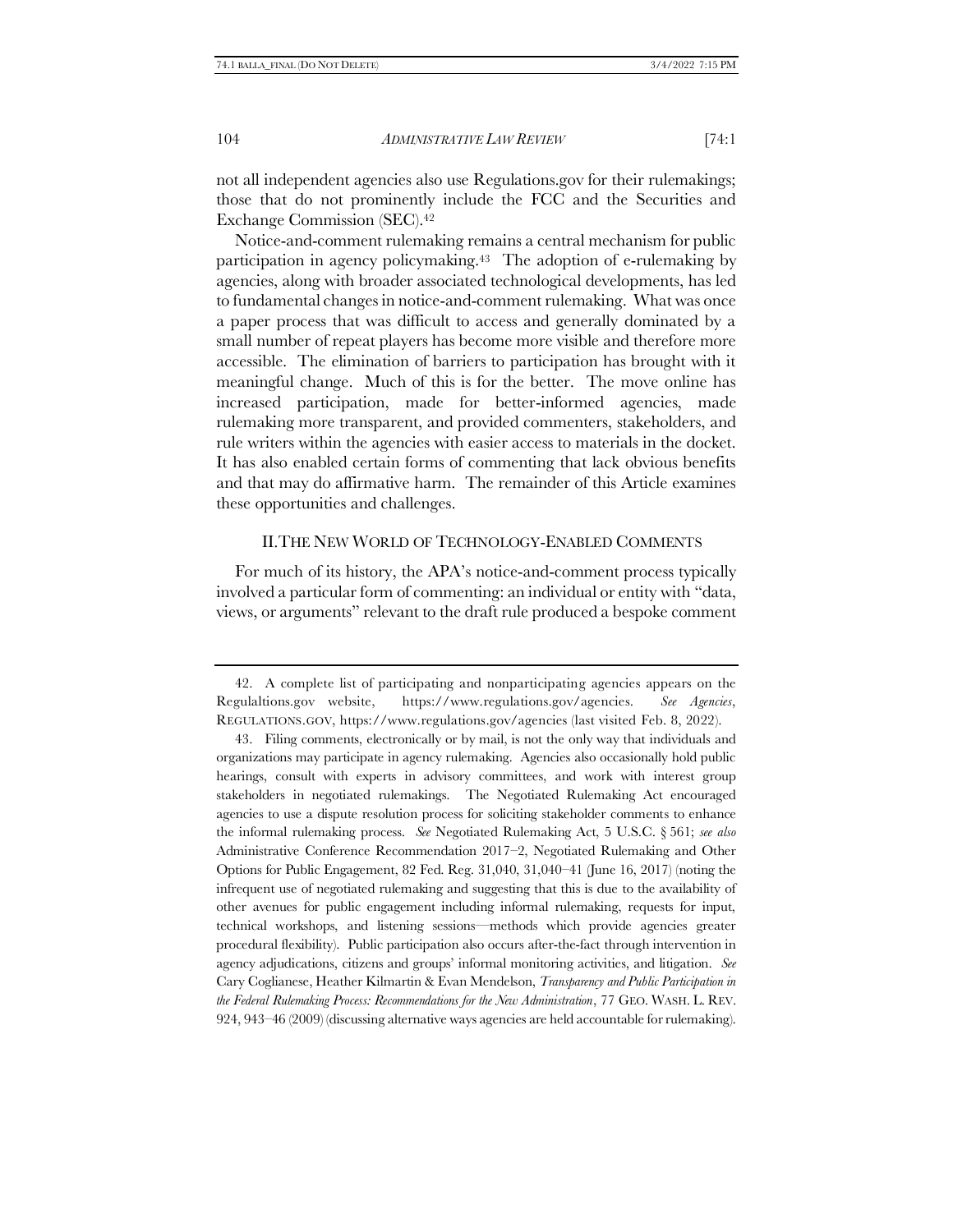not all independent agencies also use Regulations.gov for their rulemakings; those that do not prominently include the FCC and the Securities and Exchange Commission (SEC).<sup>42</sup>

<span id="page-9-0"></span>Notice-and-comment rulemaking remains a central mechanism for public participation in agency policymaking.43 The adoption of e-rulemaking by agencies, along with broader associated technological developments, has led to fundamental changes in notice-and-comment rulemaking. What was once a paper process that was difficult to access and generally dominated by a small number of repeat players has become more visible and therefore more accessible. The elimination of barriers to participation has brought with it meaningful change. Much of this is for the better. The move online has increased participation, made for better-informed agencies, made rulemaking more transparent, and provided commenters, stakeholders, and rule writers within the agencies with easier access to materials in the docket. It has also enabled certain forms of commenting that lack obvious benefits and that may do affirmative harm. The remainder of this Article examines these opportunities and challenges.

#### II.THE NEW WORLD OF TECHNOLOGY-ENABLED COMMENTS

For much of its history, the APA's notice-and-comment process typically involved a particular form of commenting: an individual or entity with "data, views, or arguments" relevant to the draft rule produced a bespoke comment

<sup>42.</sup> A complete list of participating and nonparticipating agencies appears on the Regulaltions.gov website, https://www.regulations.gov/agencies. *See Agencies*, REGULATIONS.GOV, https://www.regulations.gov/agencies (last visited Feb. 8, 2022).

<sup>43.</sup> Filing comments, electronically or by mail, is not the only way that individuals and organizations may participate in agency rulemaking. Agencies also occasionally hold public hearings, consult with experts in advisory committees, and work with interest group stakeholders in negotiated rulemakings. The Negotiated Rulemaking Act encouraged agencies to use a dispute resolution process for soliciting stakeholder comments to enhance the informal rulemaking process. *See* Negotiated Rulemaking Act, 5 U.S.C. § 561; *see also* Administrative Conference Recommendation 2017–2, Negotiated Rulemaking and Other Options for Public Engagement, 82 Fed. Reg. 31,040, 31,040–41 (June 16, 2017) (noting the infrequent use of negotiated rulemaking and suggesting that this is due to the availability of other avenues for public engagement including informal rulemaking, requests for input, technical workshops, and listening sessions—methods which provide agencies greater procedural flexibility). Public participation also occurs after-the-fact through intervention in agency adjudications, citizens and groups' informal monitoring activities, and litigation. *See* Cary Coglianese, Heather Kilmartin & Evan Mendelson, *Transparency and Public Participation in the Federal Rulemaking Process: Recommendations for the New Administration*, 77 GEO. WASH. L. REV. 924, 943–46 (2009) (discussing alternative ways agencies are held accountable for rulemaking).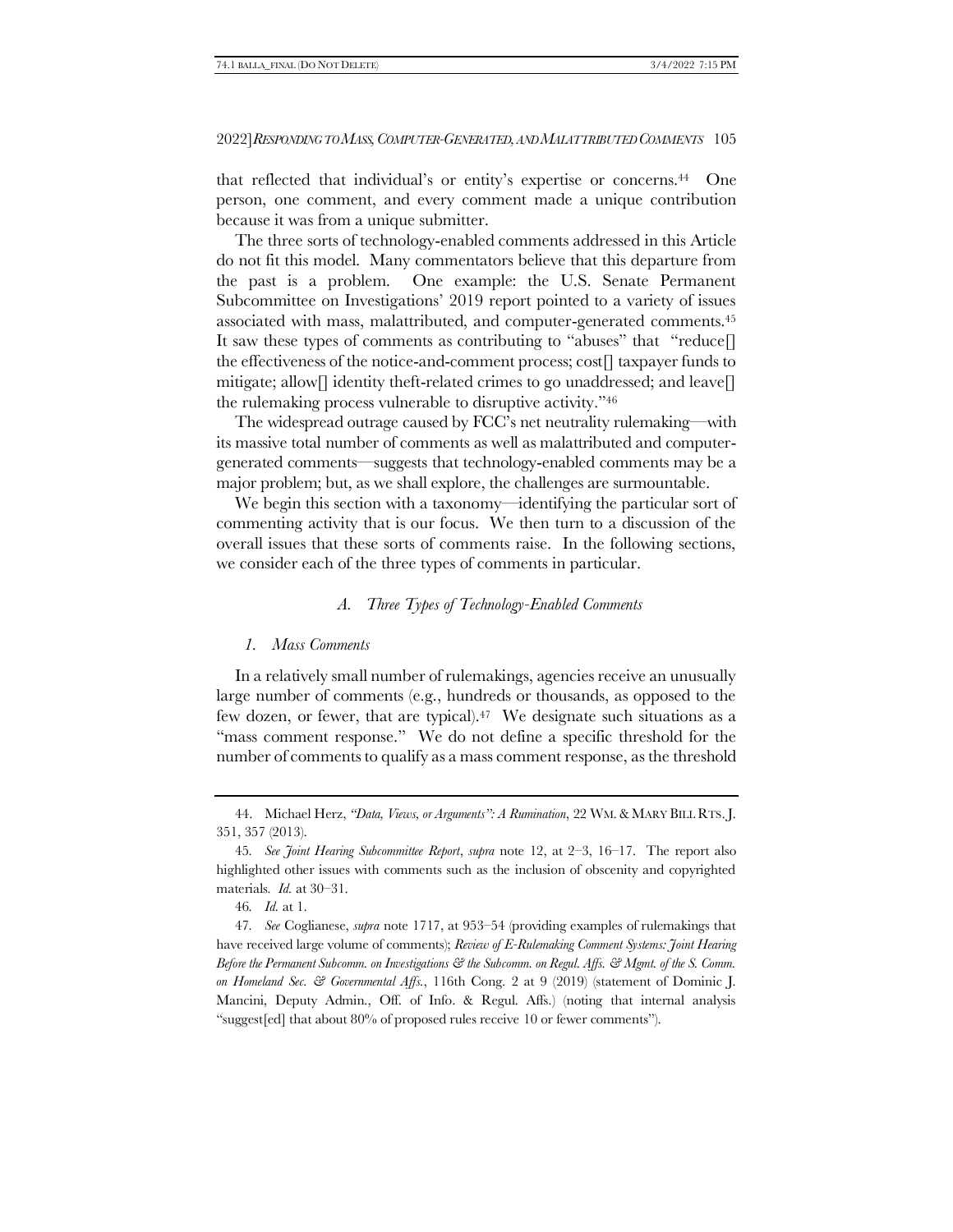<span id="page-10-1"></span>that reflected that individual's or entity's expertise or concerns.44 One person, one comment, and every comment made a unique contribution because it was from a unique submitter.

The three sorts of technology-enabled comments addressed in this Article do not fit this model. Many commentators believe that this departure from the past is a problem. One example: the U.S. Senate Permanent Subcommittee on Investigations' 2019 report pointed to a variety of issues associated with mass, malattributed, and computer-generated comments.<sup>45</sup> It saw these types of comments as contributing to "abuses" that "reduce[] the effectiveness of the notice-and-comment process; cost[] taxpayer funds to mitigate; allow[] identity theft-related crimes to go unaddressed; and leave[] the rulemaking process vulnerable to disruptive activity."<sup>46</sup>

The widespread outrage caused by FCC's net neutrality rulemaking—with its massive total number of comments as well as malattributed and computergenerated comments—suggests that technology-enabled comments may be a major problem; but, as we shall explore, the challenges are surmountable.

We begin this section with a taxonomy—identifying the particular sort of commenting activity that is our focus. We then turn to a discussion of the overall issues that these sorts of comments raise. In the following sections, we consider each of the three types of comments in particular.

#### *A. Three Types of Technology-Enabled Comments*

#### <span id="page-10-0"></span>*1. Mass Comments*

In a relatively small number of rulemakings, agencies receive an unusually large number of comments (e.g., hundreds or thousands, as opposed to the few dozen, or fewer, that are typical).<sup>47</sup> We designate such situations as a "mass comment response." We do not define a specific threshold for the number of comments to qualify as a mass comment response, as the threshold

<sup>44.</sup> Michael Herz, *"Data, Views, or Arguments": A Rumination*, 22 WM.& MARY BILL RTS.J. 351, 357 (2013).

<sup>45</sup>*. See Joint Hearing Subcommittee Report*, *supra* note [12,](#page-3-1) at 2–3, 16–17. The report also highlighted other issues with comments such as the inclusion of obscenity and copyrighted materials. *Id.* at 30–31.

<sup>46</sup>*. Id.* at 1.

<sup>47</sup>*. See* Coglianese, *supra* note [1717,](#page-5-0) at 953–54 (providing examples of rulemakings that have received large volume of comments); *Review of E-Rulemaking Comment Systems: Joint Hearing Before the Permanent Subcomm. on Investigations & the Subcomm. on Regul. Affs. & Mgmt. of the S. Comm. on Homeland Sec. & Governmental Affs.*, 116th Cong. 2 at 9 (2019) (statement of Dominic J. Mancini, Deputy Admin., Off. of Info. & Regul. Affs.) (noting that internal analysis "suggest[ed] that about 80% of proposed rules receive 10 or fewer comments").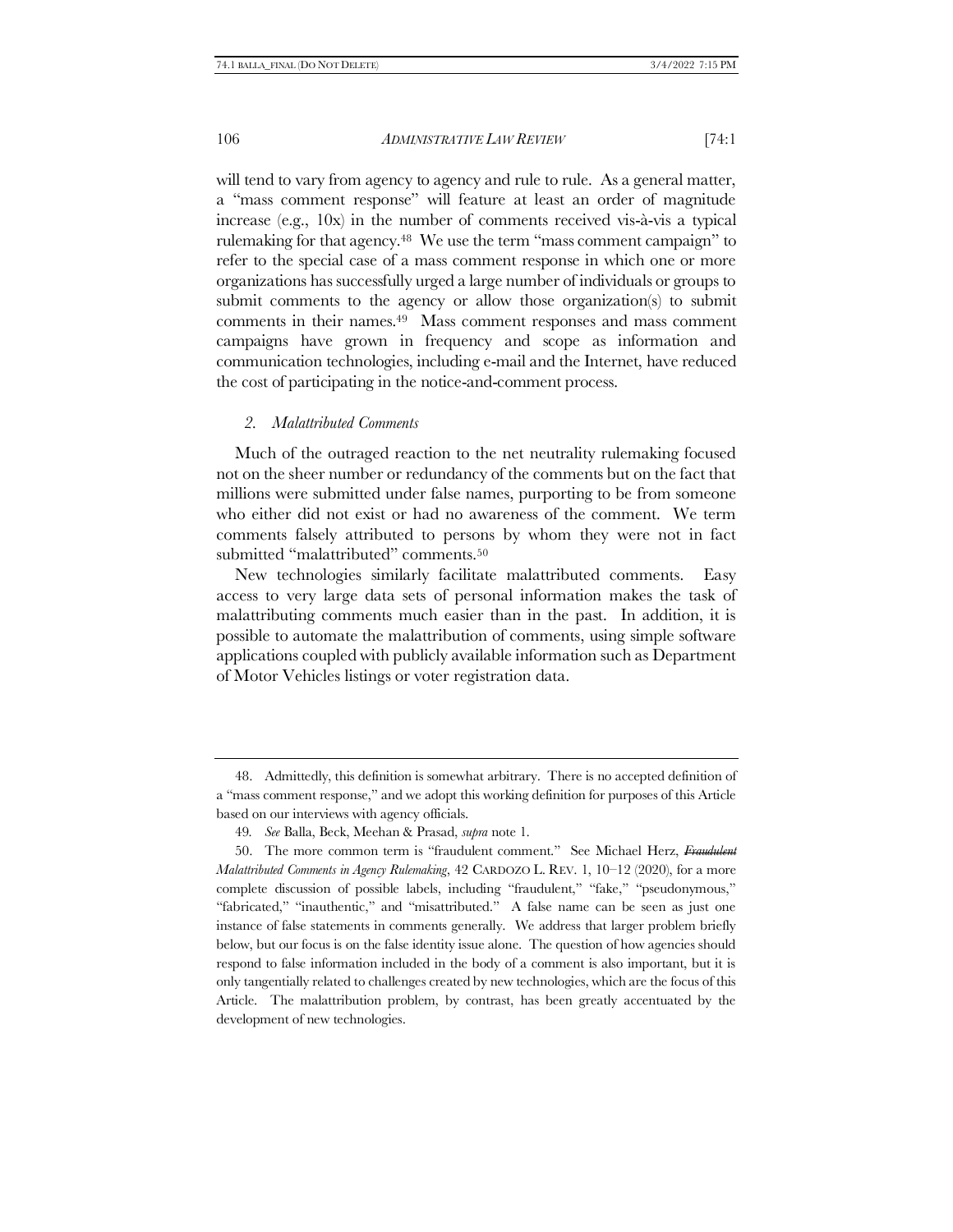will tend to vary from agency to agency and rule to rule. As a general matter, a "mass comment response" will feature at least an order of magnitude increase (e.g., 10x) in the number of comments received vis-à-vis a typical rulemaking for that agency.<sup>48</sup> We use the term "mass comment campaign" to refer to the special case of a mass comment response in which one or more organizations has successfully urged a large number of individuals or groups to submit comments to the agency or allow those organization(s) to submit comments in their names.<sup>49</sup> Mass comment responses and mass comment campaigns have grown in frequency and scope as information and communication technologies, including e-mail and the Internet, have reduced the cost of participating in the notice-and-comment process.

#### *2. Malattributed Comments*

Much of the outraged reaction to the net neutrality rulemaking focused not on the sheer number or redundancy of the comments but on the fact that millions were submitted under false names, purporting to be from someone who either did not exist or had no awareness of the comment. We term comments falsely attributed to persons by whom they were not in fact submitted "malattributed" comments.<sup>50</sup>

<span id="page-11-0"></span>New technologies similarly facilitate malattributed comments. Easy access to very large data sets of personal information makes the task of malattributing comments much easier than in the past. In addition, it is possible to automate the malattribution of comments, using simple software applications coupled with publicly available information such as Department of Motor Vehicles listings or voter registration data.

<sup>48.</sup> Admittedly, this definition is somewhat arbitrary. There is no accepted definition of a "mass comment response," and we adopt this working definition for purposes of this Article based on our interviews with agency officials.

<sup>49</sup>*. See* Balla, Beck, Meehan & Prasad, *supra* not[e 1.](#page-1-0)

<sup>50.</sup> The more common term is "fraudulent comment." See Michael Herz, *Fraudulent Malattributed Comments in Agency Rulemaking*, 42 CARDOZO L. REV. 1, 10–12 (2020), for a more complete discussion of possible labels, including "fraudulent," "fake," "pseudonymous," "fabricated," "inauthentic," and "misattributed." A false name can be seen as just one instance of false statements in comments generally. We address that larger problem briefly below, but our focus is on the false identity issue alone. The question of how agencies should respond to false information included in the body of a comment is also important, but it is only tangentially related to challenges created by new technologies, which are the focus of this Article. The malattribution problem, by contrast, has been greatly accentuated by the development of new technologies.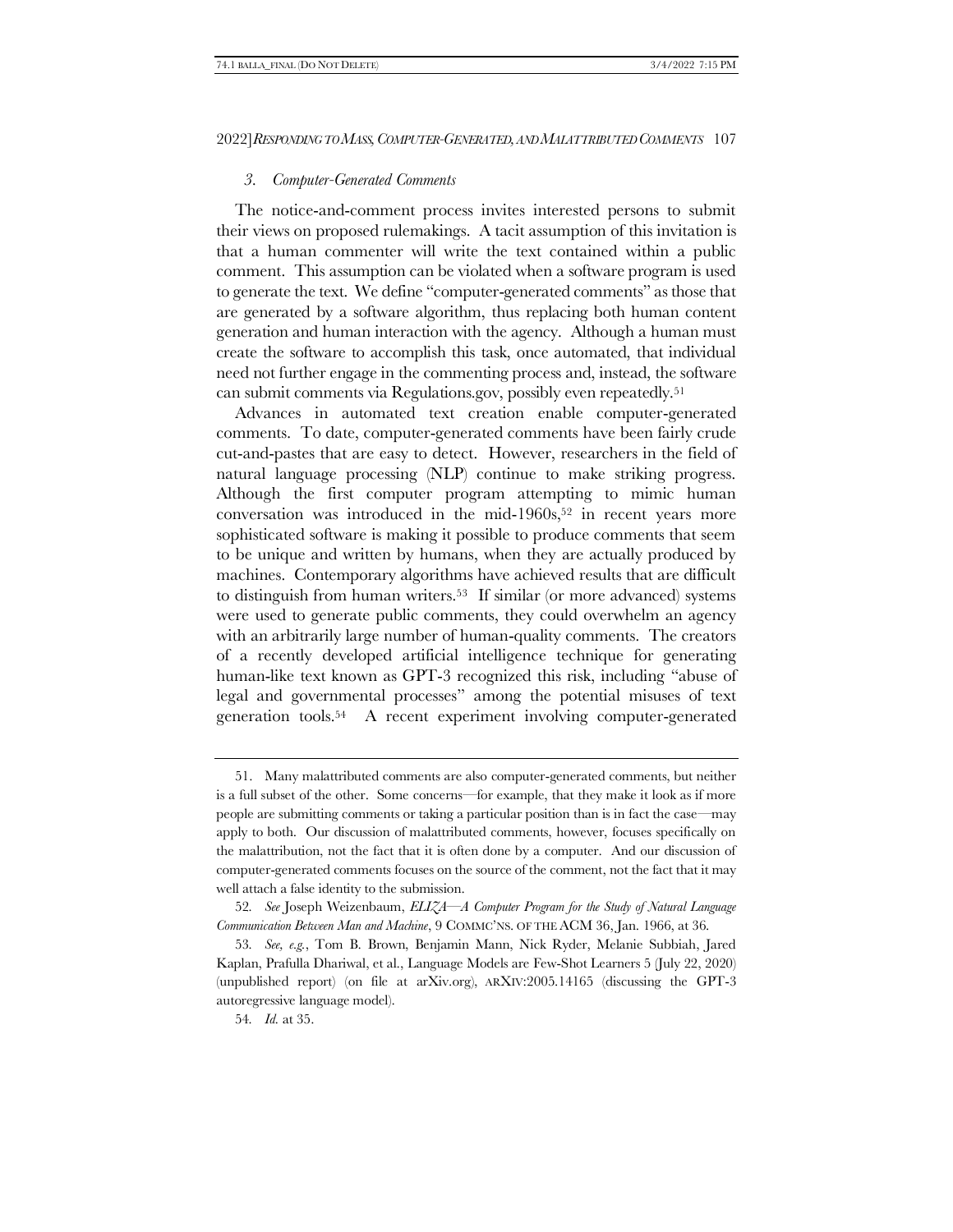#### *3. Computer-Generated Comments*

The notice-and-comment process invites interested persons to submit their views on proposed rulemakings. A tacit assumption of this invitation is that a human commenter will write the text contained within a public comment. This assumption can be violated when a software program is used to generate the text. We define "computer-generated comments" as those that are generated by a software algorithm, thus replacing both human content generation and human interaction with the agency. Although a human must create the software to accomplish this task, once automated, that individual need not further engage in the commenting process and, instead, the software can submit comments via Regulations.gov, possibly even repeatedly.<sup>51</sup>

Advances in automated text creation enable computer-generated comments. To date, computer-generated comments have been fairly crude cut-and-pastes that are easy to detect. However, researchers in the field of natural language processing (NLP) continue to make striking progress. Although the first computer program attempting to mimic human conversation was introduced in the mid-1960s, $52$  in recent years more sophisticated software is making it possible to produce comments that seem to be unique and written by humans, when they are actually produced by machines. Contemporary algorithms have achieved results that are difficult to distinguish from human writers.53 If similar (or more advanced) systems were used to generate public comments, they could overwhelm an agency with an arbitrarily large number of human-quality comments. The creators of a recently developed artificial intelligence technique for generating human-like text known as GPT-3 recognized this risk, including "abuse of legal and governmental processes" among the potential misuses of text generation tools.54 A recent experiment involving computer-generated

<sup>51.</sup> Many malattributed comments are also computer-generated comments, but neither is a full subset of the other. Some concerns—for example, that they make it look as if more people are submitting comments or taking a particular position than is in fact the case—may apply to both. Our discussion of malattributed comments, however, focuses specifically on the malattribution, not the fact that it is often done by a computer. And our discussion of computer-generated comments focuses on the source of the comment, not the fact that it may well attach a false identity to the submission.

<sup>52</sup>*. See* Joseph Weizenbaum, *ELIZA—A Computer Program for the Study of Natural Language Communication Between Man and Machine*, 9 COMMC'NS. OF THE ACM 36, Jan. 1966, at 36.

<sup>53</sup>*. See, e.g.*, Tom B. Brown, Benjamin Mann, Nick Ryder, Melanie Subbiah, Jared Kaplan, Prafulla Dhariwal, et al., Language Models are Few-Shot Learners 5 (July 22, 2020) (unpublished report) (on file at arXiv.org), ARXIV:2005.14165 (discussing the GPT-3 autoregressive language model).

<sup>54</sup>*. Id.* at 35.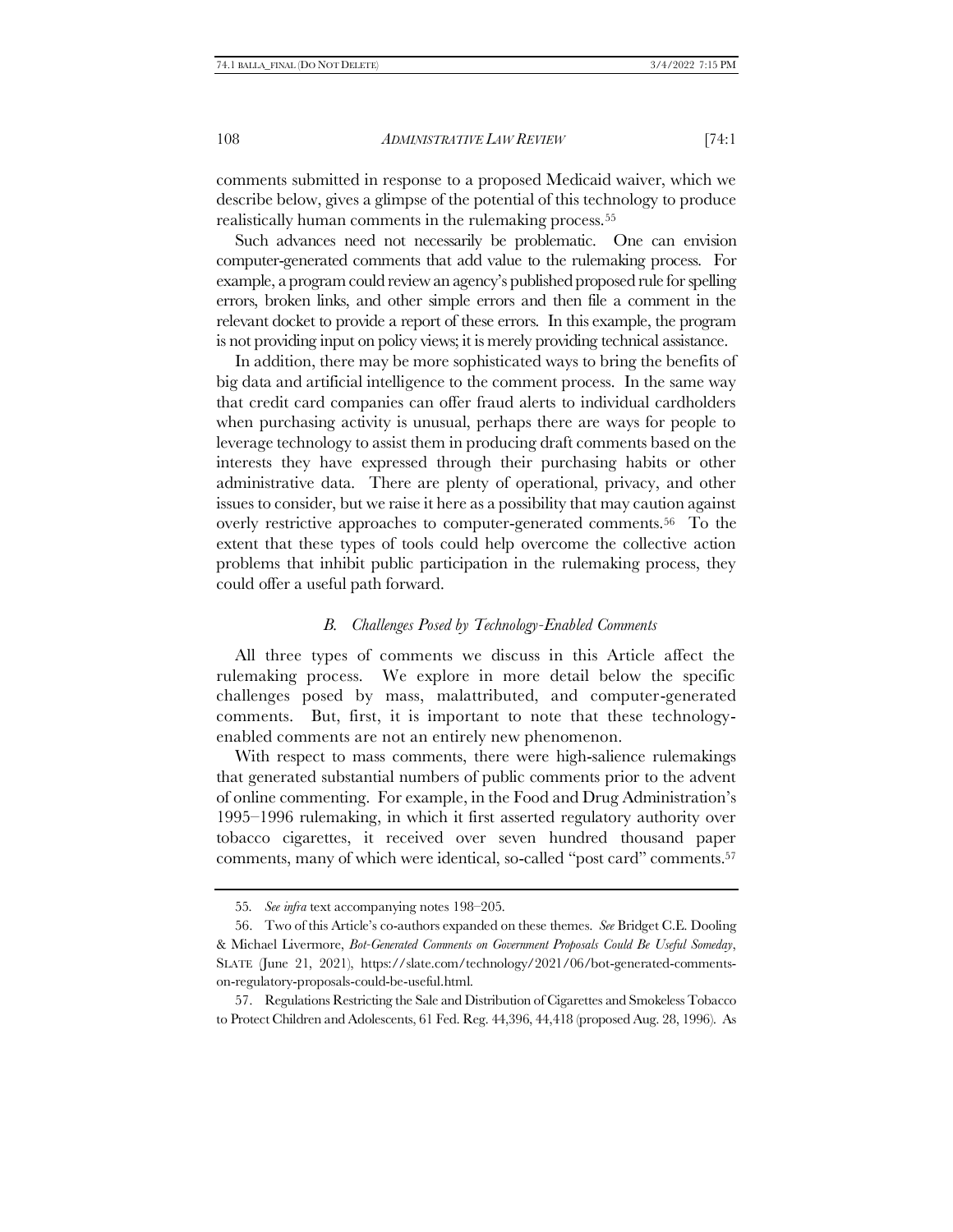comments submitted in response to a proposed Medicaid waiver, which we describe below, gives a glimpse of the potential of this technology to produce realistically human comments in the rulemaking process.<sup>55</sup>

Such advances need not necessarily be problematic. One can envision computer-generated comments that add value to the rulemaking process. For example, a program could review an agency's published proposed rule for spelling errors, broken links, and other simple errors and then file a comment in the relevant docket to provide a report of these errors. In this example, the program is not providing input on policy views; it is merely providing technical assistance.

In addition, there may be more sophisticated ways to bring the benefits of big data and artificial intelligence to the comment process. In the same way that credit card companies can offer fraud alerts to individual cardholders when purchasing activity is unusual, perhaps there are ways for people to leverage technology to assist them in producing draft comments based on the interests they have expressed through their purchasing habits or other administrative data. There are plenty of operational, privacy, and other issues to consider, but we raise it here as a possibility that may caution against overly restrictive approaches to computer-generated comments.56 To the extent that these types of tools could help overcome the collective action problems that inhibit public participation in the rulemaking process, they could offer a useful path forward.

#### *B. Challenges Posed by Technology-Enabled Comments*

All three types of comments we discuss in this Article affect the rulemaking process. We explore in more detail below the specific challenges posed by mass, malattributed, and computer-generated comments. But, first, it is important to note that these technologyenabled comments are not an entirely new phenomenon.

With respect to mass comments, there were high-salience rulemakings that generated substantial numbers of public comments prior to the advent of online commenting. For example, in the Food and Drug Administration's 1995–1996 rulemaking, in which it first asserted regulatory authority over tobacco cigarettes, it received over seven hundred thousand paper comments, many of which were identical, so-called "post card" comments.<sup>57</sup>

<sup>55</sup>*. See infra* text accompanying note[s 198](#page-49-0)–[205.](#page-50-0)

<sup>56.</sup> Two of this Article's co-authors expanded on these themes. *See* Bridget C.E. Dooling & Michael Livermore, *Bot-Generated Comments on Government Proposals Could Be Useful Someday*, SLATE (June 21, 2021), https://slate.com/technology/2021/06/bot-generated-commentson-regulatory-proposals-could-be-useful.html.

<sup>57.</sup> Regulations Restricting the Sale and Distribution of Cigarettes and Smokeless Tobacco to Protect Children and Adolescents, 61 Fed. Reg. 44,396, 44,418 (proposed Aug. 28, 1996). As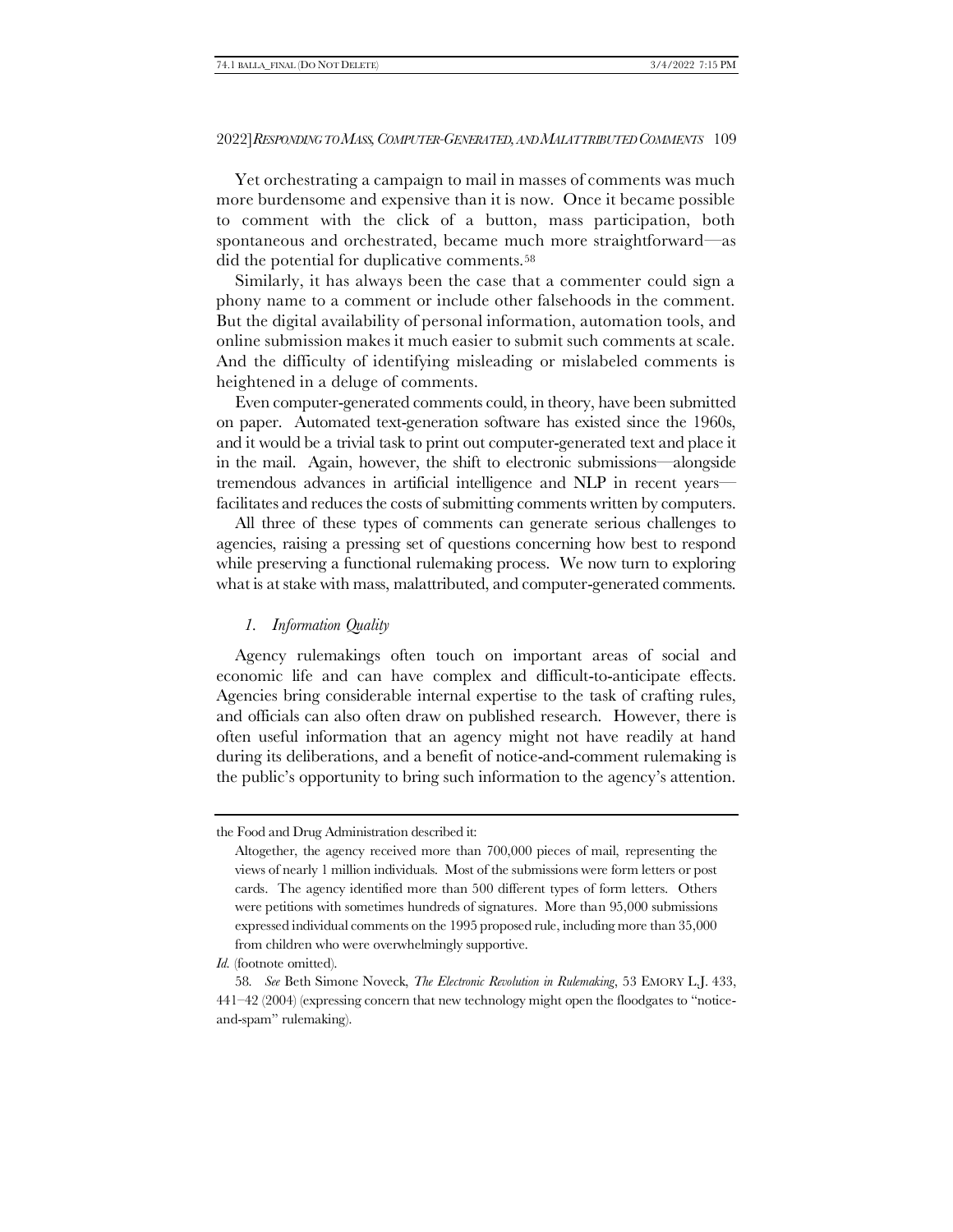Yet orchestrating a campaign to mail in masses of comments was much more burdensome and expensive than it is now. Once it became possible to comment with the click of a button, mass participation, both spontaneous and orchestrated, became much more straightforward—as did the potential for duplicative comments.<sup>58</sup>

Similarly, it has always been the case that a commenter could sign a phony name to a comment or include other falsehoods in the comment. But the digital availability of personal information, automation tools, and online submission makes it much easier to submit such comments at scale. And the difficulty of identifying misleading or mislabeled comments is heightened in a deluge of comments.

Even computer-generated comments could, in theory, have been submitted on paper. Automated text-generation software has existed since the 1960s, and it would be a trivial task to print out computer-generated text and place it in the mail. Again, however, the shift to electronic submissions—alongside tremendous advances in artificial intelligence and NLP in recent years facilitates and reduces the costs of submitting comments written by computers.

All three of these types of comments can generate serious challenges to agencies, raising a pressing set of questions concerning how best to respond while preserving a functional rulemaking process. We now turn to exploring what is at stake with mass, malattributed, and computer-generated comments.

# <span id="page-14-0"></span>*1. Information Quality*

Agency rulemakings often touch on important areas of social and economic life and can have complex and difficult-to-anticipate effects. Agencies bring considerable internal expertise to the task of crafting rules, and officials can also often draw on published research. However, there is often useful information that an agency might not have readily at hand during its deliberations, and a benefit of notice-and-comment rulemaking is the public's opportunity to bring such information to the agency's attention.

the Food and Drug Administration described it:

Altogether, the agency received more than 700,000 pieces of mail, representing the views of nearly 1 million individuals. Most of the submissions were form letters or post cards. The agency identified more than 500 different types of form letters. Others were petitions with sometimes hundreds of signatures. More than 95,000 submissions expressed individual comments on the 1995 proposed rule, including more than 35,000 from children who were overwhelmingly supportive.

*Id.* (footnote omitted).

<sup>58</sup>*. See* Beth Simone Noveck, *The Electronic Revolution in Rulemaking*, 53 EMORY L.J. 433, 441–42 (2004) (expressing concern that new technology might open the floodgates to "noticeand-spam" rulemaking).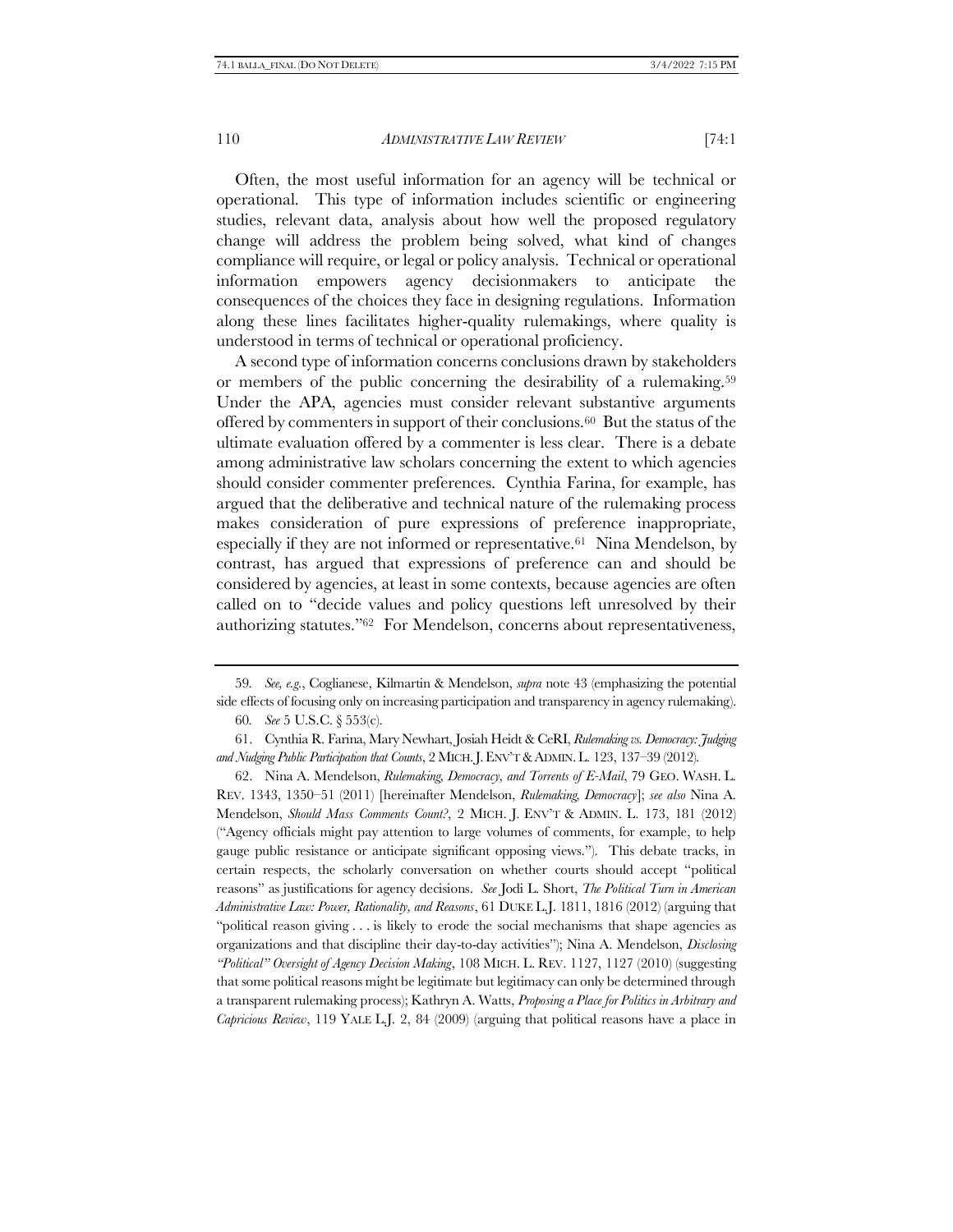Often, the most useful information for an agency will be technical or operational. This type of information includes scientific or engineering studies, relevant data, analysis about how well the proposed regulatory change will address the problem being solved, what kind of changes compliance will require, or legal or policy analysis. Technical or operational information empowers agency decisionmakers to anticipate consequences of the choices they face in designing regulations. Information along these lines facilitates higher-quality rulemakings, where quality is understood in terms of technical or operational proficiency.

A second type of information concerns conclusions drawn by stakeholders or members of the public concerning the desirability of a rulemaking.<sup>59</sup> Under the APA, agencies must consider relevant substantive arguments offered by commenters in support of their conclusions.60 But the status of the ultimate evaluation offered by a commenter is less clear. There is a debate among administrative law scholars concerning the extent to which agencies should consider commenter preferences. Cynthia Farina, for example, has argued that the deliberative and technical nature of the rulemaking process makes consideration of pure expressions of preference inappropriate, especially if they are not informed or representative.61 Nina Mendelson, by contrast, has argued that expressions of preference can and should be considered by agencies, at least in some contexts, because agencies are often called on to "decide values and policy questions left unresolved by their authorizing statutes."62 For Mendelson, concerns about representativeness,

<span id="page-15-0"></span><sup>59</sup>*. See, e.g.*, Coglianese, Kilmartin & Mendelson, *supra* not[e 43](#page-9-0) (emphasizing the potential side effects of focusing only on increasing participation and transparency in agency rulemaking).

<span id="page-15-1"></span><sup>60</sup>*. See* 5 U.S.C. § 553(c).

<sup>61.</sup> Cynthia R. Farina, Mary Newhart, Josiah Heidt & CeRI, *Rulemaking vs. Democracy: Judging and Nudging Public Participation that Counts*, 2 MICH.J.ENV'T &ADMIN.L. 123, 137–39 (2012).

<sup>62.</sup> Nina A. Mendelson, *Rulemaking, Democracy, and Torrents of E-Mail*, 79 GEO. WASH. L. REV. 1343, 1350–51 (2011) [hereinafter Mendelson, *Rulemaking, Democracy*]; *see also* Nina A. Mendelson, *Should Mass Comments Count?*, 2 MICH. J. ENV'T & ADMIN. L. 173, 181 (2012) ("Agency officials might pay attention to large volumes of comments, for example, to help gauge public resistance or anticipate significant opposing views."). This debate tracks, in certain respects, the scholarly conversation on whether courts should accept "political reasons" as justifications for agency decisions. *See* Jodi L. Short, *The Political Turn in American Administrative Law: Power, Rationality, and Reasons*, 61 DUKE L.J. 1811, 1816 (2012) (arguing that "political reason giving . . . is likely to erode the social mechanisms that shape agencies as organizations and that discipline their day-to-day activities"); Nina A. Mendelson, *Disclosing "Political" Oversight of Agency Decision Making*, 108 MICH. L. REV. 1127, 1127 (2010) (suggesting that some political reasons might be legitimate but legitimacy can only be determined through a transparent rulemaking process); Kathryn A. Watts, *Proposing a Place for Politics in Arbitrary and Capricious Review*, 119 YALE L.J. 2, 84 (2009) (arguing that political reasons have a place in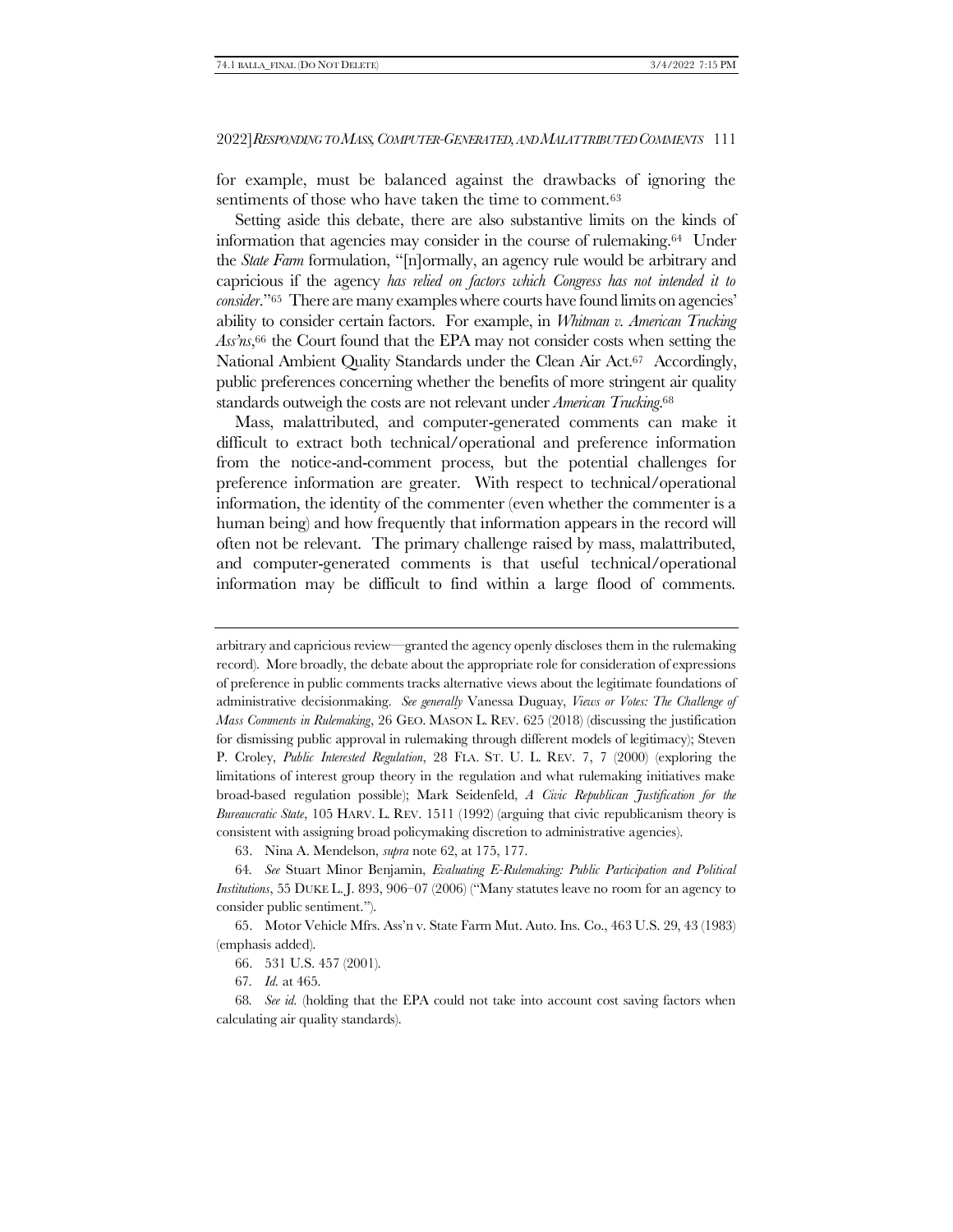for example, must be balanced against the drawbacks of ignoring the sentiments of those who have taken the time to comment.<sup>63</sup>

<span id="page-16-0"></span>Setting aside this debate, there are also substantive limits on the kinds of information that agencies may consider in the course of rulemaking.64 Under the *State Farm* formulation, "[n]ormally, an agency rule would be arbitrary and capricious if the agency *has relied on factors which Congress has not intended it to consider*."<sup>65</sup> There are many examples where courts have found limits on agencies' ability to consider certain factors. For example, in *Whitman v. American Trucking Ass'ns*, <sup>66</sup> the Court found that the EPA may not consider costs when setting the National Ambient Quality Standards under the Clean Air Act.<sup>67</sup> Accordingly, public preferences concerning whether the benefits of more stringent air quality standards outweigh the costs are not relevant under *American Trucking*. 68

Mass, malattributed, and computer-generated comments can make it difficult to extract both technical/operational and preference information from the notice-and-comment process, but the potential challenges for preference information are greater. With respect to technical/operational information, the identity of the commenter (even whether the commenter is a human being) and how frequently that information appears in the record will often not be relevant. The primary challenge raised by mass, malattributed, and computer-generated comments is that useful technical/operational information may be difficult to find within a large flood of comments.

arbitrary and capricious review—granted the agency openly discloses them in the rulemaking record). More broadly, the debate about the appropriate role for consideration of expressions of preference in public comments tracks alternative views about the legitimate foundations of administrative decisionmaking. *See generally* Vanessa Duguay, *Views or Votes: The Challenge of Mass Comments in Rulemaking*, 26 GEO. MASON L. REV. 625 (2018) (discussing the justification for dismissing public approval in rulemaking through different models of legitimacy); Steven P. Croley, *Public Interested Regulation*, 28 FLA. ST. U. L. REV. 7, 7 (2000) (exploring the limitations of interest group theory in the regulation and what rulemaking initiatives make broad-based regulation possible); Mark Seidenfeld, *A Civic Republican Justification for the Bureaucratic State*, 105 HARV. L. REV. 1511 (1992) (arguing that civic republicanism theory is consistent with assigning broad policymaking discretion to administrative agencies).

63. Nina A. Mendelson, *supra* note [62,](#page-15-0) at 175, 177.

64*. See* Stuart Minor Benjamin, *Evaluating E-Rulemaking: Public Participation and Political Institutions*, 55 DUKE L. J. 893, 906–07 (2006) ("Many statutes leave no room for an agency to consider public sentiment.").

65. Motor Vehicle Mfrs. Ass'n v. State Farm Mut. Auto. Ins. Co., 463 U.S. 29, 43 (1983) (emphasis added).

66. 531 U.S. 457 (2001).

67*. Id.* at 465.

68*. See id.* (holding that the EPA could not take into account cost saving factors when calculating air quality standards).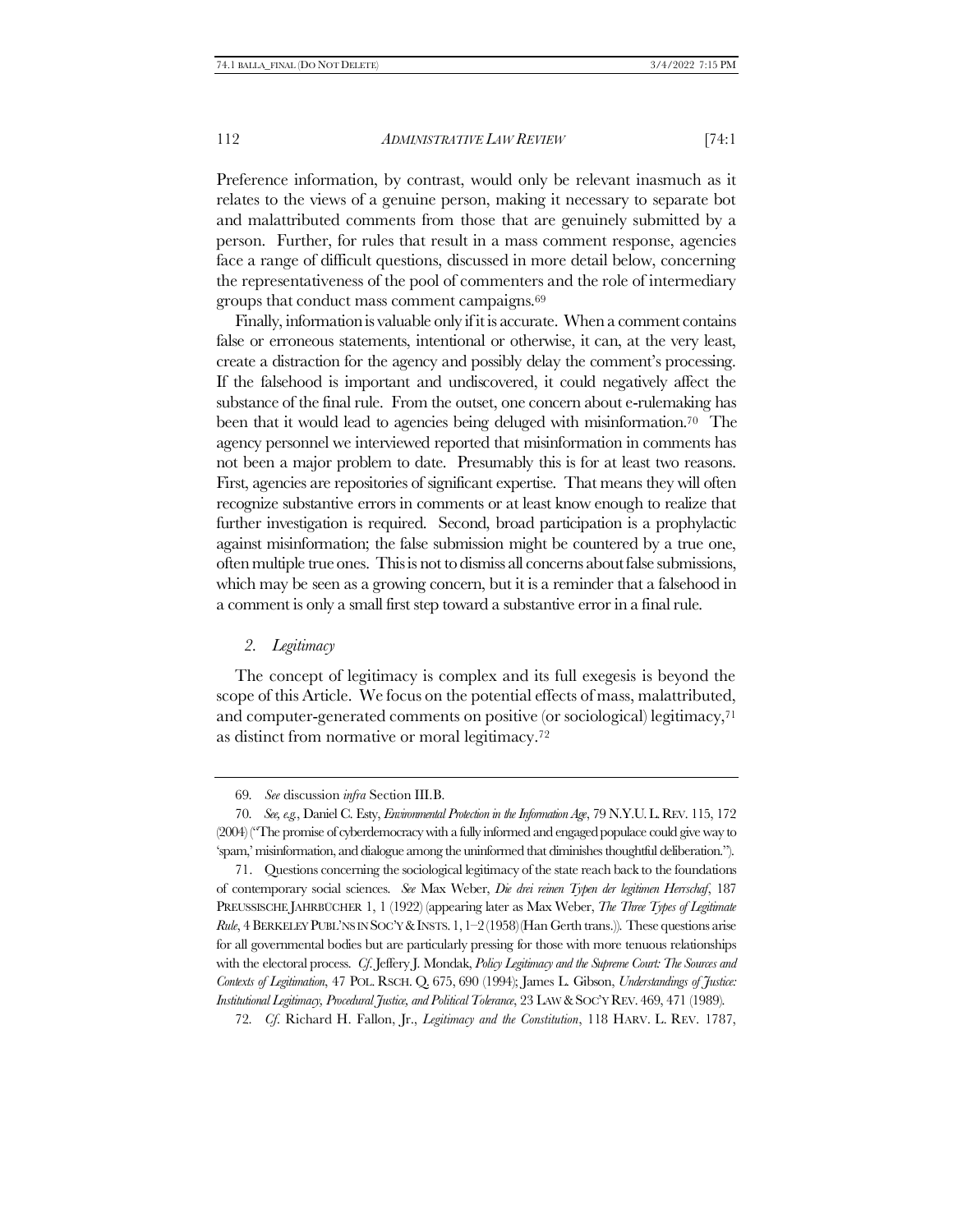Preference information, by contrast, would only be relevant inasmuch as it relates to the views of a genuine person, making it necessary to separate bot and malattributed comments from those that are genuinely submitted by a person. Further, for rules that result in a mass comment response, agencies face a range of difficult questions, discussed in more detail below, concerning the representativeness of the pool of commenters and the role of intermediary groups that conduct mass comment campaigns.<sup>69</sup>

Finally, information is valuable only if it is accurate. When a comment contains false or erroneous statements, intentional or otherwise, it can, at the very least, create a distraction for the agency and possibly delay the comment's processing. If the falsehood is important and undiscovered, it could negatively affect the substance of the final rule. From the outset, one concern about e-rulemaking has been that it would lead to agencies being deluged with misinformation.<sup>70</sup> The agency personnel we interviewed reported that misinformation in comments has not been a major problem to date. Presumably this is for at least two reasons. First, agencies are repositories of significant expertise. That means they will often recognize substantive errors in comments or at least know enough to realize that further investigation is required. Second, broad participation is a prophylactic against misinformation; the false submission might be countered by a true one, often multiple true ones. This is not to dismiss all concerns about false submissions, which may be seen as a growing concern, but it is a reminder that a falsehood in a comment is only a small first step toward a substantive error in a final rule.

### *2. Legitimacy*

The concept of legitimacy is complex and its full exegesis is beyond the scope of this Article. We focus on the potential effects of mass, malattributed, and computer-generated comments on positive (or sociological) legitimacy,<sup>71</sup> as distinct from normative or moral legitimacy.<sup>72</sup>

<sup>69</sup>*. See* discussion *infra* Section III[.B.](#page-24-0) 

<sup>70</sup>*. See, e.g.*, Daniel C. Esty, *Environmental Protection in the Information Age*, 79 N.Y.U.L.REV. 115, 172 (2004) ("The promise of cyberdemocracy with a fully informed and engaged populace could give way to 'spam,' misinformation, and dialogue among the uninformed that diminishes thoughtful deliberation.").

<sup>71.</sup> Questions concerning the sociological legitimacy of the state reach back to the foundations of contemporary social sciences. *See* Max Weber, *Die drei reinen Typen der legitimen Herrschaf*, 187 PREUSSISCHE JAHRBÜCHER 1, 1 (1922) (appearing later as Max Weber, *The Three Types of Legitimate Rule*, 4 BERKELEY PUBL'NS IN SOC'Y & INSTS. 1, 1-2(1958)(Han Gerth trans.)). These questions arise for all governmental bodies but are particularly pressing for those with more tenuous relationships with the electoral process. *Cf*. Jeffery J. Mondak, *Policy Legitimacy and the Supreme Court: The Sources and Contexts of Legitimation*, 47 POL. RSCH. Q. 675, 690 (1994); James L. Gibson, *Understandings of Justice: Institutional Legitimacy, Procedural Justice, and Political Tolerance*, 23 LAW &SOC'Y REV. 469, 471 (1989).

<sup>72</sup>*. Cf*. Richard H. Fallon, Jr., *Legitimacy and the Constitution*, 118 HARV. L. REV. 1787,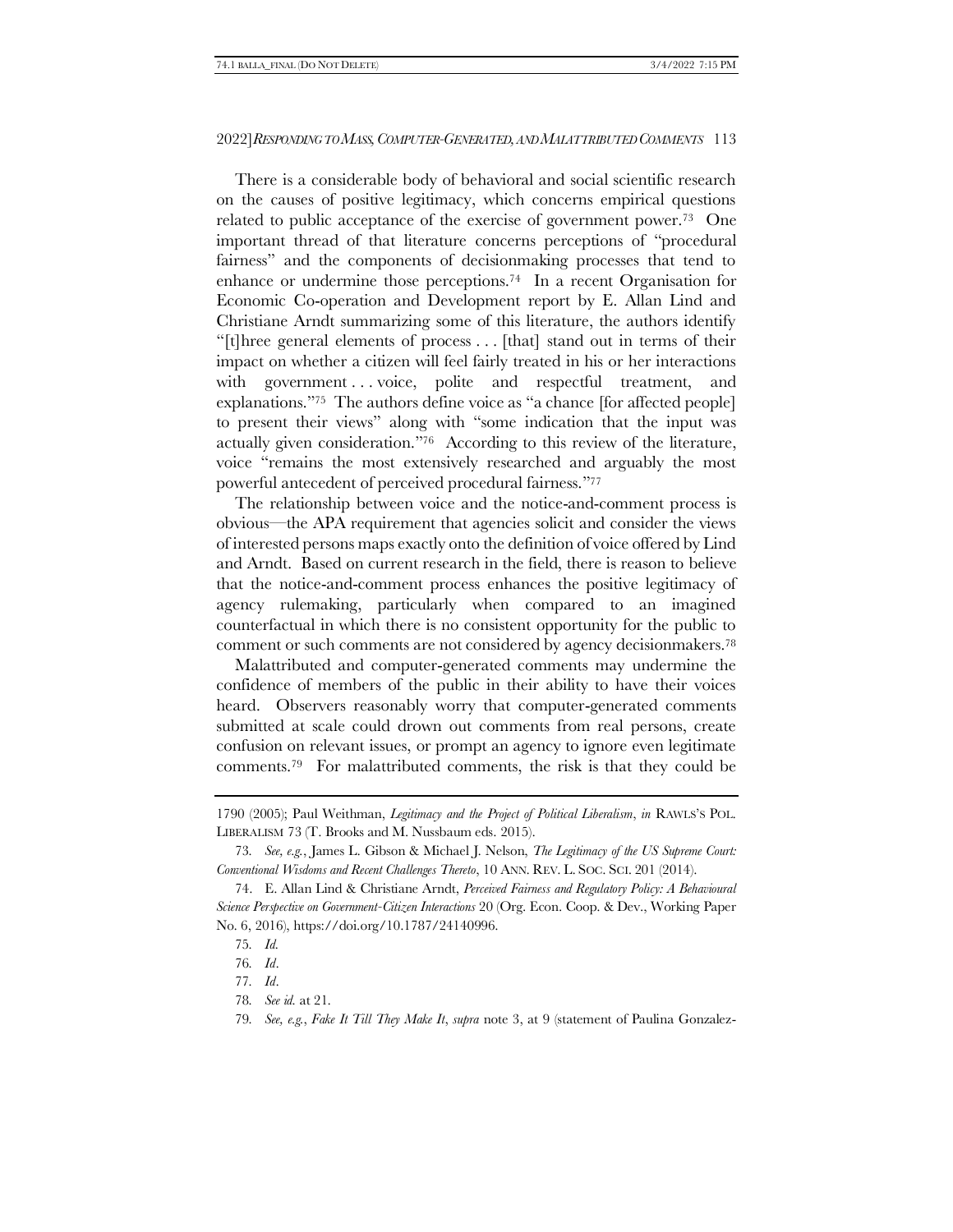<span id="page-18-0"></span>There is a considerable body of behavioral and social scientific research on the causes of positive legitimacy, which concerns empirical questions related to public acceptance of the exercise of government power.73 One important thread of that literature concerns perceptions of "procedural fairness" and the components of decisionmaking processes that tend to enhance or undermine those perceptions.74 In a recent Organisation for Economic Co-operation and Development report by E. Allan Lind and Christiane Arndt summarizing some of this literature, the authors identify "[t]hree general elements of process . . . [that] stand out in terms of their impact on whether a citizen will feel fairly treated in his or her interactions with government . . . voice, polite and respectful treatment, and explanations."75 The authors define voice as "a chance [for affected people] to present their views" along with "some indication that the input was actually given consideration."76 According to this review of the literature, voice "remains the most extensively researched and arguably the most powerful antecedent of perceived procedural fairness."<sup>77</sup>

<span id="page-18-1"></span>The relationship between voice and the notice-and-comment process is obvious—the APA requirement that agencies solicit and consider the views of interested persons maps exactly onto the definition of voice offered by Lind and Arndt. Based on current research in the field, there is reason to believe that the notice-and-comment process enhances the positive legitimacy of agency rulemaking, particularly when compared to an imagined counterfactual in which there is no consistent opportunity for the public to comment or such comments are not considered by agency decisionmakers.<sup>78</sup>

Malattributed and computer-generated comments may undermine the confidence of members of the public in their ability to have their voices heard. Observers reasonably worry that computer-generated comments submitted at scale could drown out comments from real persons, create confusion on relevant issues, or prompt an agency to ignore even legitimate comments.<sup>79</sup> For malattributed comments, the risk is that they could be

<sup>1790 (2005);</sup> Paul Weithman, *Legitimacy and the Project of Political Liberalism*, *in* RAWLS'S POL. LIBERALISM 73 (T. Brooks and M. Nussbaum eds. 2015).

<sup>73</sup>*. See, e.g.*, James L. Gibson & Michael J. Nelson, *The Legitimacy of the US Supreme Court: Conventional Wisdoms and Recent Challenges Thereto*, 10 ANN. REV. L. SOC. SCI. 201 (2014).

<sup>74.</sup> E. Allan Lind & Christiane Arndt, *Perceived Fairness and Regulatory Policy: A Behavioural Science Perspective on Government-Citizen Interactions* 20 (Org. Econ. Coop. & Dev., Working Paper No. 6, 2016), https://doi.org/10.1787/24140996.

<sup>75</sup>*. Id.*

<sup>76</sup>*. Id*.

<sup>77</sup>*. Id*.

<sup>78</sup>*. See id.* at 21.

<sup>79</sup>*. See, e.g.*, *Fake It Till They Make It*, *supra* note [3,](#page-2-1) at 9 (statement of Paulina Gonzalez-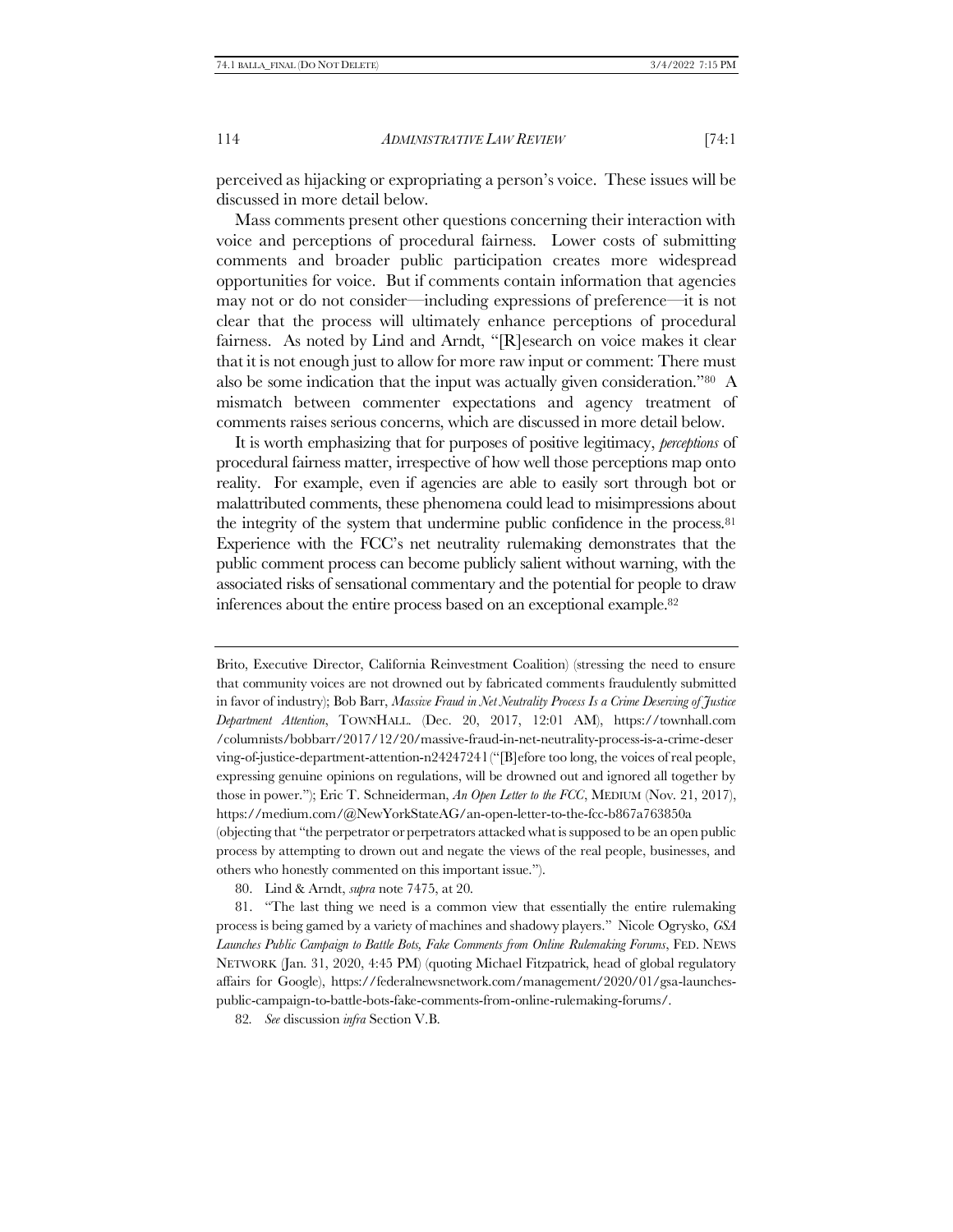perceived as hijacking or expropriating a person's voice. These issues will be discussed in more detail below.

Mass comments present other questions concerning their interaction with voice and perceptions of procedural fairness. Lower costs of submitting comments and broader public participation creates more widespread opportunities for voice. But if comments contain information that agencies may not or do not consider—including expressions of preference—it is not clear that the process will ultimately enhance perceptions of procedural fairness. As noted by Lind and Arndt, "[R]esearch on voice makes it clear that it is not enough just to allow for more raw input or comment: There must also be some indication that the input was actually given consideration."80 A mismatch between commenter expectations and agency treatment of comments raises serious concerns, which are discussed in more detail below.

It is worth emphasizing that for purposes of positive legitimacy, *perceptions* of procedural fairness matter, irrespective of how well those perceptions map onto reality. For example, even if agencies are able to easily sort through bot or malattributed comments, these phenomena could lead to misimpressions about the integrity of the system that undermine public confidence in the process.<sup>81</sup> Experience with the FCC's net neutrality rulemaking demonstrates that the public comment process can become publicly salient without warning, with the associated risks of sensational commentary and the potential for people to draw inferences about the entire process based on an exceptional example.<sup>82</sup>

Brito, Executive Director, California Reinvestment Coalition) (stressing the need to ensure that community voices are not drowned out by fabricated comments fraudulently submitted in favor of industry); Bob Barr, *Massive Fraud in Net Neutrality Process Is a Crime Deserving of Justice Department Attention*, TOWNHALL. (Dec. 20, 2017, 12:01 AM), https://townhall.com /columnists/bobbarr/2017/12/20/massive-fraud-in-net-neutrality-process-is-a-crime-deser ving-of-justice-department-attention-n2424724 l ("[B]efore too long, the voices of real people, expressing genuine opinions on regulations, will be drowned out and ignored all together by those in power."); Eric T. Schneiderman, *An Open Letter to the FCC*, MEDIUM (Nov. 21, 2017), https://medium.com/@NewYorkStateAG/an-open-letter-to-the-fcc-b867a763850a (objecting that "the perpetrator or perpetrators attacked what is supposed to be an open public process by attempting to drown out and negate the views of the real people, businesses, and others who honestly commented on this important issue.").

80. Lind & Arndt, *supra* not[e 74](#page-18-0)[75,](#page-18-1) at 20.

81. "The last thing we need is a common view that essentially the entire rulemaking process is being gamed by a variety of machines and shadowy players." Nicole Ogrysko, *GSA Launches Public Campaign to Battle Bots, Fake Comments from Online Rulemaking Forums*, FED. NEWS NETWORK (Jan. 31, 2020, 4:45 PM) (quoting Michael Fitzpatrick, head of global regulatory affairs for Google), https://federalnewsnetwork.com/management/2020/01/gsa-launchespublic-campaign-to-battle-bots-fake-comments-from-online-rulemaking-forums/.

82*. See* discussion *infra* Section [V.B.](#page-50-1)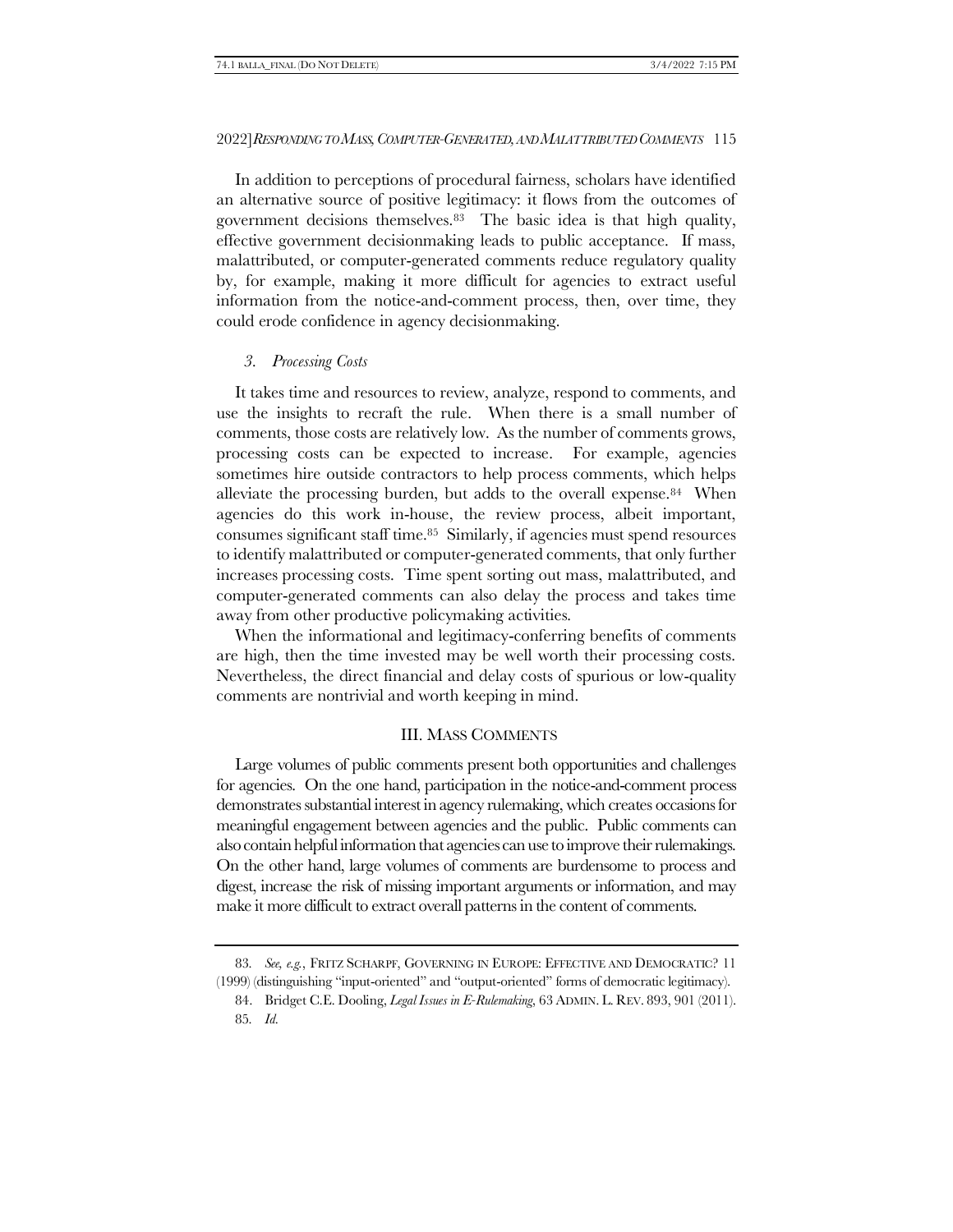In addition to perceptions of procedural fairness, scholars have identified an alternative source of positive legitimacy: it flows from the outcomes of government decisions themselves.83 The basic idea is that high quality, effective government decisionmaking leads to public acceptance. If mass, malattributed, or computer-generated comments reduce regulatory quality by, for example, making it more difficult for agencies to extract useful information from the notice-and-comment process, then, over time, they could erode confidence in agency decisionmaking.

# *3. Processing Costs*

It takes time and resources to review, analyze, respond to comments, and use the insights to recraft the rule. When there is a small number of comments, those costs are relatively low. As the number of comments grows, processing costs can be expected to increase. For example, agencies sometimes hire outside contractors to help process comments, which helps alleviate the processing burden, but adds to the overall expense.84 When agencies do this work in-house, the review process, albeit important, consumes significant staff time.85 Similarly, if agencies must spend resources to identify malattributed or computer-generated comments, that only further increases processing costs. Time spent sorting out mass, malattributed, and computer-generated comments can also delay the process and takes time away from other productive policymaking activities.

When the informational and legitimacy-conferring benefits of comments are high, then the time invested may be well worth their processing costs. Nevertheless, the direct financial and delay costs of spurious or low-quality comments are nontrivial and worth keeping in mind.

# <span id="page-20-0"></span>III. MASS COMMENTS

Large volumes of public comments present both opportunities and challenges for agencies. On the one hand, participation in the notice-and-comment process demonstrates substantial interest in agency rulemaking, which creates occasions for meaningful engagement between agencies and the public. Public comments can also contain helpful information that agencies can use to improve their rulemakings. On the other hand, large volumes of comments are burdensome to process and digest, increase the risk of missing important arguments or information, and may make it more difficult to extract overall patterns in the content of comments.

<sup>83</sup>*. See, e.g.*, FRITZ SCHARPF, GOVERNING IN EUROPE: EFFECTIVE AND DEMOCRATIC? 11 (1999) (distinguishing "input-oriented" and "output-oriented" forms of democratic legitimacy).

<sup>84.</sup> Bridget C.E. Dooling, *Legal Issues in E-Rulemaking*, 63 ADMIN. L. REV. 893, 901 (2011).

<sup>85</sup>*. Id.*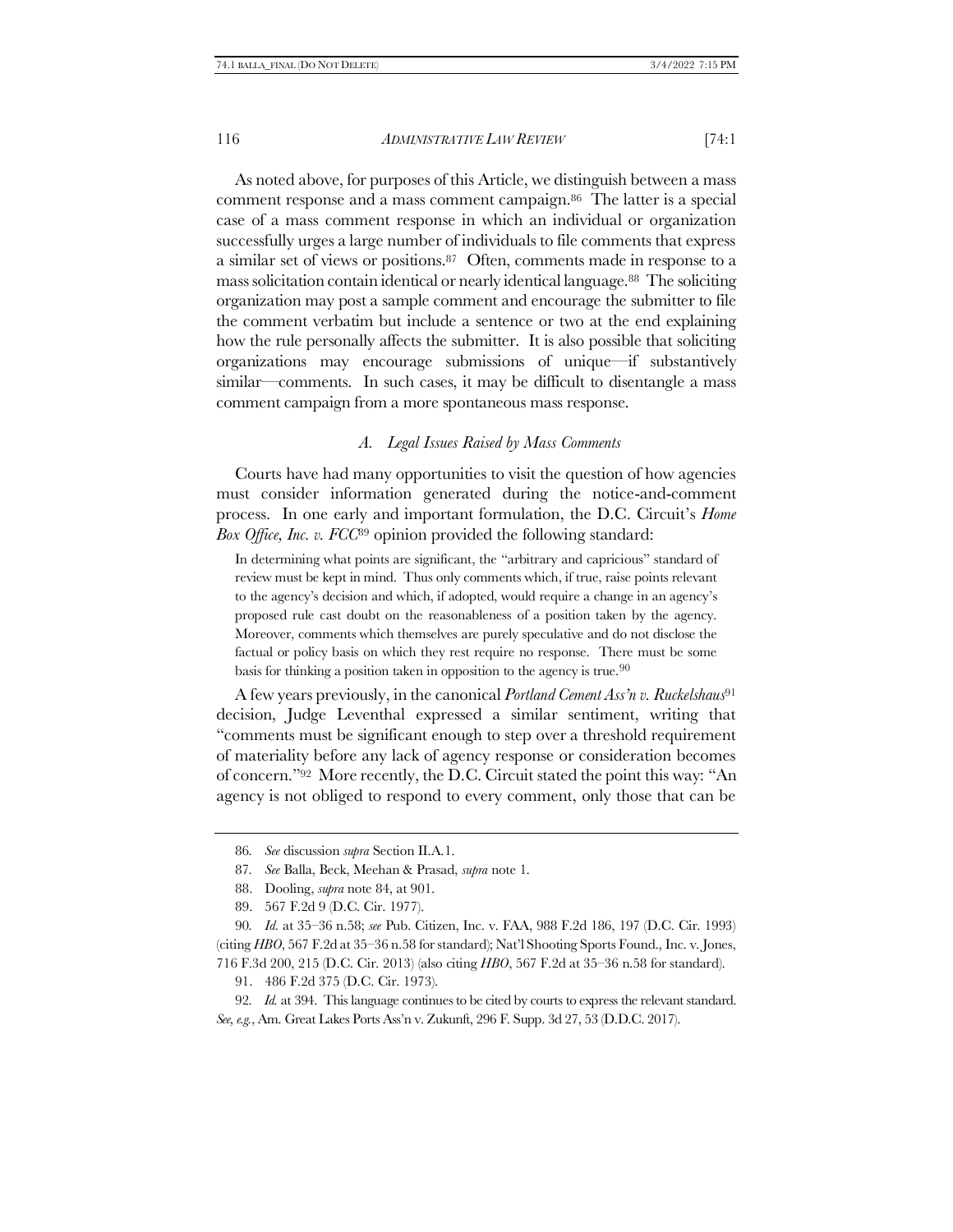As noted above, for purposes of this Article, we distinguish between a mass comment response and a mass comment campaign.86 The latter is a special case of a mass comment response in which an individual or organization successfully urges a large number of individuals to file comments that express a similar set of views or positions.87 Often, comments made in response to a mass solicitation contain identical or nearly identical language.88 The soliciting organization may post a sample comment and encourage the submitter to file the comment verbatim but include a sentence or two at the end explaining how the rule personally affects the submitter. It is also possible that soliciting organizations may encourage submissions of unique—if substantively similar—comments. In such cases, it may be difficult to disentangle a mass comment campaign from a more spontaneous mass response.

#### *A. Legal Issues Raised by Mass Comments*

Courts have had many opportunities to visit the question of how agencies must consider information generated during the notice-and-comment process. In one early and important formulation, the D.C. Circuit's *Home Box Office, Inc. v. FCC*<sup>89</sup> opinion provided the following standard:

In determining what points are significant, the "arbitrary and capricious" standard of review must be kept in mind. Thus only comments which, if true, raise points relevant to the agency's decision and which, if adopted, would require a change in an agency's proposed rule cast doubt on the reasonableness of a position taken by the agency. Moreover, comments which themselves are purely speculative and do not disclose the factual or policy basis on which they rest require no response. There must be some basis for thinking a position taken in opposition to the agency is true.90

A few years previously, in the canonical *Portland Cement Ass'n v. Ruckelshaus*<sup>91</sup> decision, Judge Leventhal expressed a similar sentiment, writing that "comments must be significant enough to step over a threshold requirement of materiality before any lack of agency response or consideration becomes of concern."92 More recently, the D.C. Circuit stated the point this way: "An agency is not obliged to respond to every comment, only those that can be

90*. Id.* at 35–36 n.58; *see* Pub. Citizen, Inc. v. FAA, 988 F.2d 186, 197 (D.C. Cir. 1993) (citing *HBO*, 567 F.2d at 35–36 n.58 for standard); Nat'l Shooting Sports Found., Inc. v. Jones, 716 F.3d 200, 215 (D.C. Cir. 2013) (also citing *HBO*, 567 F.2d at 35–36 n.58 for standard).

91. 486 F.2d 375 (D.C. Cir. 1973).

92*. Id.* at 394. This language continues to be cited by courts to express the relevant standard. *See, e.g.*, Am. Great Lakes Ports Ass'n v. Zukunft, 296 F. Supp. 3d 27, 53 (D.D.C. 2017).

<sup>86</sup>*. See* discussion *supra* Section II.[A.1.](#page-10-0)

<sup>87</sup>*. See* Balla, Beck, Meehan & Prasad, *supra* not[e 1.](#page-1-0)

<sup>88.</sup> Dooling, *supra* note [84,](#page-20-0) at 901.

<sup>89.</sup> 567 F.2d 9 (D.C. Cir. 1977).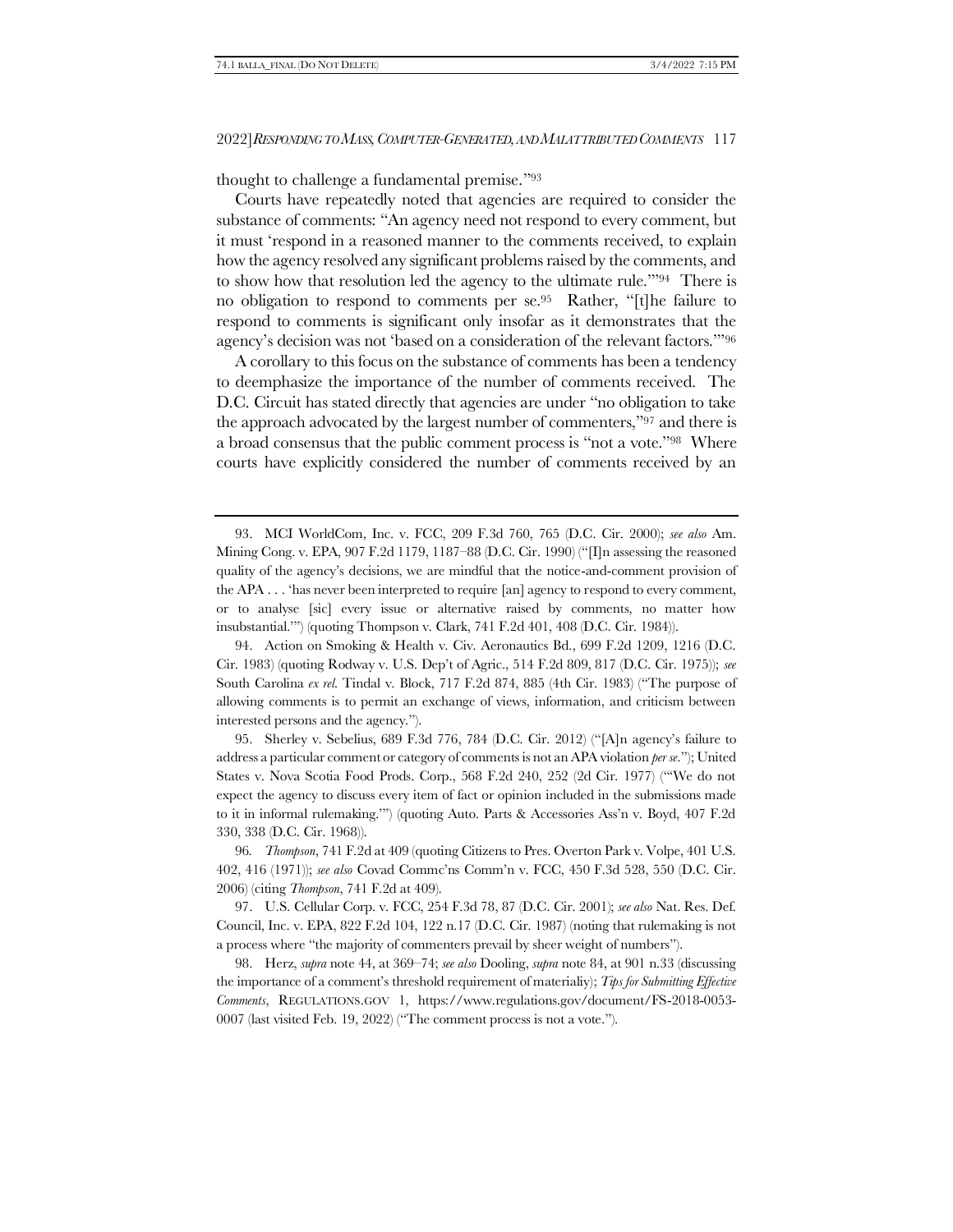thought to challenge a fundamental premise."<sup>93</sup>

<span id="page-22-0"></span>Courts have repeatedly noted that agencies are required to consider the substance of comments: "An agency need not respond to every comment, but it must 'respond in a reasoned manner to the comments received, to explain how the agency resolved any significant problems raised by the comments, and to show how that resolution led the agency to the ultimate rule.'"94 There is no obligation to respond to comments per se.<sup>95</sup> Rather, "[t]he failure to respond to comments is significant only insofar as it demonstrates that the agency's decision was not 'based on a consideration of the relevant factors.'"<sup>96</sup>

<span id="page-22-1"></span>A corollary to this focus on the substance of comments has been a tendency to deemphasize the importance of the number of comments received. The D.C. Circuit has stated directly that agencies are under "no obligation to take the approach advocated by the largest number of commenters,"<sup>97</sup> and there is a broad consensus that the public comment process is "not a vote."98 Where courts have explicitly considered the number of comments received by an

94. Action on Smoking & Health v. Civ. Aeronautics Bd., 699 F.2d 1209, 1216 (D.C. Cir. 1983) (quoting Rodway v. U.S. Dep't of Agric., 514 F.2d 809, 817 (D.C. Cir. 1975)); *see*  South Carolina *ex rel.* Tindal v. Block, 717 F.2d 874, 885 (4th Cir. 1983) ("The purpose of allowing comments is to permit an exchange of views, information, and criticism between interested persons and the agency.").

95. Sherley v. Sebelius, 689 F.3d 776, 784 (D.C. Cir. 2012) ("[A]n agency's failure to address a particular comment or category of comments is not an APA violation *per se*."); United States v. Nova Scotia Food Prods. Corp., 568 F.2d 240, 252 (2d Cir. 1977) ("'We do not expect the agency to discuss every item of fact or opinion included in the submissions made to it in informal rulemaking.'") (quoting Auto. Parts & Accessories Ass'n v. Boyd, 407 F.2d 330, 338 (D.C. Cir. 1968)).

96*. Thompson*, 741 F.2d at 409 (quoting Citizens to Pres. Overton Park v. Volpe, 401 U.S. 402, 416 (1971)); *see also* Covad Commc'ns Comm'n v. FCC, 450 F.3d 528, 550 (D.C. Cir. 2006) (citing *Thompson*, 741 F.2d at 409).

97. U.S. Cellular Corp. v. FCC, 254 F.3d 78, 87 (D.C. Cir. 2001); *see also* Nat. Res. Def. Council, Inc. v. EPA, 822 F.2d 104, 122 n.17 (D.C. Cir. 1987) (noting that rulemaking is not a process where "the majority of commenters prevail by sheer weight of numbers").

98. Herz, *supra* note [44,](#page-10-1) at 369–74; *see also* Dooling, *supra* note [84,](#page-20-0) at 901 n.33 (discussing the importance of a comment's threshold requirement of materialiy); *Tips for Submitting Effective Comments*, REGULATIONS.GOV 1, https://www.regulations.gov/document/FS-2018-0053- 0007 (last visited Feb. 19, 2022) ("The comment process is not a vote.").

<sup>93.</sup> MCI WorldCom, Inc. v. FCC, 209 F.3d 760, 765 (D.C. Cir. 2000); *see also* Am. Mining Cong. v. EPA, 907 F.2d 1179, 1187–88 (D.C. Cir. 1990) ("[I]n assessing the reasoned quality of the agency's decisions, we are mindful that the notice-and-comment provision of the APA . . . 'has never been interpreted to require [an] agency to respond to every comment, or to analyse [sic] every issue or alternative raised by comments, no matter how insubstantial.'") (quoting Thompson v. Clark, 741 F.2d 401, 408 (D.C. Cir. 1984)).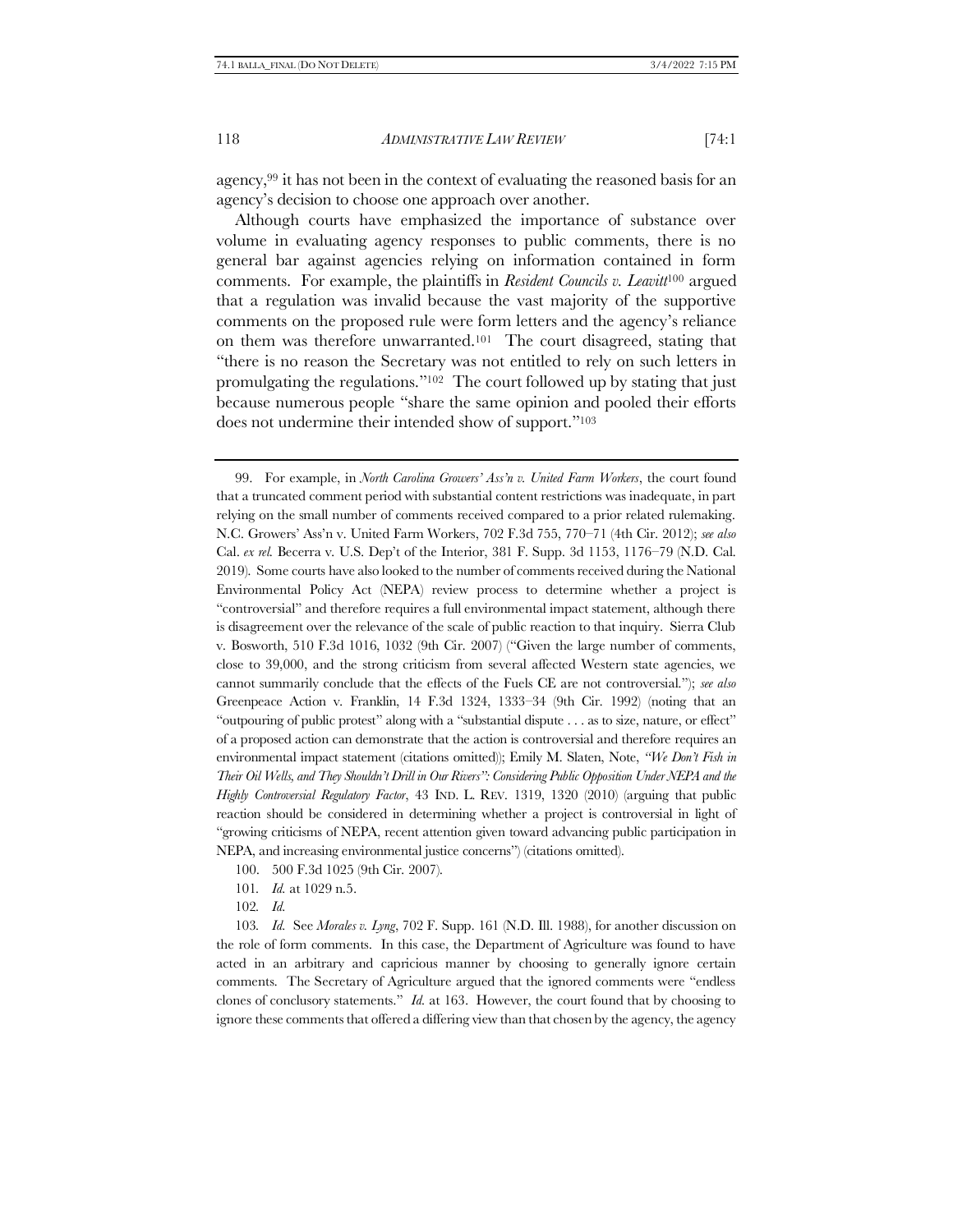agency,<sup>99</sup> it has not been in the context of evaluating the reasoned basis for an agency's decision to choose one approach over another.

Although courts have emphasized the importance of substance over volume in evaluating agency responses to public comments, there is no general bar against agencies relying on information contained in form comments. For example, the plaintiffs in *Resident Councils v. Leavitt*<sup>100</sup> argued that a regulation was invalid because the vast majority of the supportive comments on the proposed rule were form letters and the agency's reliance on them was therefore unwarranted.101 The court disagreed, stating that "there is no reason the Secretary was not entitled to rely on such letters in promulgating the regulations."102 The court followed up by stating that just because numerous people "share the same opinion and pooled their efforts does not undermine their intended show of support."<sup>103</sup>

99. For example, in *North Carolina Growers' Ass'n v. United Farm Workers*, the court found that a truncated comment period with substantial content restrictions was inadequate, in part relying on the small number of comments received compared to a prior related rulemaking. N.C. Growers' Ass'n v. United Farm Workers, 702 F.3d 755, 770–71 (4th Cir. 2012); *see also*  Cal. *ex rel.* Becerra v. U.S. Dep't of the Interior, 381 F. Supp. 3d 1153, 1176–79 (N.D. Cal. 2019). Some courts have also looked to the number of comments received during the National Environmental Policy Act (NEPA) review process to determine whether a project is "controversial" and therefore requires a full environmental impact statement, although there is disagreement over the relevance of the scale of public reaction to that inquiry. Sierra Club v. Bosworth, 510 F.3d 1016, 1032 (9th Cir. 2007) ("Given the large number of comments, close to 39,000, and the strong criticism from several affected Western state agencies, we cannot summarily conclude that the effects of the Fuels CE are not controversial."); *see also* Greenpeace Action v. Franklin, 14 F.3d 1324, 1333–34 (9th Cir. 1992) (noting that an "outpouring of public protest" along with a "substantial dispute . . . as to size, nature, or effect" of a proposed action can demonstrate that the action is controversial and therefore requires an environmental impact statement (citations omitted)); Emily M. Slaten, Note, *"We Don't Fish in Their Oil Wells, and They Shouldn't Drill in Our Rivers": Considering Public Opposition Under NEPA and the Highly Controversial Regulatory Factor*, 43 IND. L. REV. 1319, 1320 (2010) (arguing that public reaction should be considered in determining whether a project is controversial in light of "growing criticisms of NEPA, recent attention given toward advancing public participation in NEPA, and increasing environmental justice concerns") (citations omitted).

- 100. 500 F.3d 1025 (9th Cir. 2007).
- 101*. Id.* at 1029 n.5.

102*. Id.*

103*. Id.* See *Morales v. Lyng*, 702 F. Supp. 161 (N.D. Ill. 1988), for another discussion on the role of form comments. In this case, the Department of Agriculture was found to have acted in an arbitrary and capricious manner by choosing to generally ignore certain comments. The Secretary of Agriculture argued that the ignored comments were "endless clones of conclusory statements." *Id.* at 163. However, the court found that by choosing to ignore these comments that offered a differing view than that chosen by the agency, the agency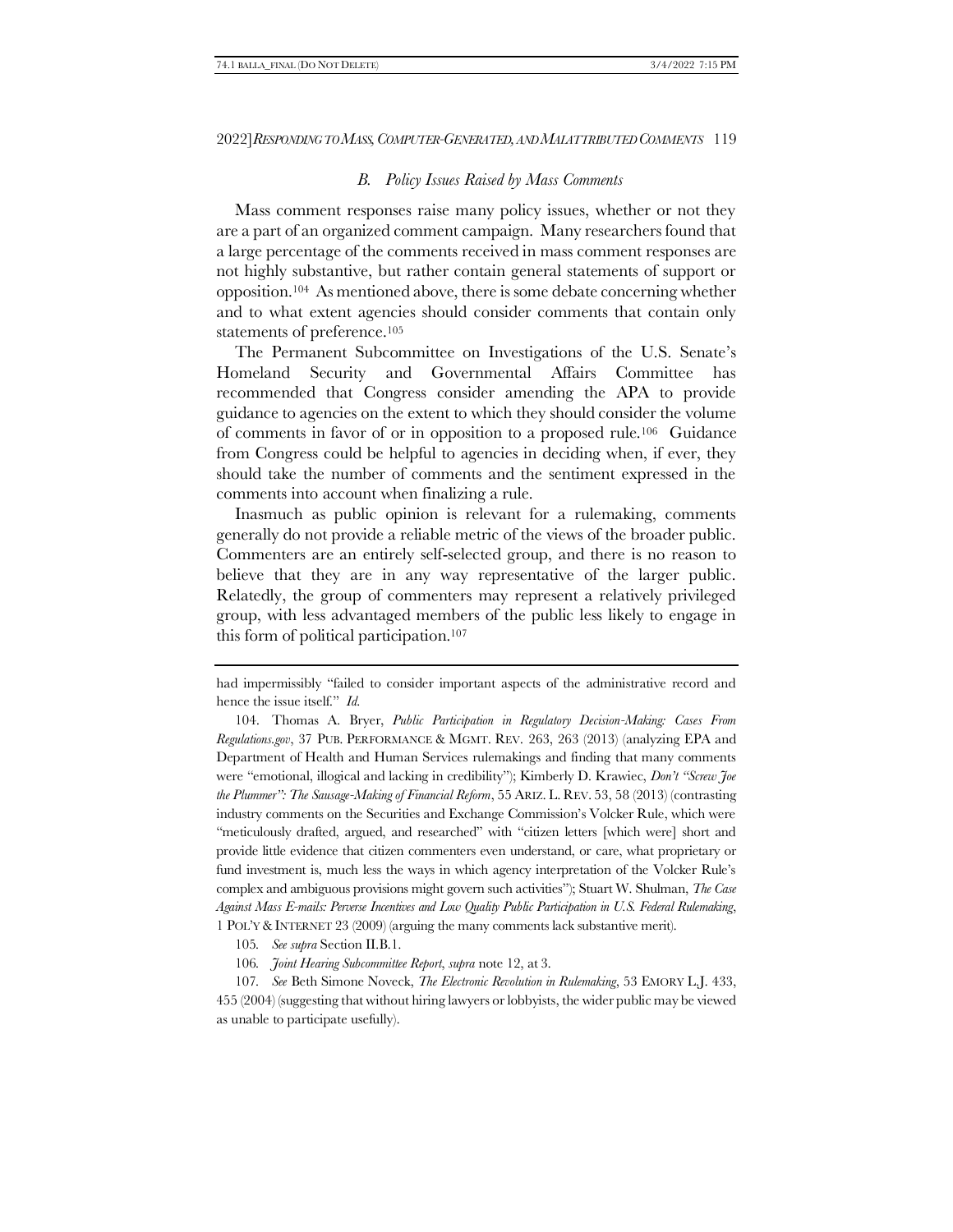# *B. Policy Issues Raised by Mass Comments*

<span id="page-24-0"></span>Mass comment responses raise many policy issues, whether or not they are a part of an organized comment campaign. Many researchers found that a large percentage of the comments received in mass comment responses are not highly substantive, but rather contain general statements of support or opposition.104 As mentioned above, there is some debate concerning whether and to what extent agencies should consider comments that contain only statements of preference.<sup>105</sup>

<span id="page-24-1"></span>The Permanent Subcommittee on Investigations of the U.S. Senate's Homeland Security and Governmental Affairs Committee has recommended that Congress consider amending the APA to provide guidance to agencies on the extent to which they should consider the volume of comments in favor of or in opposition to a proposed rule.106 Guidance from Congress could be helpful to agencies in deciding when, if ever, they should take the number of comments and the sentiment expressed in the comments into account when finalizing a rule.

Inasmuch as public opinion is relevant for a rulemaking, comments generally do not provide a reliable metric of the views of the broader public. Commenters are an entirely self-selected group, and there is no reason to believe that they are in any way representative of the larger public. Relatedly, the group of commenters may represent a relatively privileged group, with less advantaged members of the public less likely to engage in this form of political participation.<sup>107</sup>

had impermissibly "failed to consider important aspects of the administrative record and hence the issue itself." *Id.*

<sup>104.</sup> Thomas A. Bryer, *Public Participation in Regulatory Decision-Making: Cases From Regulations.gov*, 37 PUB. PERFORMANCE & MGMT. REV. 263, 263 (2013) (analyzing EPA and Department of Health and Human Services rulemakings and finding that many comments were "emotional, illogical and lacking in credibility"); Kimberly D. Krawiec, *Don't "Screw Joe the Plummer": The Sausage-Making of Financial Reform*, 55 ARIZ. L. REV. 53, 58 (2013) (contrasting industry comments on the Securities and Exchange Commission's Volcker Rule, which were "meticulously drafted, argued, and researched" with "citizen letters [which were] short and provide little evidence that citizen commenters even understand, or care, what proprietary or fund investment is, much less the ways in which agency interpretation of the Volcker Rule's complex and ambiguous provisions might govern such activities"); Stuart W. Shulman, *The Case Against Mass E-mails: Perverse Incentives and Low Quality Public Participation in U.S. Federal Rulemaking*, 1 POL'Y &INTERNET 23 (2009) (arguing the many comments lack substantive merit).

<sup>105</sup>*. See supra* Section II.[B.1.](#page-14-0)

<sup>106</sup>*. Joint Hearing Subcommittee Report*, *supra* note [12,](#page-3-1) at 3.

<sup>107</sup>*. See* Beth Simone Noveck, *The Electronic Revolution in Rulemaking*, 53 EMORY L.J. 433, 455 (2004) (suggesting that without hiring lawyers or lobbyists, the wider public may be viewed as unable to participate usefully).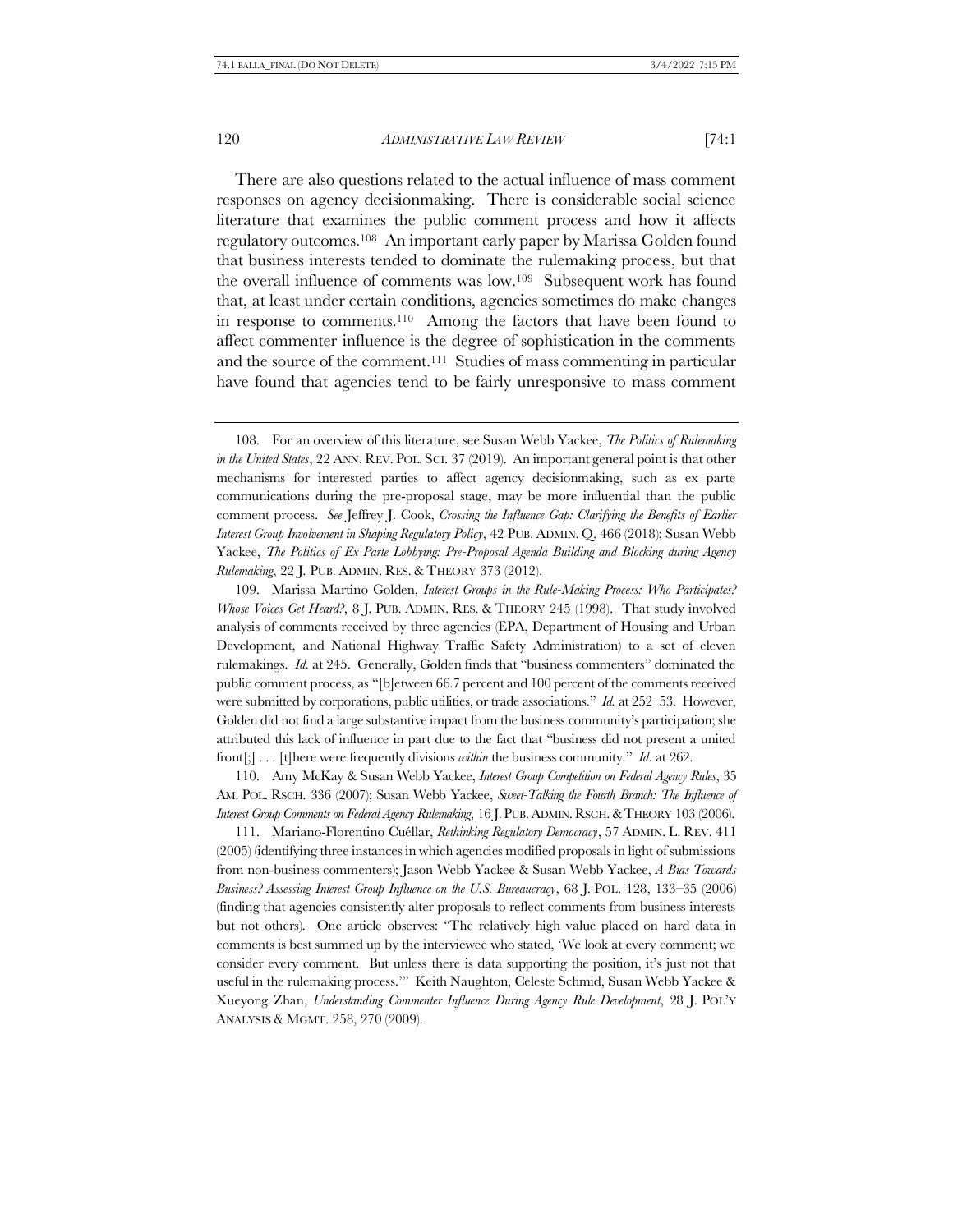There are also questions related to the actual influence of mass comment responses on agency decisionmaking. There is considerable social science literature that examines the public comment process and how it affects regulatory outcomes.108 An important early paper by Marissa Golden found that business interests tended to dominate the rulemaking process, but that the overall influence of comments was low.109 Subsequent work has found that, at least under certain conditions, agencies sometimes do make changes in response to comments.110 Among the factors that have been found to affect commenter influence is the degree of sophistication in the comments and the source of the comment.111 Studies of mass commenting in particular have found that agencies tend to be fairly unresponsive to mass comment

109. Marissa Martino Golden, *Interest Groups in the Rule-Making Process: Who Participates? Whose Voices Get Heard?*, 8 J. PUB. ADMIN. RES. & THEORY 245 (1998). That study involved analysis of comments received by three agencies (EPA, Department of Housing and Urban Development, and National Highway Traffic Safety Administration) to a set of eleven rulemakings. *Id.* at 245. Generally, Golden finds that "business commenters" dominated the public comment process, as "[b]etween 66.7 percent and 100 percent of the comments received were submitted by corporations, public utilities, or trade associations." *Id.* at 252–53. However, Golden did not find a large substantive impact from the business community's participation; she attributed this lack of influence in part due to the fact that "business did not present a united front[;] . . . [t]here were frequently divisions *within* the business community." *Id.* at 262.

110. Amy McKay & Susan Webb Yackee, *Interest Group Competition on Federal Agency Rules*, 35 AM. POL. RSCH. 336 (2007); Susan Webb Yackee, *Sweet-Talking the Fourth Branch: The Influence of Interest Group Comments on Federal Agency Rulemaking*, 16 J. PUB.ADMIN.RSCH.&THEORY 103 (2006).

111. Mariano-Florentino Cuéllar, *Rethinking Regulatory Democracy*, 57 ADMIN. L. REV. 411 (2005) (identifying three instances in which agencies modified proposals in light of submissions from non-business commenters); Jason Webb Yackee & Susan Webb Yackee, *A Bias Towards Business? Assessing Interest Group Influence on the U.S. Bureaucracy*, 68 J. POL. 128, 133–35 (2006) (finding that agencies consistently alter proposals to reflect comments from business interests but not others). One article observes: "The relatively high value placed on hard data in comments is best summed up by the interviewee who stated, 'We look at every comment; we consider every comment. But unless there is data supporting the position, it's just not that useful in the rulemaking process.'" Keith Naughton, Celeste Schmid, Susan Webb Yackee & Xueyong Zhan, *Understanding Commenter Influence During Agency Rule Development*, 28 J. POL'Y ANALYSIS & MGMT. 258, 270 (2009).

<sup>108.</sup> For an overview of this literature, see Susan Webb Yackee, *The Politics of Rulemaking in the United States*, 22 ANN. REV. POL. SCI. 37 (2019). An important general point is that other mechanisms for interested parties to affect agency decisionmaking, such as ex parte communications during the pre-proposal stage, may be more influential than the public comment process. *See* Jeffrey J. Cook, *Crossing the Influence Gap: Clarifying the Benefits of Earlier Interest Group Involvement in Shaping Regulatory Policy*, 42 PUB. ADMIN. Q. 466 (2018); Susan Webb Yackee, *The Politics of Ex Parte Lobbying: Pre-Proposal Agenda Building and Blocking during Agency Rulemaking*, 22 J. PUB. ADMIN. RES.& THEORY 373 (2012).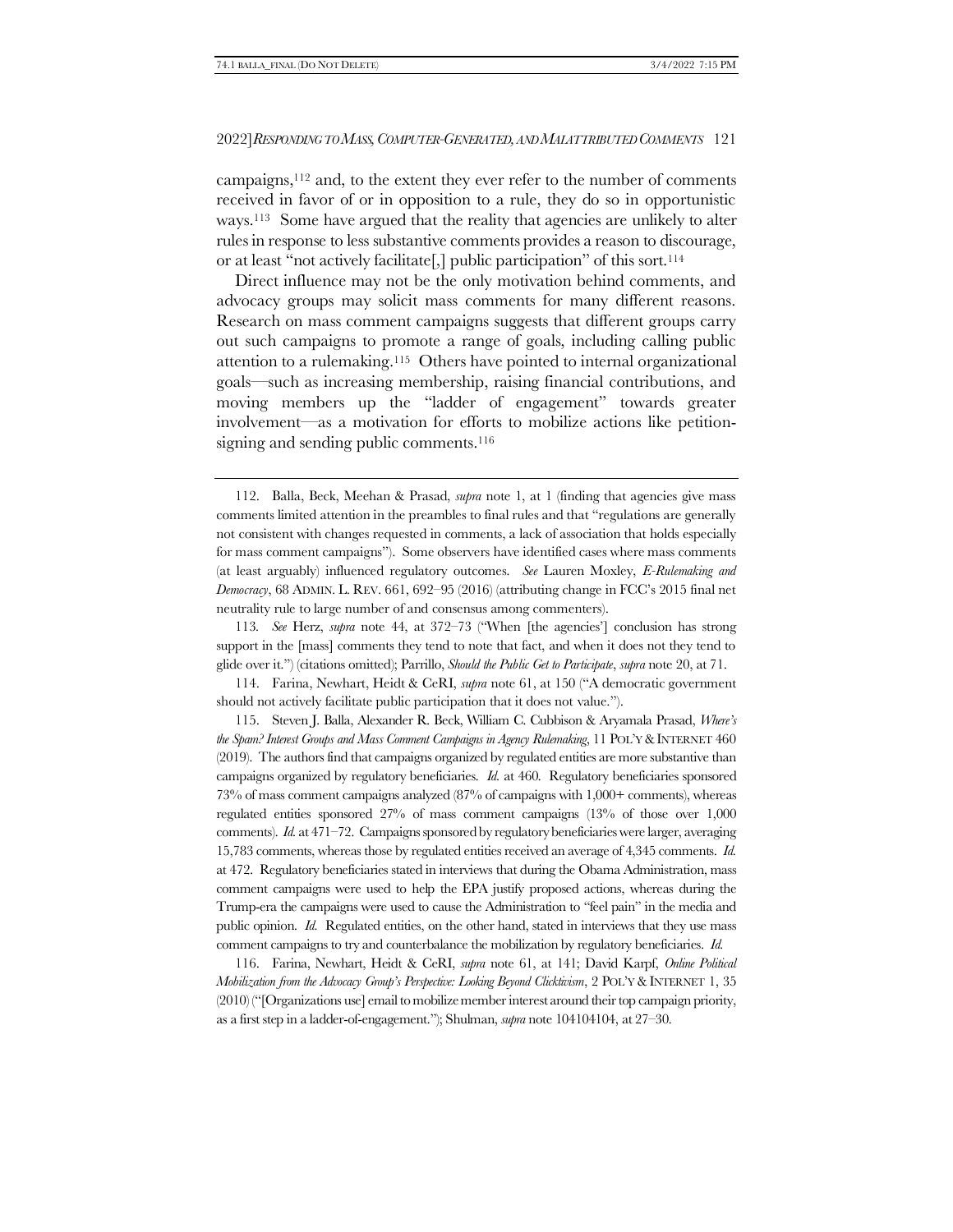campaigns,<sup>112</sup> and, to the extent they ever refer to the number of comments received in favor of or in opposition to a rule, they do so in opportunistic ways.113 Some have argued that the reality that agencies are unlikely to alter rules in response to less substantive comments provides a reason to discourage, or at least "not actively facilitate[,] public participation" of this sort.<sup>114</sup>

Direct influence may not be the only motivation behind comments, and advocacy groups may solicit mass comments for many different reasons. Research on mass comment campaigns suggests that different groups carry out such campaigns to promote a range of goals, including calling public attention to a rulemaking.115 Others have pointed to internal organizational goals—such as increasing membership, raising financial contributions, and moving members up the "ladder of engagement" towards greater involvement—as a motivation for efforts to mobilize actions like petitionsigning and sending public comments.<sup>116</sup>

114. Farina, Newhart, Heidt & CeRI, *supra* note [61](#page-15-1), at 150 ("A democratic government should not actively facilitate public participation that it does not value.").

115. Steven J. Balla, Alexander R. Beck, William C. Cubbison & Aryamala Prasad, *Where's the Spam? Interest Groups and Mass Comment Campaigns in Agency Rulemaking*, 11 POL'Y &INTERNET 460 (2019). The authors find that campaigns organized by regulated entities are more substantive than campaigns organized by regulatory beneficiaries. *Id.* at 460. Regulatory beneficiaries sponsored 73% of mass comment campaigns analyzed (87% of campaigns with 1,000+ comments), whereas regulated entities sponsored 27% of mass comment campaigns (13% of those over 1,000 comments). *Id.* at 471–72. Campaigns sponsored by regulatory beneficiaries were larger, averaging 15,783 comments, whereas those by regulated entities received an average of 4,345 comments. *Id.*  at 472. Regulatory beneficiaries stated in interviews that during the Obama Administration, mass comment campaigns were used to help the EPA justify proposed actions, whereas during the Trump-era the campaigns were used to cause the Administration to "feel pain" in the media and public opinion. *Id.* Regulated entities, on the other hand, stated in interviews that they use mass comment campaigns to try and counterbalance the mobilization by regulatory beneficiaries. *Id.*

116. Farina, Newhart, Heidt & CeRI, *supra* note [61,](#page-15-1) at 141; David Karpf, *Online Political Mobilization from the Advocacy Group's Perspective: Looking Beyond Clicktivism*, 2 POL'Y &INTERNET 1, 35 (2010) ("[Organizations use] email to mobilize member interest around their top campaign priority, as a first step in a ladder-of-engagement."); Shulman, *supra* not[e 104104104,](#page-24-1) at 27–30.

<sup>112.</sup> Balla, Beck, Meehan & Prasad, *supra* note [1,](#page-1-0) at 1 (finding that agencies give mass comments limited attention in the preambles to final rules and that "regulations are generally not consistent with changes requested in comments, a lack of association that holds especially for mass comment campaigns"). Some observers have identified cases where mass comments (at least arguably) influenced regulatory outcomes. *See* Lauren Moxley, *E-Rulemaking and Democracy*, 68 ADMIN. L. REV. 661, 692–95 (2016) (attributing change in FCC's 2015 final net neutrality rule to large number of and consensus among commenters).

<sup>113</sup>*. See* Herz, *supra* note [44,](#page-10-1) at 372–73 ("When [the agencies'] conclusion has strong support in the [mass] comments they tend to note that fact, and when it does not they tend to glide over it.") (citations omitted); Parrillo, *Should the Public Get to Participate*, *supra* not[e 20,](#page-6-0) at 71.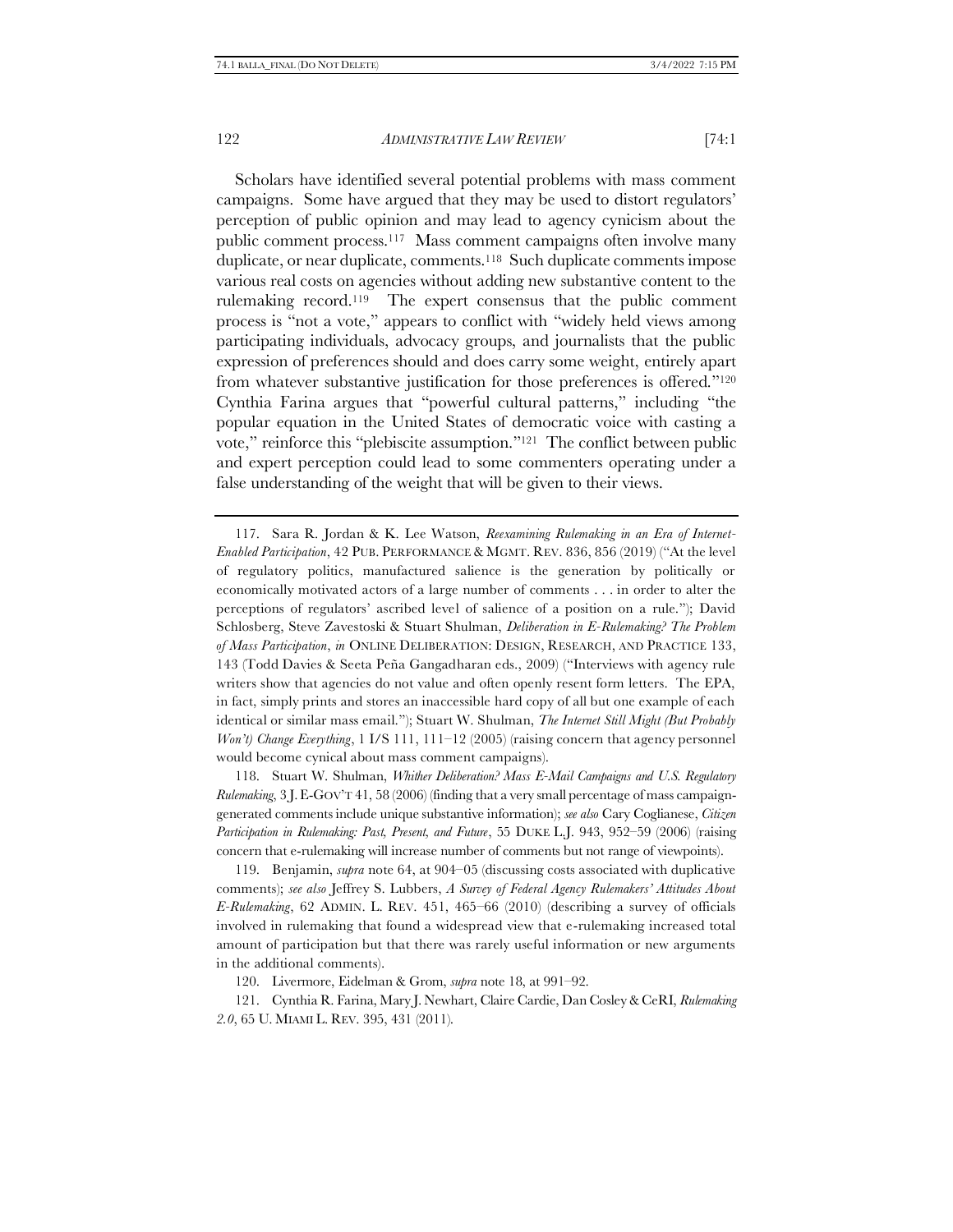<span id="page-27-0"></span>Scholars have identified several potential problems with mass comment campaigns. Some have argued that they may be used to distort regulators' perception of public opinion and may lead to agency cynicism about the public comment process.117 Mass comment campaigns often involve many duplicate, or near duplicate, comments.118 Such duplicate comments impose various real costs on agencies without adding new substantive content to the rulemaking record.119 The expert consensus that the public comment process is "not a vote," appears to conflict with "widely held views among participating individuals, advocacy groups, and journalists that the public expression of preferences should and does carry some weight, entirely apart from whatever substantive justification for those preferences is offered."<sup>120</sup> Cynthia Farina argues that "powerful cultural patterns," including "the popular equation in the United States of democratic voice with casting a vote," reinforce this "plebiscite assumption."121 The conflict between public and expert perception could lead to some commenters operating under a false understanding of the weight that will be given to their views.

118. Stuart W. Shulman, *Whither Deliberation? Mass E-Mail Campaigns and U.S. Regulatory Rulemaking*, 3 J.E-GOV'T 41, 58 (2006) (finding that a very small percentage of mass campaigngenerated comments include unique substantive information); *see also* Cary Coglianese, *Citizen Participation in Rulemaking: Past, Present, and Future*, 55 DUKE L.J. 943, 952–59 (2006) (raising concern that e-rulemaking will increase number of comments but not range of viewpoints).

119. Benjamin, *supra* note [64,](#page-16-0) at 904–05 (discussing costs associated with duplicative comments); *see also* Jeffrey S. Lubbers, *A Survey of Federal Agency Rulemakers' Attitudes About E-Rulemaking*, 62 ADMIN. L. REV. 451, 465–66 (2010) (describing a survey of officials involved in rulemaking that found a widespread view that e-rulemaking increased total amount of participation but that there was rarely useful information or new arguments in the additional comments).

120. Livermore, Eidelman & Grom, *supra* not[e 18,](#page-5-1) at 991–92.

121. Cynthia R. Farina, Mary J. Newhart, Claire Cardie, Dan Cosley & CeRI, *Rulemaking 2.0*, 65 U. MIAMI L. REV. 395, 431 (2011).

<sup>117.</sup> Sara R. Jordan & K. Lee Watson, *Reexamining Rulemaking in an Era of Internet-Enabled Participation*, 42 PUB. PERFORMANCE & MGMT. REV. 836, 856 (2019) ("At the level of regulatory politics, manufactured salience is the generation by politically or economically motivated actors of a large number of comments . . . in order to alter the perceptions of regulators' ascribed level of salience of a position on a rule."); David Schlosberg, Steve Zavestoski & Stuart Shulman, *Deliberation in E-Rulemaking? The Problem of Mass Participation*, *in* ONLINE DELIBERATION: DESIGN, RESEARCH, AND PRACTICE 133, 143 (Todd Davies & Seeta Peña Gangadharan eds., 2009) ("Interviews with agency rule writers show that agencies do not value and often openly resent form letters. The EPA, in fact, simply prints and stores an inaccessible hard copy of all but one example of each identical or similar mass email."); Stuart W. Shulman, *The Internet Still Might (But Probably Won't) Change Everything*, 1 I/S 111, 111–12 (2005) (raising concern that agency personnel would become cynical about mass comment campaigns).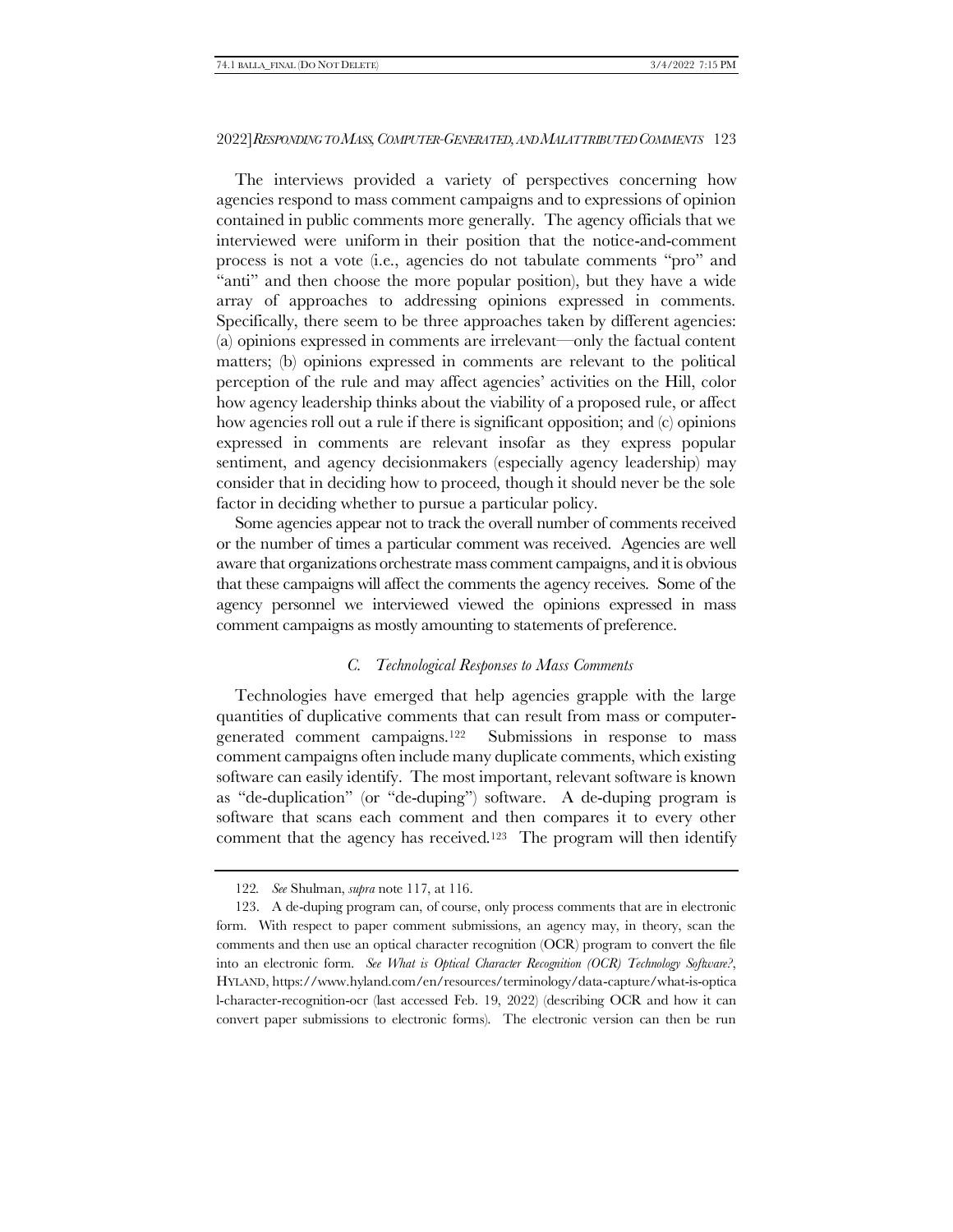The interviews provided a variety of perspectives concerning how agencies respond to mass comment campaigns and to expressions of opinion contained in public comments more generally. The agency officials that we interviewed were uniform in their position that the notice-and-comment process is not a vote (i.e., agencies do not tabulate comments "pro" and "anti" and then choose the more popular position), but they have a wide array of approaches to addressing opinions expressed in comments. Specifically, there seem to be three approaches taken by different agencies: (a) opinions expressed in comments are irrelevant—only the factual content matters; (b) opinions expressed in comments are relevant to the political perception of the rule and may affect agencies' activities on the Hill, color how agency leadership thinks about the viability of a proposed rule, or affect how agencies roll out a rule if there is significant opposition; and (c) opinions expressed in comments are relevant insofar as they express popular sentiment, and agency decisionmakers (especially agency leadership) may consider that in deciding how to proceed, though it should never be the sole factor in deciding whether to pursue a particular policy.

Some agencies appear not to track the overall number of comments received or the number of times a particular comment was received. Agencies are well aware that organizations orchestrate mass comment campaigns, and it is obvious that these campaigns will affect the comments the agency receives. Some of the agency personnel we interviewed viewed the opinions expressed in mass comment campaigns as mostly amounting to statements of preference.

# *C. Technological Responses to Mass Comments*

<span id="page-28-0"></span>Technologies have emerged that help agencies grapple with the large quantities of duplicative comments that can result from mass or computergenerated comment campaigns.122 Submissions in response to mass comment campaigns often include many duplicate comments, which existing software can easily identify. The most important, relevant software is known as "de-duplication" (or "de-duping") software. A de-duping program is software that scans each comment and then compares it to every other comment that the agency has received.<sup>123</sup> The program will then identify

<sup>122</sup>*. See* Shulman, *supra* note [117,](#page-27-0) at 116.

<sup>123.</sup> A de-duping program can, of course, only process comments that are in electronic form. With respect to paper comment submissions, an agency may, in theory, scan the comments and then use an optical character recognition (OCR) program to convert the file into an electronic form. *See What is Optical Character Recognition (OCR) Technology Software?*, HYLAND, https://www.hyland.com/en/resources/terminology/data-capture/what-is-optica l-character-recognition-ocr (last accessed Feb. 19, 2022) (describing OCR and how it can convert paper submissions to electronic forms). The electronic version can then be run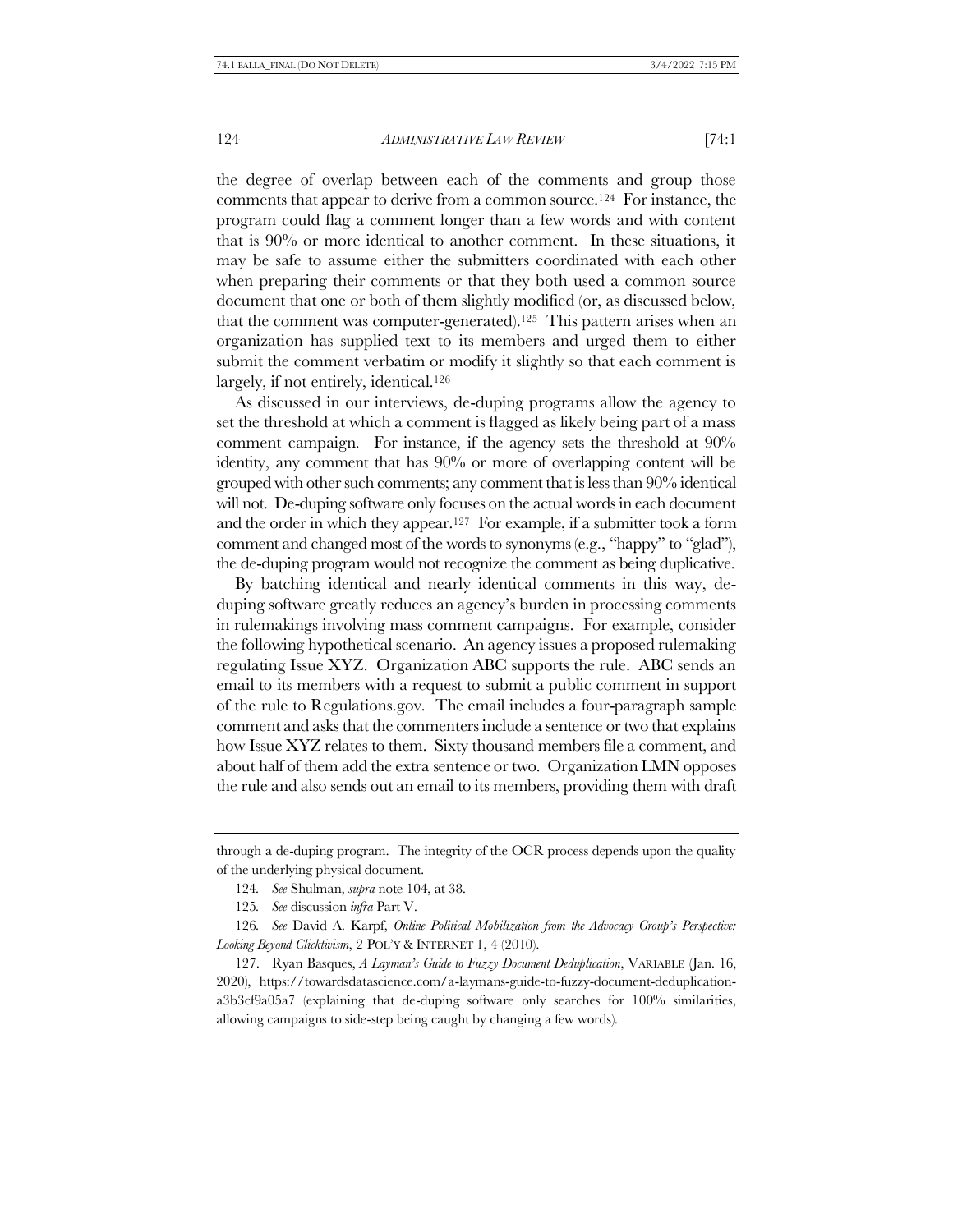the degree of overlap between each of the comments and group those comments that appear to derive from a common source.124 For instance, the program could flag a comment longer than a few words and with content that is 90% or more identical to another comment. In these situations, it may be safe to assume either the submitters coordinated with each other when preparing their comments or that they both used a common source document that one or both of them slightly modified (or, as discussed below, that the comment was computer-generated).<sup>125</sup> This pattern arises when an organization has supplied text to its members and urged them to either submit the comment verbatim or modify it slightly so that each comment is largely, if not entirely, identical.<sup>126</sup>

As discussed in our interviews, de-duping programs allow the agency to set the threshold at which a comment is flagged as likely being part of a mass comment campaign. For instance, if the agency sets the threshold at 90% identity, any comment that has 90% or more of overlapping content will be grouped with other such comments; any comment that is less than 90% identical will not. De-duping software only focuses on the actual words in each document and the order in which they appear.127 For example, if a submitter took a form comment and changed most of the words to synonyms (e.g., "happy" to "glad"), the de-duping program would not recognize the comment as being duplicative.

By batching identical and nearly identical comments in this way, deduping software greatly reduces an agency's burden in processing comments in rulemakings involving mass comment campaigns. For example, consider the following hypothetical scenario. An agency issues a proposed rulemaking regulating Issue XYZ. Organization ABC supports the rule. ABC sends an email to its members with a request to submit a public comment in support of the rule to Regulations.gov. The email includes a four-paragraph sample comment and asks that the commenters include a sentence or two that explains how Issue XYZ relates to them. Sixty thousand members file a comment, and about half of them add the extra sentence or two. Organization LMN opposes the rule and also sends out an email to its members, providing them with draft

through a de-duping program. The integrity of the OCR process depends upon the quality of the underlying physical document.

<sup>124</sup>*. See* Shulman, *supra* note [104,](#page-24-1) at 38.

<sup>125</sup>*. See* discussion *infra* Part [V.](#page-48-0)

<sup>126</sup>*. See* David A. Karpf, *Online Political Mobilization from the Advocacy Group's Perspective: Looking Beyond Clicktivism*, 2 POL'Y & INTERNET 1, 4 (2010).

<sup>127.</sup> Ryan Basques, *A Layman's Guide to Fuzzy Document Deduplication*, VARIABLE (Jan. 16, 2020), https://towardsdatascience.com/a-laymans-guide-to-fuzzy-document-deduplicationa3b3cf9a05a7 (explaining that de-duping software only searches for 100% similarities, allowing campaigns to side-step being caught by changing a few words).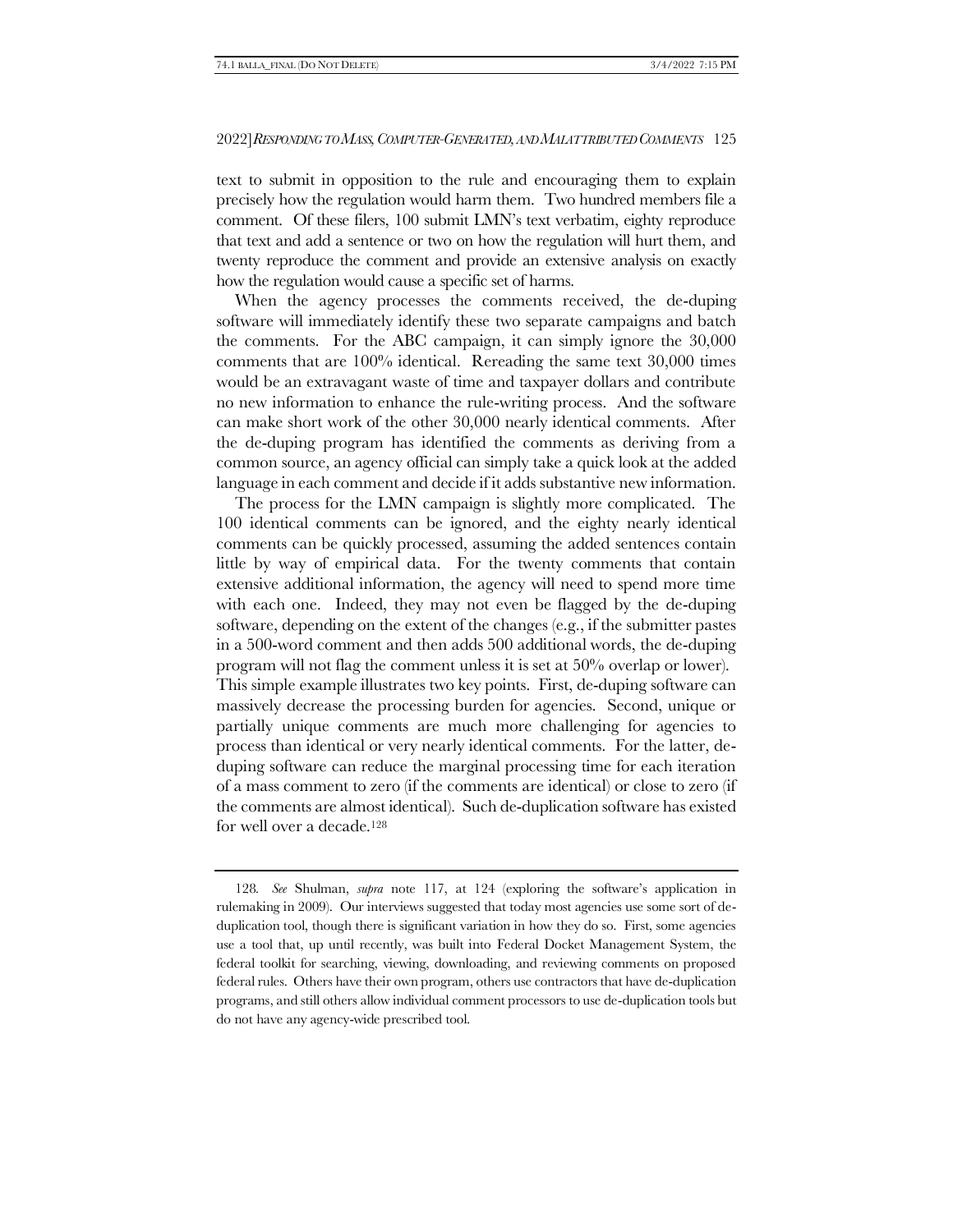text to submit in opposition to the rule and encouraging them to explain precisely how the regulation would harm them. Two hundred members file a comment. Of these filers, 100 submit LMN's text verbatim, eighty reproduce that text and add a sentence or two on how the regulation will hurt them, and twenty reproduce the comment and provide an extensive analysis on exactly how the regulation would cause a specific set of harms.

When the agency processes the comments received, the de-duping software will immediately identify these two separate campaigns and batch the comments. For the ABC campaign, it can simply ignore the 30,000 comments that are 100% identical. Rereading the same text 30,000 times would be an extravagant waste of time and taxpayer dollars and contribute no new information to enhance the rule-writing process. And the software can make short work of the other 30,000 nearly identical comments. After the de-duping program has identified the comments as deriving from a common source, an agency official can simply take a quick look at the added language in each comment and decide if it adds substantive new information.

The process for the LMN campaign is slightly more complicated. The 100 identical comments can be ignored, and the eighty nearly identical comments can be quickly processed, assuming the added sentences contain little by way of empirical data. For the twenty comments that contain extensive additional information, the agency will need to spend more time with each one. Indeed, they may not even be flagged by the de-duping software, depending on the extent of the changes (e.g., if the submitter pastes in a 500-word comment and then adds 500 additional words, the de-duping program will not flag the comment unless it is set at 50% overlap or lower). This simple example illustrates two key points. First, de-duping software can massively decrease the processing burden for agencies. Second, unique or partially unique comments are much more challenging for agencies to process than identical or very nearly identical comments. For the latter, deduping software can reduce the marginal processing time for each iteration of a mass comment to zero (if the comments are identical) or close to zero (if the comments are almost identical). Such de-duplication software has existed for well over a decade.<sup>128</sup>

<sup>128</sup>*. See* Shulman, *supra* note [117](#page-27-0), at 124 (exploring the software's application in rulemaking in 2009). Our interviews suggested that today most agencies use some sort of deduplication tool, though there is significant variation in how they do so. First, some agencies use a tool that, up until recently, was built into Federal Docket Management System, the federal toolkit for searching, viewing, downloading, and reviewing comments on proposed federal rules. Others have their own program, others use contractors that have de-duplication programs, and still others allow individual comment processors to use de-duplication tools but do not have any agency-wide prescribed tool.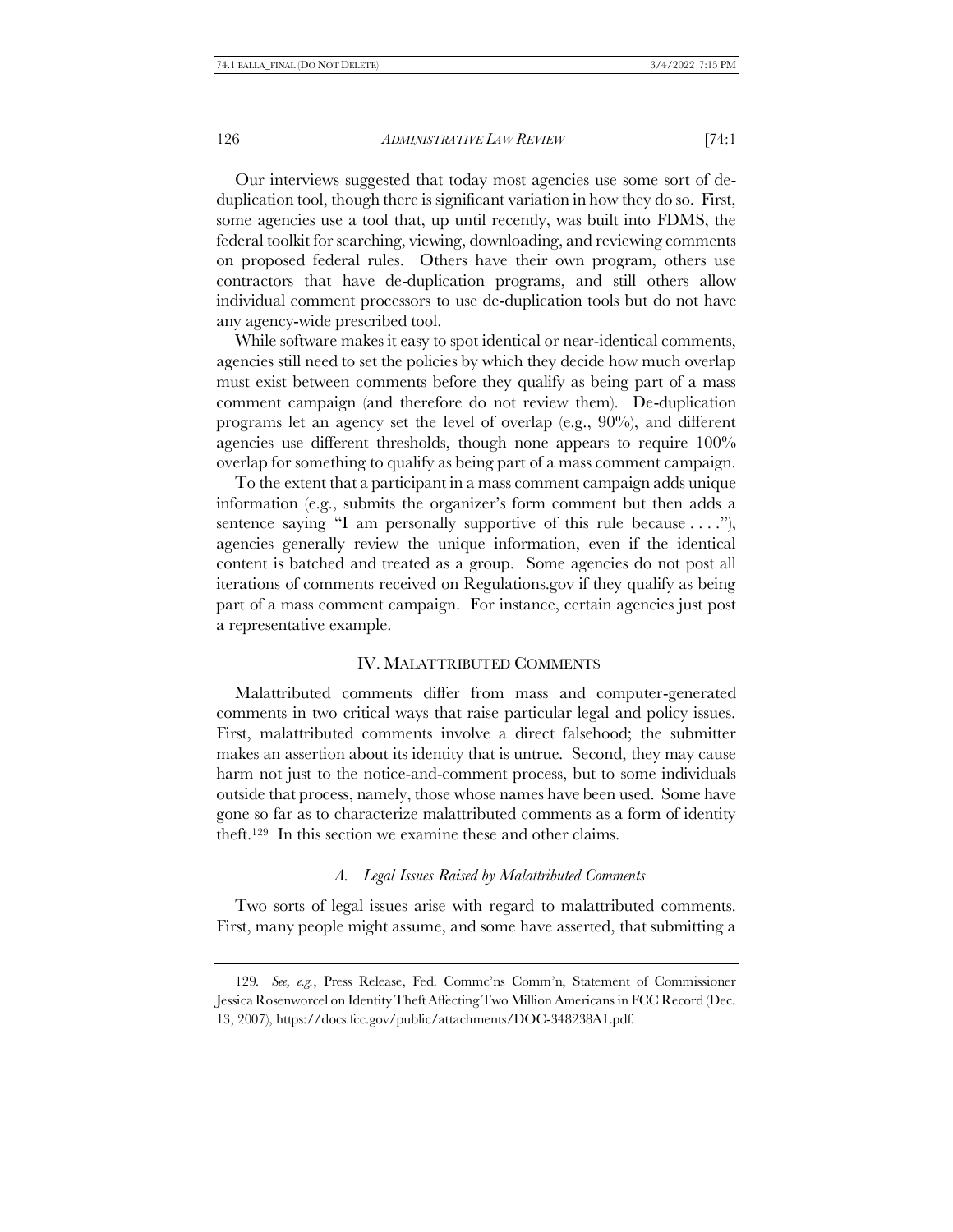Our interviews suggested that today most agencies use some sort of deduplication tool, though there is significant variation in how they do so. First, some agencies use a tool that, up until recently, was built into FDMS, the federal toolkit for searching, viewing, downloading, and reviewing comments on proposed federal rules. Others have their own program, others use contractors that have de-duplication programs, and still others allow individual comment processors to use de-duplication tools but do not have any agency-wide prescribed tool.

While software makes it easy to spot identical or near-identical comments, agencies still need to set the policies by which they decide how much overlap must exist between comments before they qualify as being part of a mass comment campaign (and therefore do not review them). De-duplication programs let an agency set the level of overlap (e.g., 90%), and different agencies use different thresholds, though none appears to require 100% overlap for something to qualify as being part of a mass comment campaign.

To the extent that a participant in a mass comment campaign adds unique information (e.g., submits the organizer's form comment but then adds a sentence saying "I am personally supportive of this rule because  $\dots$ "), agencies generally review the unique information, even if the identical content is batched and treated as a group. Some agencies do not post all iterations of comments received on Regulations.gov if they qualify as being part of a mass comment campaign. For instance, certain agencies just post a representative example.

#### IV. MALATTRIBUTED COMMENTS

Malattributed comments differ from mass and computer-generated comments in two critical ways that raise particular legal and policy issues. First, malattributed comments involve a direct falsehood; the submitter makes an assertion about its identity that is untrue. Second, they may cause harm not just to the notice-and-comment process, but to some individuals outside that process, namely, those whose names have been used. Some have gone so far as to characterize malattributed comments as a form of identity theft.129 In this section we examine these and other claims.

### *A. Legal Issues Raised by Malattributed Comments*

Two sorts of legal issues arise with regard to malattributed comments. First, many people might assume, and some have asserted, that submitting a

<sup>129</sup>*. See, e.g.*, Press Release, Fed. Commc'ns Comm'n, Statement of Commissioner Jessica Rosenworcel on Identity Theft Affecting Two Million Americans in FCC Record (Dec. 13, 2007), https://docs.fcc.gov/public/attachments/DOC-348238A1.pdf.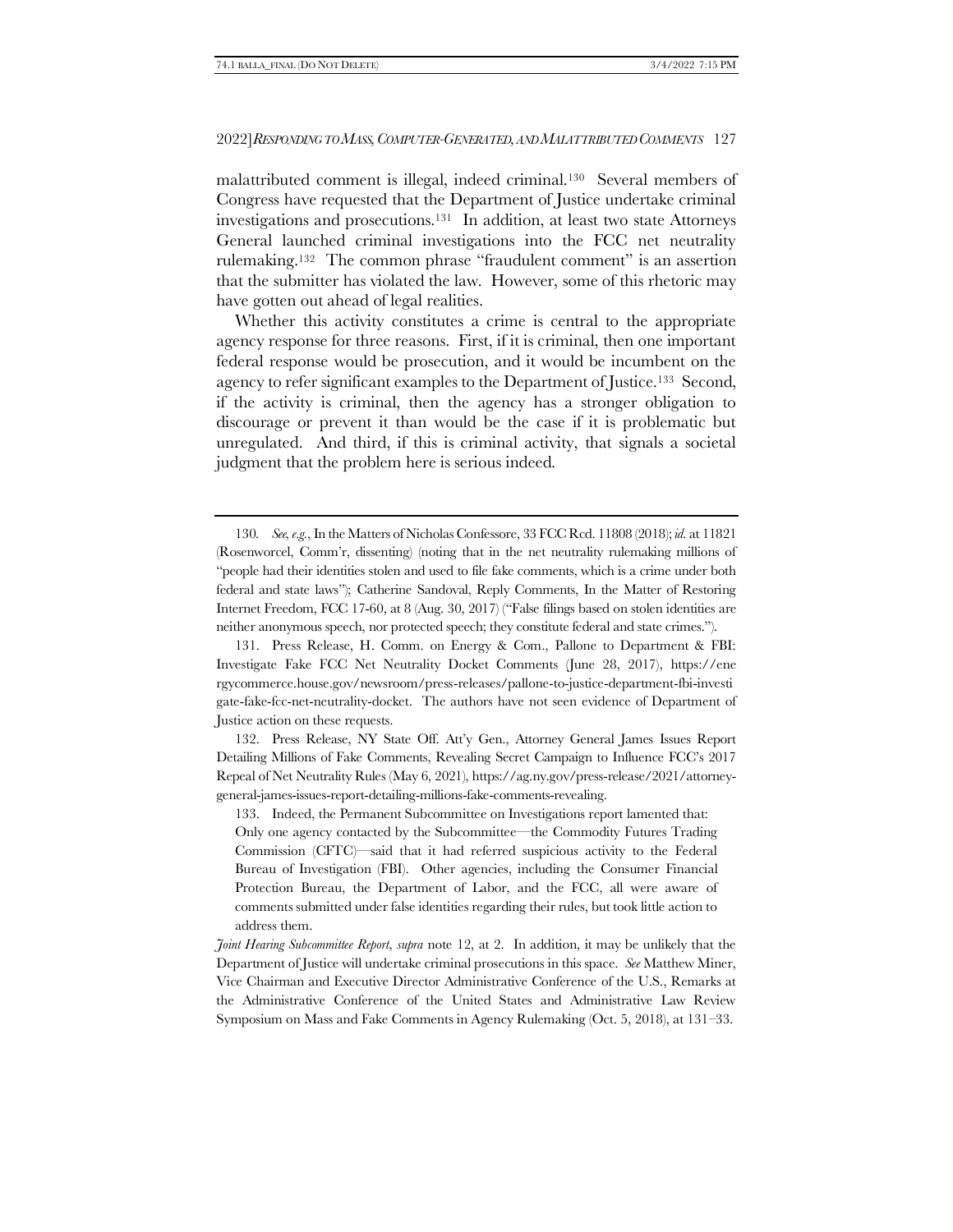malattributed comment is illegal, indeed criminal.130 Several members of Congress have requested that the Department of Justice undertake criminal investigations and prosecutions.131 In addition, at least two state Attorneys General launched criminal investigations into the FCC net neutrality rulemaking.<sup>132</sup> The common phrase "fraudulent comment" is an assertion that the submitter has violated the law. However, some of this rhetoric may have gotten out ahead of legal realities.

<span id="page-32-0"></span>Whether this activity constitutes a crime is central to the appropriate agency response for three reasons. First, if it is criminal, then one important federal response would be prosecution, and it would be incumbent on the agency to refer significant examples to the Department of Justice.133 Second, if the activity is criminal, then the agency has a stronger obligation to discourage or prevent it than would be the case if it is problematic but unregulated. And third, if this is criminal activity, that signals a societal judgment that the problem here is serious indeed.

131. Press Release, H. Comm. on Energy & Com., Pallone to Department & FBI: Investigate Fake FCC Net Neutrality Docket Comments (June 28, 2017), https://ene rgycommerce.house.gov/newsroom/press-releases/pallone-to-justice-department-fbi-investi gate-fake-fcc-net-neutrality-docket. The authors have not seen evidence of Department of Justice action on these requests.

132. Press Release, NY State Off. Att'y Gen., Attorney General James Issues Report Detailing Millions of Fake Comments, Revealing Secret Campaign to Influence FCC's 2017 Repeal of Net Neutrality Rules (May 6, 2021), https://ag.ny.gov/press-release/2021/attorneygeneral-james-issues-report-detailing-millions-fake-comments-revealing.

133. Indeed, the Permanent Subcommittee on Investigations report lamented that: Only one agency contacted by the Subcommittee—the Commodity Futures Trading Commission (CFTC)—said that it had referred suspicious activity to the Federal Bureau of Investigation (FBI). Other agencies, including the Consumer Financial Protection Bureau, the Department of Labor, and the FCC, all were aware of comments submitted under false identities regarding their rules, but took little action to address them.

<sup>130</sup>*. See, e.g.*, In the Matters of Nicholas Confessore, 33 FCC Rcd. 11808 (2018); *id.* at 11821 (Rosenworcel, Comm'r, dissenting) (noting that in the net neutrality rulemaking millions of "people had their identities stolen and used to file fake comments, which is a crime under both federal and state laws"); Catherine Sandoval, Reply Comments, In the Matter of Restoring Internet Freedom, FCC 17-60, at 8 (Aug. 30, 2017) ("False filings based on stolen identities are neither anonymous speech, nor protected speech; they constitute federal and state crimes.").

*Joint Hearing Subcommittee Report*, *supra* note [12,](#page-3-1) at 2. In addition, it may be unlikely that the Department of Justice will undertake criminal prosecutions in this space. *See* Matthew Miner, Vice Chairman and Executive Director Administrative Conference of the U.S., Remarks at the Administrative Conference of the United States and Administrative Law Review Symposium on Mass and Fake Comments in Agency Rulemaking (Oct. 5, 2018), at 131–33.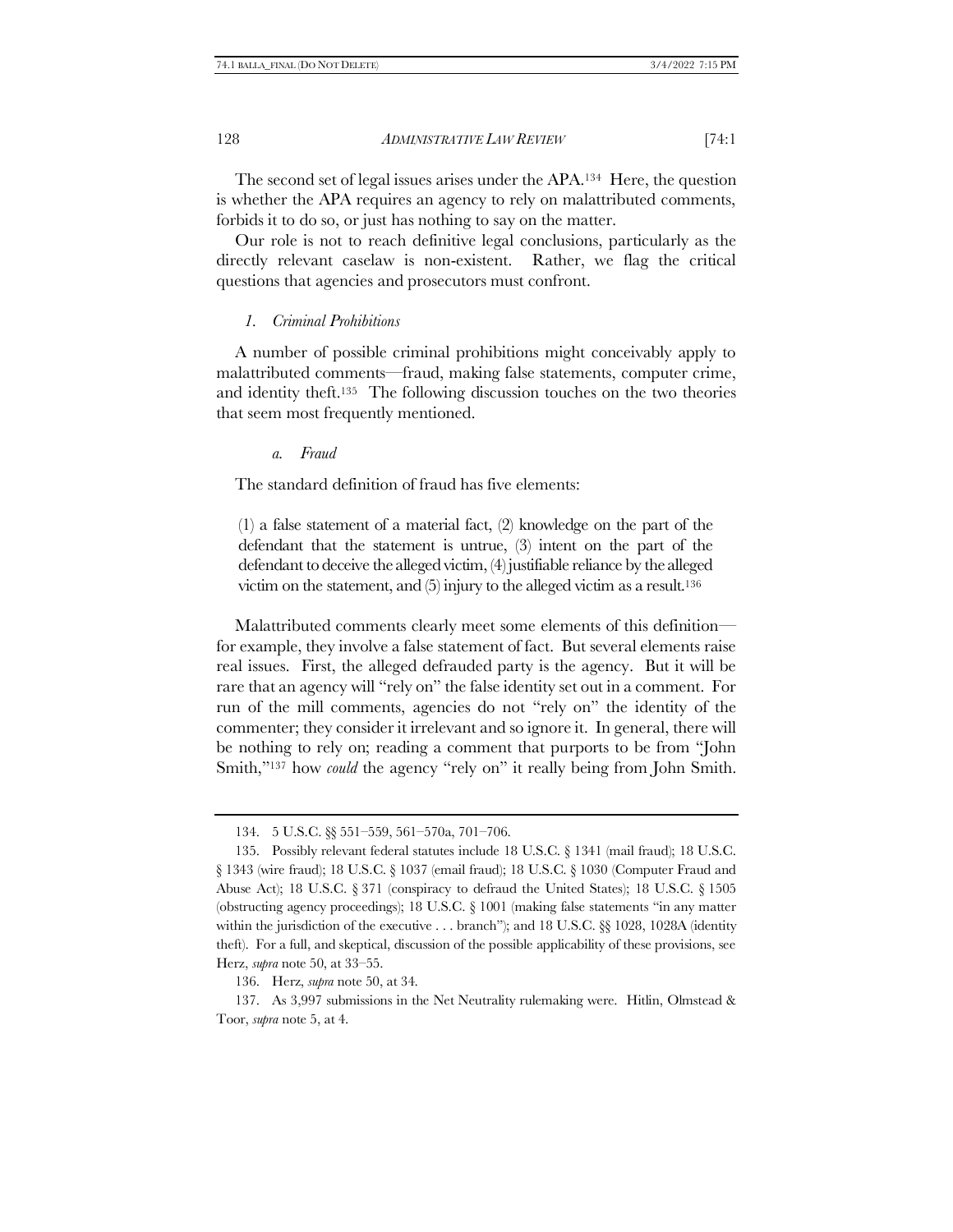The second set of legal issues arises under the APA.134 Here, the question is whether the APA requires an agency to rely on malattributed comments, forbids it to do so, or just has nothing to say on the matter.

Our role is not to reach definitive legal conclusions, particularly as the directly relevant caselaw is non-existent. Rather, we flag the critical questions that agencies and prosecutors must confront.

#### *1. Criminal Prohibitions*

A number of possible criminal prohibitions might conceivably apply to malattributed comments—fraud, making false statements, computer crime, and identity theft.135 The following discussion touches on the two theories that seem most frequently mentioned.

#### *a. Fraud*

The standard definition of fraud has five elements:

(1) a false statement of a material fact, (2) knowledge on the part of the defendant that the statement is untrue, (3) intent on the part of the defendant to deceive the alleged victim, (4) justifiable reliance by the alleged victim on the statement, and (5) injury to the alleged victim as a result.<sup>136</sup>

Malattributed comments clearly meet some elements of this definition for example, they involve a false statement of fact. But several elements raise real issues. First, the alleged defrauded party is the agency. But it will be rare that an agency will "rely on" the false identity set out in a comment. For run of the mill comments, agencies do not "rely on" the identity of the commenter; they consider it irrelevant and so ignore it. In general, there will be nothing to rely on; reading a comment that purports to be from "John Smith,"<sup>137</sup> how *could* the agency "rely on" it really being from John Smith.

136. Herz, *supra* note [50,](#page-11-0) at 34.

137. As 3,997 submissions in the Net Neutrality rulemaking were. Hitlin, Olmstead & Toor, *supra* not[e 5,](#page-2-2) at 4.

<sup>134.</sup> 5 U.S.C. §§ 551–559, 561–570a, 701–706.

<sup>135.</sup> Possibly relevant federal statutes include 18 U.S.C. § 1341 (mail fraud); 18 U.S.C. § 1343 (wire fraud); 18 U.S.C. § 1037 (email fraud); 18 U.S.C. § 1030 (Computer Fraud and Abuse Act); 18 U.S.C. § 371 (conspiracy to defraud the United States); 18 U.S.C. § 1505 (obstructing agency proceedings); 18 U.S.C. § 1001 (making false statements "in any matter within the jurisdiction of the executive  $\dots$  branch"); and 18 U.S.C. §§ 1028, 1028A (identity theft). For a full, and skeptical, discussion of the possible applicability of these provisions, see Herz, *supra* note [50,](#page-11-0) at 33–55.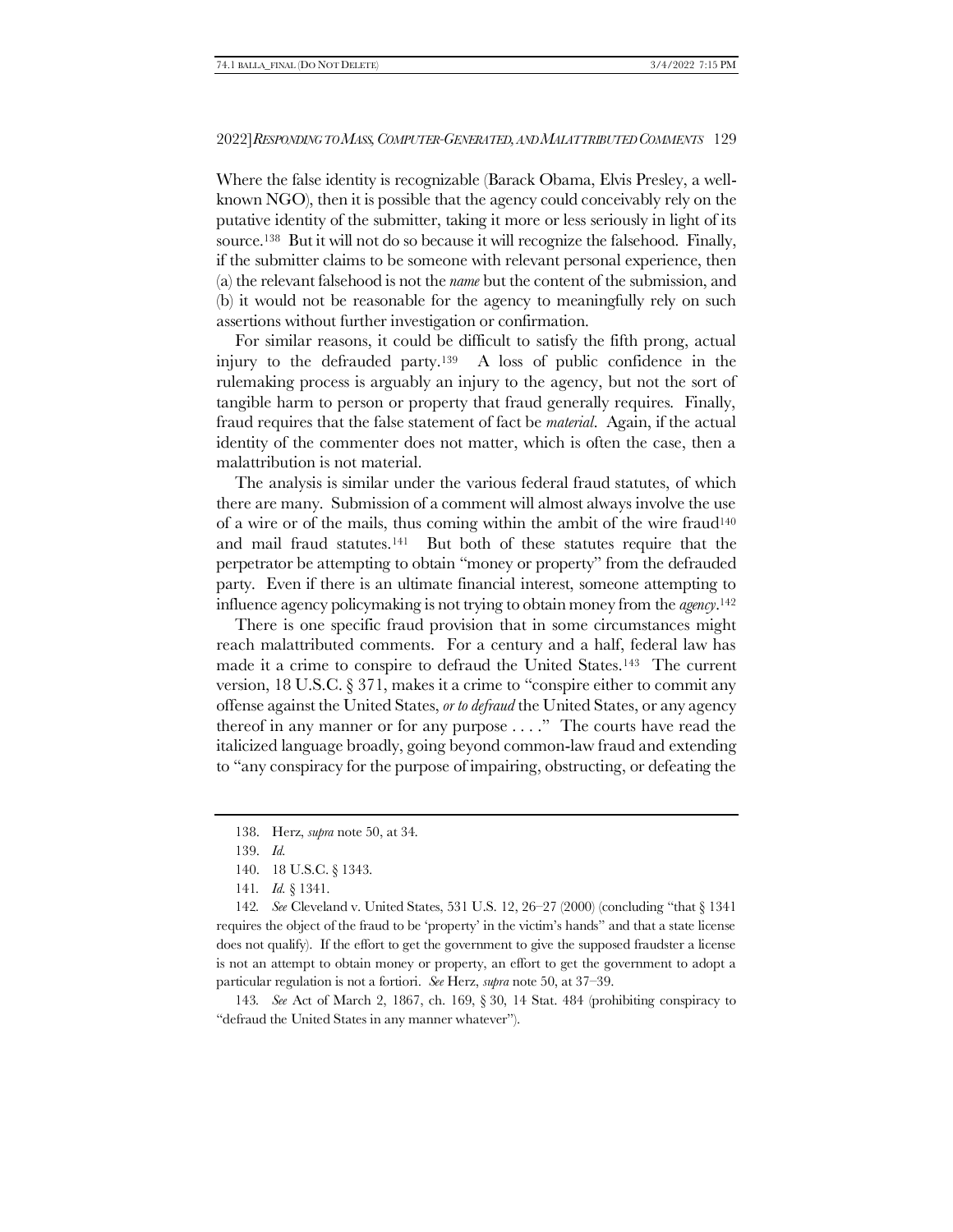Where the false identity is recognizable (Barack Obama, Elvis Presley, a wellknown NGO), then it is possible that the agency could conceivably rely on the putative identity of the submitter, taking it more or less seriously in light of its source.138 But it will not do so because it will recognize the falsehood. Finally, if the submitter claims to be someone with relevant personal experience, then (a) the relevant falsehood is not the *name* but the content of the submission, and (b) it would not be reasonable for the agency to meaningfully rely on such assertions without further investigation or confirmation.

For similar reasons, it could be difficult to satisfy the fifth prong, actual injury to the defrauded party.139 A loss of public confidence in the rulemaking process is arguably an injury to the agency, but not the sort of tangible harm to person or property that fraud generally requires. Finally, fraud requires that the false statement of fact be *material*. Again, if the actual identity of the commenter does not matter, which is often the case, then a malattribution is not material.

The analysis is similar under the various federal fraud statutes, of which there are many. Submission of a comment will almost always involve the use of a wire or of the mails, thus coming within the ambit of the wire fraud<sup>140</sup> and mail fraud statutes.141 But both of these statutes require that the perpetrator be attempting to obtain "money or property" from the defrauded party. Even if there is an ultimate financial interest, someone attempting to influence agency policymaking is not trying to obtain money from the *agency*. 142

There is one specific fraud provision that in some circumstances might reach malattributed comments. For a century and a half, federal law has made it a crime to conspire to defraud the United States.143 The current version, 18 U.S.C. § 371, makes it a crime to "conspire either to commit any offense against the United States, *or to defraud* the United States, or any agency thereof in any manner or for any purpose . . . ." The courts have read the italicized language broadly, going beyond common-law fraud and extending to "any conspiracy for the purpose of impairing, obstructing, or defeating the

142*. See* Cleveland v. United States, 531 U.S. 12, 26–27 (2000) (concluding "that § 1341 requires the object of the fraud to be 'property' in the victim's hands" and that a state license does not qualify). If the effort to get the government to give the supposed fraudster a license is not an attempt to obtain money or property, an effort to get the government to adopt a particular regulation is not a fortiori. *See* Herz, *supra* not[e 50,](#page-11-0) at 37–39.

143*. See* Act of March 2, 1867, ch. 169, § 30, 14 Stat. 484 (prohibiting conspiracy to "defraud the United States in any manner whatever").

<sup>138.</sup> Herz, *supra* note [50,](#page-11-0) at 34.

<sup>139.</sup> *Id.*

<sup>140.</sup> 18 U.S.C. § 1343.

<sup>141</sup>*. Id.* § 1341.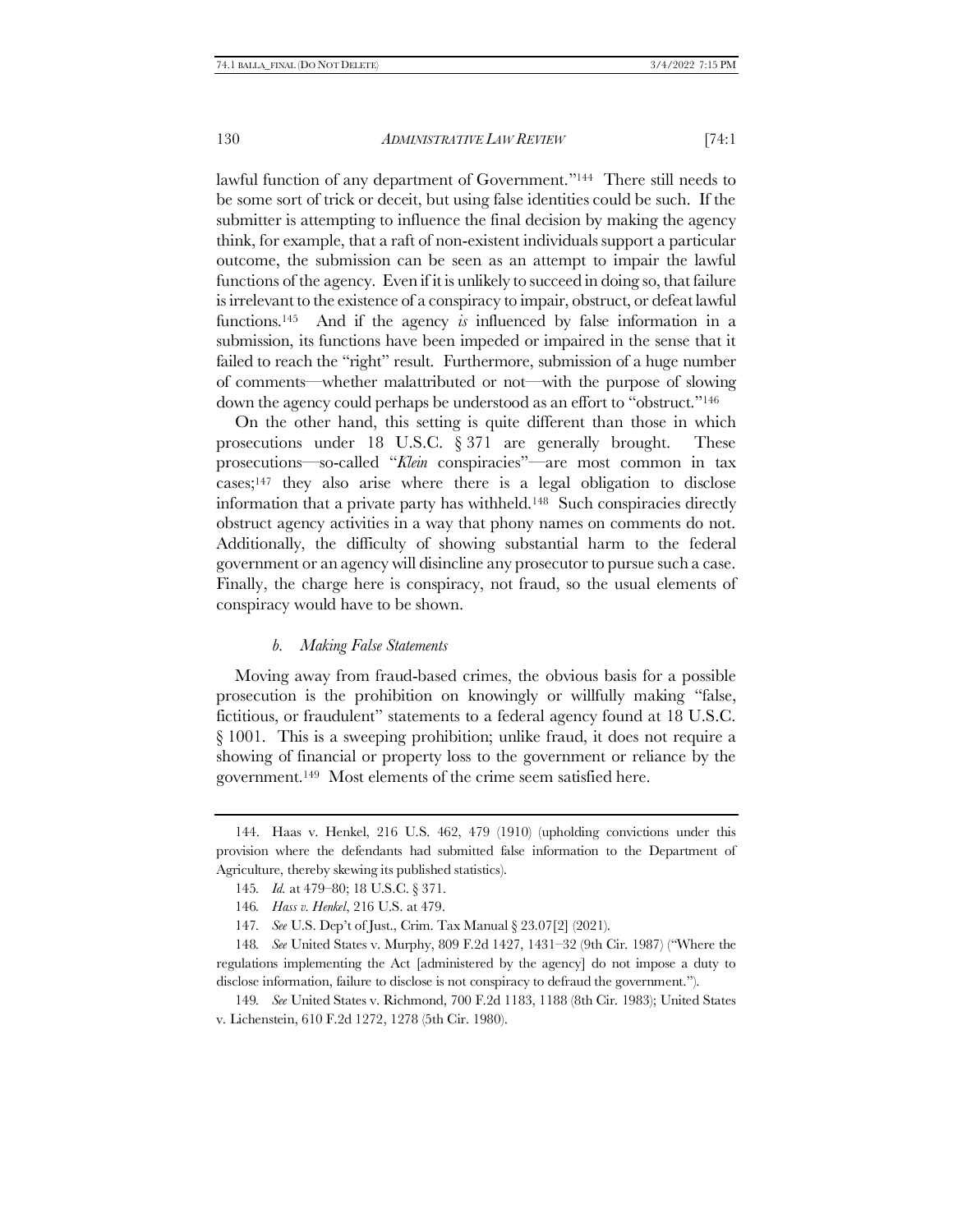lawful function of any department of Government."144 There still needs to be some sort of trick or deceit, but using false identities could be such. If the submitter is attempting to influence the final decision by making the agency think, for example, that a raft of non-existent individuals support a particular outcome, the submission can be seen as an attempt to impair the lawful functions of the agency. Even if it is unlikely to succeed in doing so, that failure is irrelevant to the existence of a conspiracy to impair, obstruct, or defeat lawful functions.145 And if the agency *is* influenced by false information in a submission, its functions have been impeded or impaired in the sense that it failed to reach the "right" result. Furthermore, submission of a huge number of comments—whether malattributed or not—with the purpose of slowing down the agency could perhaps be understood as an effort to "obstruct."<sup>146</sup>

On the other hand, this setting is quite different than those in which prosecutions under 18 U.S.C. § 371 are generally brought. These prosecutions—so-called "*Klein* conspiracies"—are most common in tax cases;<sup>147</sup> they also arise where there is a legal obligation to disclose information that a private party has withheld.148 Such conspiracies directly obstruct agency activities in a way that phony names on comments do not. Additionally, the difficulty of showing substantial harm to the federal government or an agency will disincline any prosecutor to pursue such a case. Finally, the charge here is conspiracy, not fraud, so the usual elements of conspiracy would have to be shown.

#### *b. Making False Statements*

Moving away from fraud-based crimes, the obvious basis for a possible prosecution is the prohibition on knowingly or willfully making "false, fictitious, or fraudulent" statements to a federal agency found at 18 U.S.C. § 1001. This is a sweeping prohibition; unlike fraud, it does not require a showing of financial or property loss to the government or reliance by the government.149 Most elements of the crime seem satisfied here.

149*. See* United States v. Richmond, 700 F.2d 1183, 1188 (8th Cir. 1983); United States v. Lichenstein, 610 F.2d 1272, 1278 (5th Cir. 1980).

<sup>144.</sup> Haas v. Henkel, 216 U.S. 462, 479 (1910) (upholding convictions under this provision where the defendants had submitted false information to the Department of Agriculture, thereby skewing its published statistics).

<sup>145</sup>*. Id.* at 479–80; 18 U.S.C. § 371.

<sup>146</sup>*. Hass v. Henkel*, 216 U.S. at 479.

<sup>147</sup>*. See* U.S. Dep't of Just., Crim. Tax Manual § 23.07[2] (2021).

<sup>148</sup>*. See* United States v. Murphy, 809 F.2d 1427, 1431–32 (9th Cir. 1987) ("Where the regulations implementing the Act [administered by the agency] do not impose a duty to disclose information, failure to disclose is not conspiracy to defraud the government.").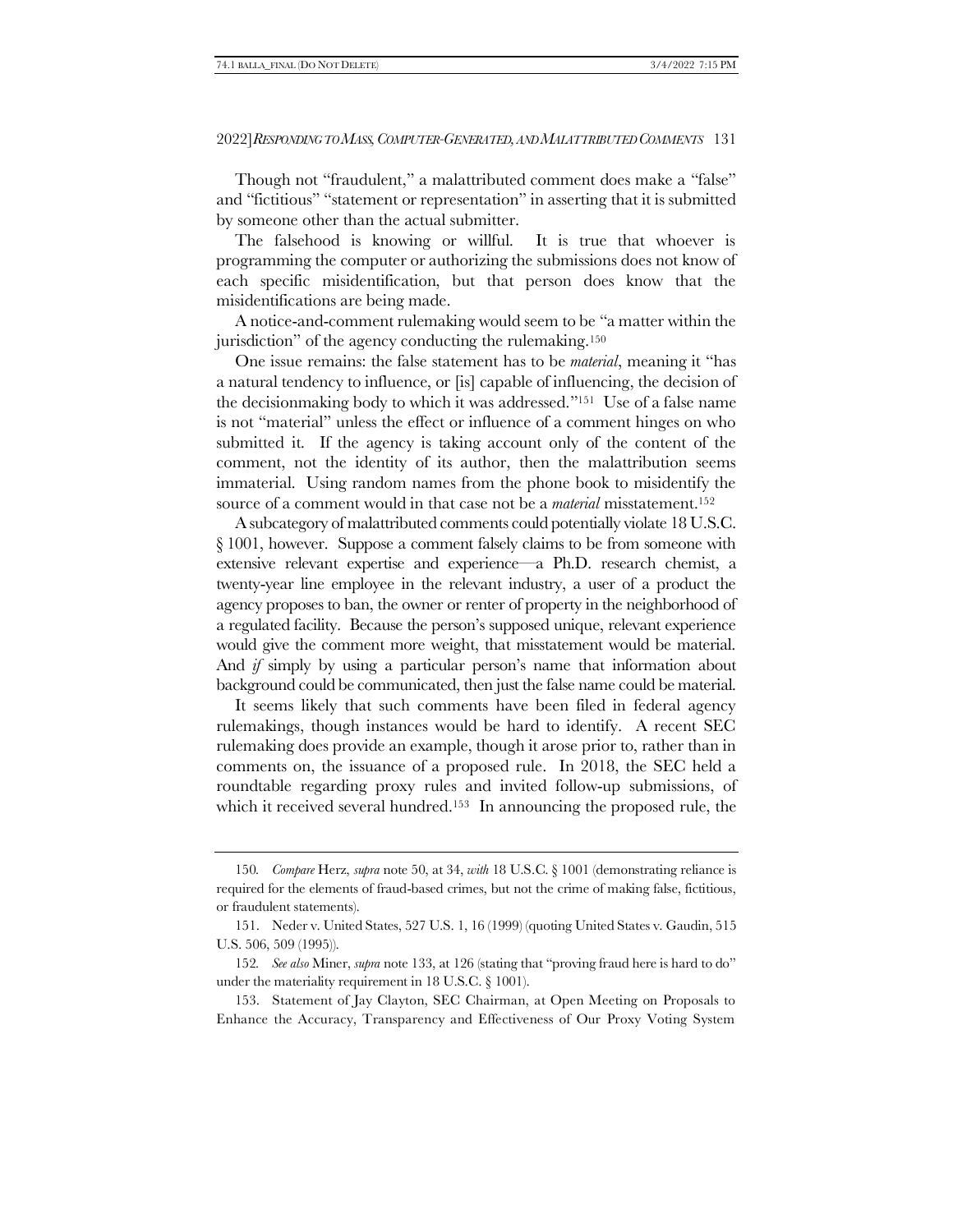Though not "fraudulent," a malattributed comment does make a "false" and "fictitious" "statement or representation" in asserting that it is submitted by someone other than the actual submitter.

The falsehood is knowing or willful. It is true that whoever is programming the computer or authorizing the submissions does not know of each specific misidentification, but that person does know that the misidentifications are being made.

A notice-and-comment rulemaking would seem to be "a matter within the jurisdiction" of the agency conducting the rulemaking.<sup>150</sup>

One issue remains: the false statement has to be *material*, meaning it "has a natural tendency to influence, or [is] capable of influencing, the decision of the decisionmaking body to which it was addressed."151 Use of a false name is not "material" unless the effect or influence of a comment hinges on who submitted it. If the agency is taking account only of the content of the comment, not the identity of its author, then the malattribution seems immaterial. Using random names from the phone book to misidentify the source of a comment would in that case not be a *material* misstatement.<sup>152</sup>

A subcategory of malattributed comments could potentially violate 18 U.S.C. § 1001, however. Suppose a comment falsely claims to be from someone with extensive relevant expertise and experience—a Ph.D. research chemist, a twenty-year line employee in the relevant industry, a user of a product the agency proposes to ban, the owner or renter of property in the neighborhood of a regulated facility. Because the person's supposed unique, relevant experience would give the comment more weight, that misstatement would be material. And *if* simply by using a particular person's name that information about background could be communicated, then just the false name could be material.

It seems likely that such comments have been filed in federal agency rulemakings, though instances would be hard to identify. A recent SEC rulemaking does provide an example, though it arose prior to, rather than in comments on, the issuance of a proposed rule. In 2018, the SEC held a roundtable regarding proxy rules and invited follow-up submissions, of which it received several hundred.<sup>153</sup> In announcing the proposed rule, the

153. Statement of Jay Clayton, SEC Chairman, at Open Meeting on Proposals to Enhance the Accuracy, Transparency and Effectiveness of Our Proxy Voting System

<sup>150</sup>*. Compare* Herz, *supra* note [50,](#page-11-0) at 34, *with* 18 U.S.C. § 1001 (demonstrating reliance is required for the elements of fraud-based crimes, but not the crime of making false, fictitious, or fraudulent statements).

<sup>151.</sup> Neder v. United States, 527 U.S. 1, 16 (1999) (quoting United States v. Gaudin, 515 U.S. 506, 509 (1995)).

<sup>152</sup>*. See also* Miner, *supra* not[e 133,](#page-32-0) at 126 (stating that "proving fraud here is hard to do" under the materiality requirement in 18 U.S.C. § 1001).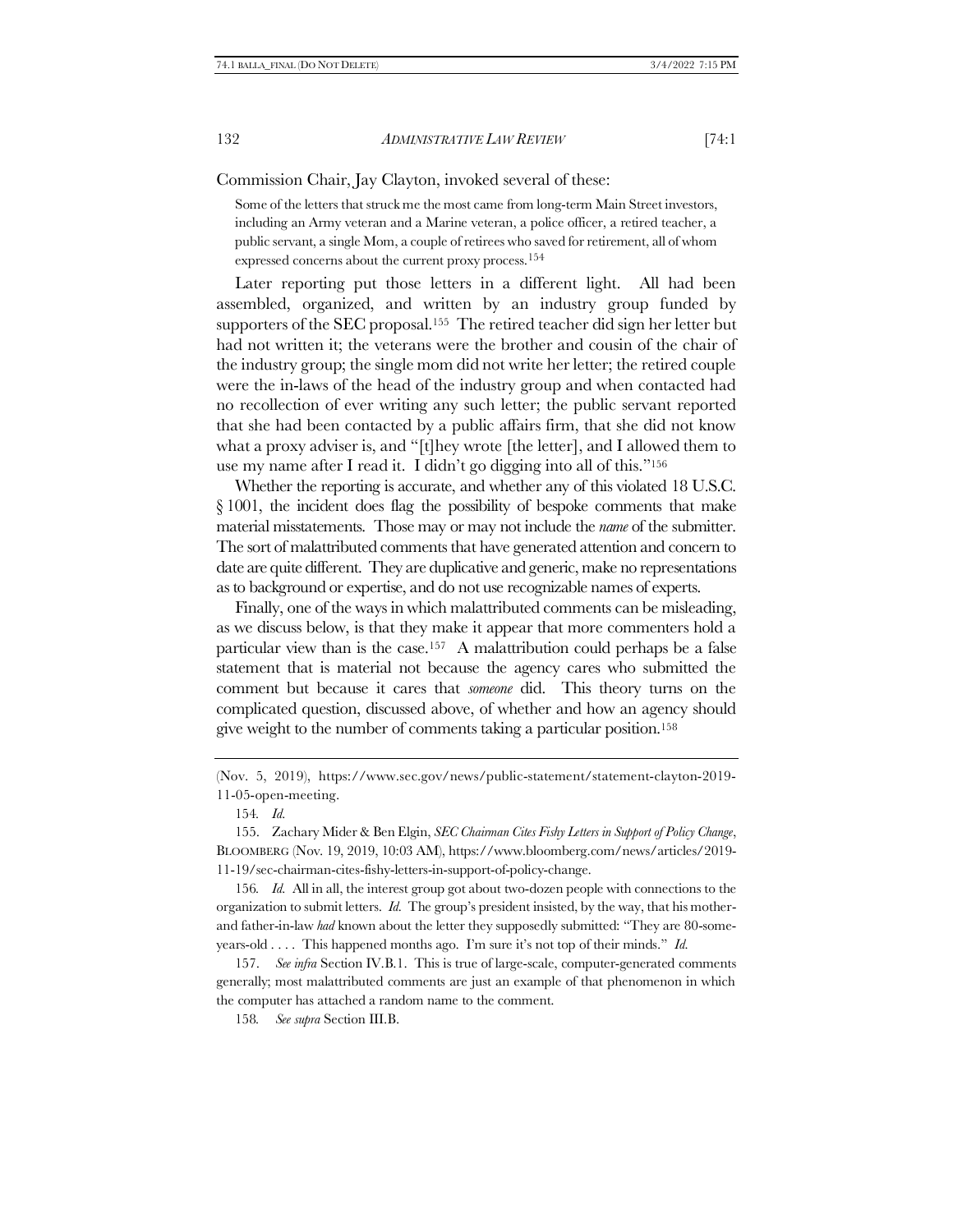Commission Chair, Jay Clayton, invoked several of these:

<span id="page-37-0"></span>Some of the letters that struck me the most came from long-term Main Street investors, including an Army veteran and a Marine veteran, a police officer, a retired teacher, a public servant, a single Mom, a couple of retirees who saved for retirement, all of whom expressed concerns about the current proxy process.154

Later reporting put those letters in a different light. All had been assembled, organized, and written by an industry group funded by supporters of the SEC proposal.155 The retired teacher did sign her letter but had not written it; the veterans were the brother and cousin of the chair of the industry group; the single mom did not write her letter; the retired couple were the in-laws of the head of the industry group and when contacted had no recollection of ever writing any such letter; the public servant reported that she had been contacted by a public affairs firm, that she did not know what a proxy adviser is, and "[t]hey wrote [the letter], and I allowed them to use my name after I read it. I didn't go digging into all of this."<sup>156</sup>

<span id="page-37-1"></span>Whether the reporting is accurate, and whether any of this violated 18 U.S.C. § 1001, the incident does flag the possibility of bespoke comments that make material misstatements. Those may or may not include the *name* of the submitter. The sort of malattributed comments that have generated attention and concern to date are quite different. They are duplicative and generic, make no representations as to background or expertise, and do not use recognizable names of experts.

Finally, one of the ways in which malattributed comments can be misleading, as we discuss below, is that they make it appear that more commenters hold a particular view than is the case.157 A malattribution could perhaps be a false statement that is material not because the agency cares who submitted the comment but because it cares that *someone* did. This theory turns on the complicated question, discussed above, of whether and how an agency should give weight to the number of comments taking a particular position.<sup>158</sup>

(Nov. 5, 2019), https://www.sec.gov/news/public-statement/statement-clayton-2019- 11-05-open-meeting.

154*. Id.*

155. Zachary Mider & Ben Elgin, *SEC Chairman Cites Fishy Letters in Support of Policy Change*, BLOOMBERG (Nov. 19, 2019, 10:03 AM), https://www.bloomberg.com/news/articles/2019- 11-19/sec-chairman-cites-fishy-letters-in-support-of-policy-change.

156*. Id.* All in all, the interest group got about two-dozen people with connections to the organization to submit letters. *Id.* The group's president insisted, by the way, that his motherand father-in-law *had* known about the letter they supposedly submitted: "They are 80-someyears-old . . . . This happened months ago. I'm sure it's not top of their minds." *Id.*

157. *See infra* Section IV.[B.1.](#page-42-0) This is true of large-scale, computer-generated comments generally; most malattributed comments are just an example of that phenomenon in which the computer has attached a random name to the comment.

158*. See supra* Section II[I.B.](#page-24-0)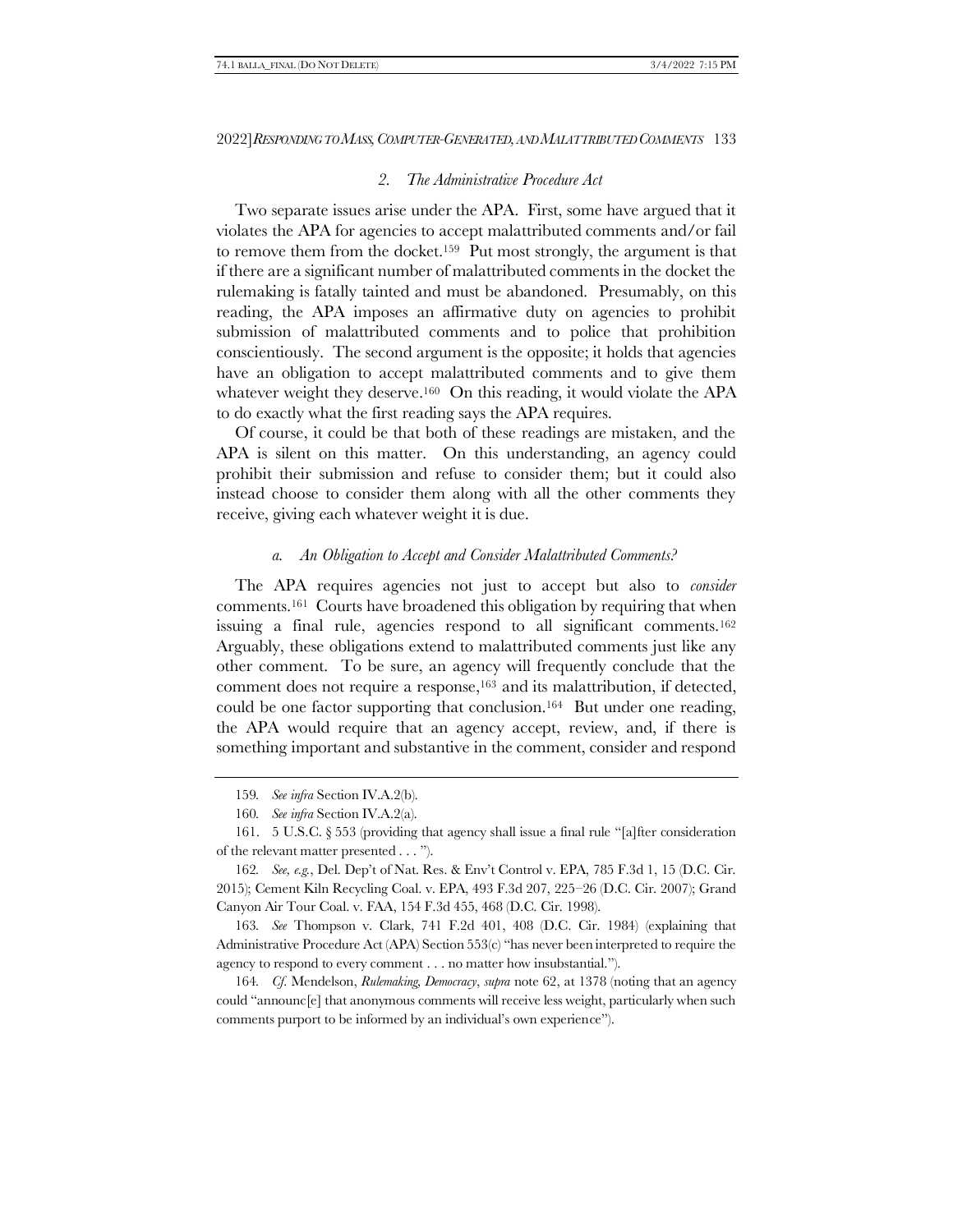#### *2. The Administrative Procedure Act*

Two separate issues arise under the APA. First, some have argued that it violates the APA for agencies to accept malattributed comments and/or fail to remove them from the docket.159 Put most strongly, the argument is that if there are a significant number of malattributed comments in the docket the rulemaking is fatally tainted and must be abandoned. Presumably, on this reading, the APA imposes an affirmative duty on agencies to prohibit submission of malattributed comments and to police that prohibition conscientiously. The second argument is the opposite; it holds that agencies have an obligation to accept malattributed comments and to give them whatever weight they deserve.<sup>160</sup> On this reading, it would violate the APA to do exactly what the first reading says the APA requires.

Of course, it could be that both of these readings are mistaken, and the APA is silent on this matter. On this understanding, an agency could prohibit their submission and refuse to consider them; but it could also instead choose to consider them along with all the other comments they receive, giving each whatever weight it is due.

#### *a. An Obligation to Accept and Consider Malattributed Comments?*

The APA requires agencies not just to accept but also to *consider* comments.161 Courts have broadened this obligation by requiring that when issuing a final rule, agencies respond to all significant comments.<sup>162</sup> Arguably, these obligations extend to malattributed comments just like any other comment. To be sure, an agency will frequently conclude that the comment does not require a response,<sup>163</sup> and its malattribution, if detected, could be one factor supporting that conclusion.164 But under one reading, the APA would require that an agency accept, review, and, if there is something important and substantive in the comment, consider and respond

163*. See* Thompson v. Clark, 741 F.2d 401, 408 (D.C. Cir. 1984) (explaining that Administrative Procedure Act (APA) Section 553(c) "has never been interpreted to require the agency to respond to every comment . . . no matter how insubstantial.").

164*. Cf.* Mendelson, *Rulemaking, Democracy*, *supra* note [62,](#page-15-0) at 1378 (noting that an agency could "announc[e] that anonymous comments will receive less weight, particularly when such comments purport to be informed by an individual's own experience").

<sup>159</sup>*. See infra* Section IV.A.[2\(b\)](#page-40-0).

<sup>160</sup>*. See infra* Section IV.A.2(a).

<sup>161.</sup> 5 U.S.C. § 553 (providing that agency shall issue a final rule "[a]fter consideration of the relevant matter presented . . . ").

<sup>162</sup>*. See, e.g.*, Del. Dep't of Nat. Res. & Env't Control v. EPA, 785 F.3d 1, 15 (D.C. Cir. 2015); Cement Kiln Recycling Coal. v. EPA, 493 F.3d 207, 225–26 (D.C. Cir. 2007); Grand Canyon Air Tour Coal. v. FAA, 154 F.3d 455, 468 (D.C. Cir. 1998).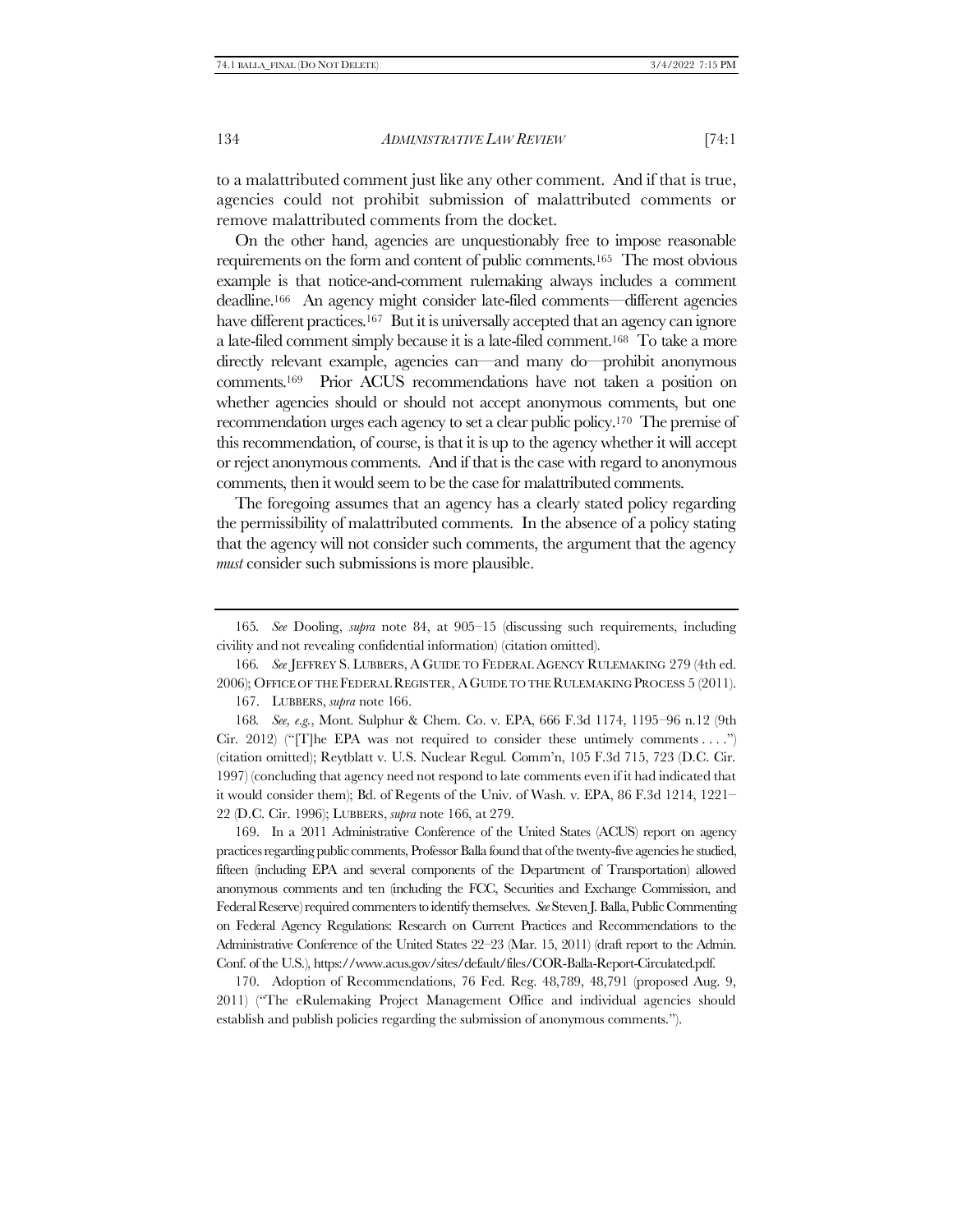to a malattributed comment just like any other comment. And if that is true, agencies could not prohibit submission of malattributed comments or remove malattributed comments from the docket.

<span id="page-39-0"></span>On the other hand, agencies are unquestionably free to impose reasonable requirements on the form and content of public comments.165 The most obvious example is that notice-and-comment rulemaking always includes a comment deadline.166 An agency might consider late-filed comments—different agencies have different practices.<sup>167</sup> But it is universally accepted that an agency can ignore a late-filed comment simply because it is a late-filed comment.168 To take a more directly relevant example, agencies can—and many do—prohibit anonymous comments.169 Prior ACUS recommendations have not taken a position on whether agencies should or should not accept anonymous comments, but one recommendation urges each agency to set a clear public policy.170 The premise of this recommendation, of course, is that it is up to the agency whether it will accept or reject anonymous comments. And if that is the case with regard to anonymous comments, then it would seem to be the case for malattributed comments.

The foregoing assumes that an agency has a clearly stated policy regarding the permissibility of malattributed comments. In the absence of a policy stating that the agency will not consider such comments, the argument that the agency *must* consider such submissions is more plausible.

169. In a 2011 Administrative Conference of the United States (ACUS) report on agency practices regarding public comments, Professor Balla found that of the twenty-five agencies he studied, fifteen (including EPA and several components of the Department of Transportation) allowed anonymous comments and ten (including the FCC, Securities and Exchange Commission, and Federal Reserve) required commenters to identify themselves. *See* Steven J. Balla, Public Commenting on Federal Agency Regulations: Research on Current Practices and Recommendations to the Administrative Conference of the United States 22–23 (Mar. 15, 2011) (draft report to the Admin. Conf. of the U.S.), https://www.acus.gov/sites/default/files/COR-Balla-Report-Circulated.pdf.

170. Adoption of Recommendations, 76 Fed. Reg. 48,789, 48,791 (proposed Aug. 9, 2011) ("The eRulemaking Project Management Office and individual agencies should establish and publish policies regarding the submission of anonymous comments.").

<sup>165</sup>*. See* Dooling, *supra* note [84,](#page-20-0) at 905–15 (discussing such requirements, including civility and not revealing confidential information) (citation omitted).

<sup>166</sup>*. See* JEFFREY S. LUBBERS, A GUIDE TO FEDERAL AGENCY RULEMAKING 279 (4th ed. 2006); OFFICE OF THE FEDERAL REGISTER, AGUIDE TO THE RULEMAKING PROCESS 5 (2011).

<sup>167.</sup> LUBBERS, *supra* not[e 166.](#page-39-0)

<sup>168</sup>*. See, e.g.*, Mont. Sulphur & Chem. Co. v. EPA, 666 F.3d 1174, 1195–96 n.12 (9th Cir. 2012) ("The EPA was not required to consider these untimely comments . . .") (citation omitted); Reytblatt v. U.S. Nuclear Regul. Comm'n, 105 F.3d 715, 723 (D.C. Cir. 1997) (concluding that agency need not respond to late comments even if it had indicated that it would consider them); Bd. of Regents of the Univ. of Wash. v. EPA, 86 F.3d 1214, 1221– 22 (D.C. Cir. 1996); LUBBERS, *supra* not[e 166,](#page-39-0) at 279.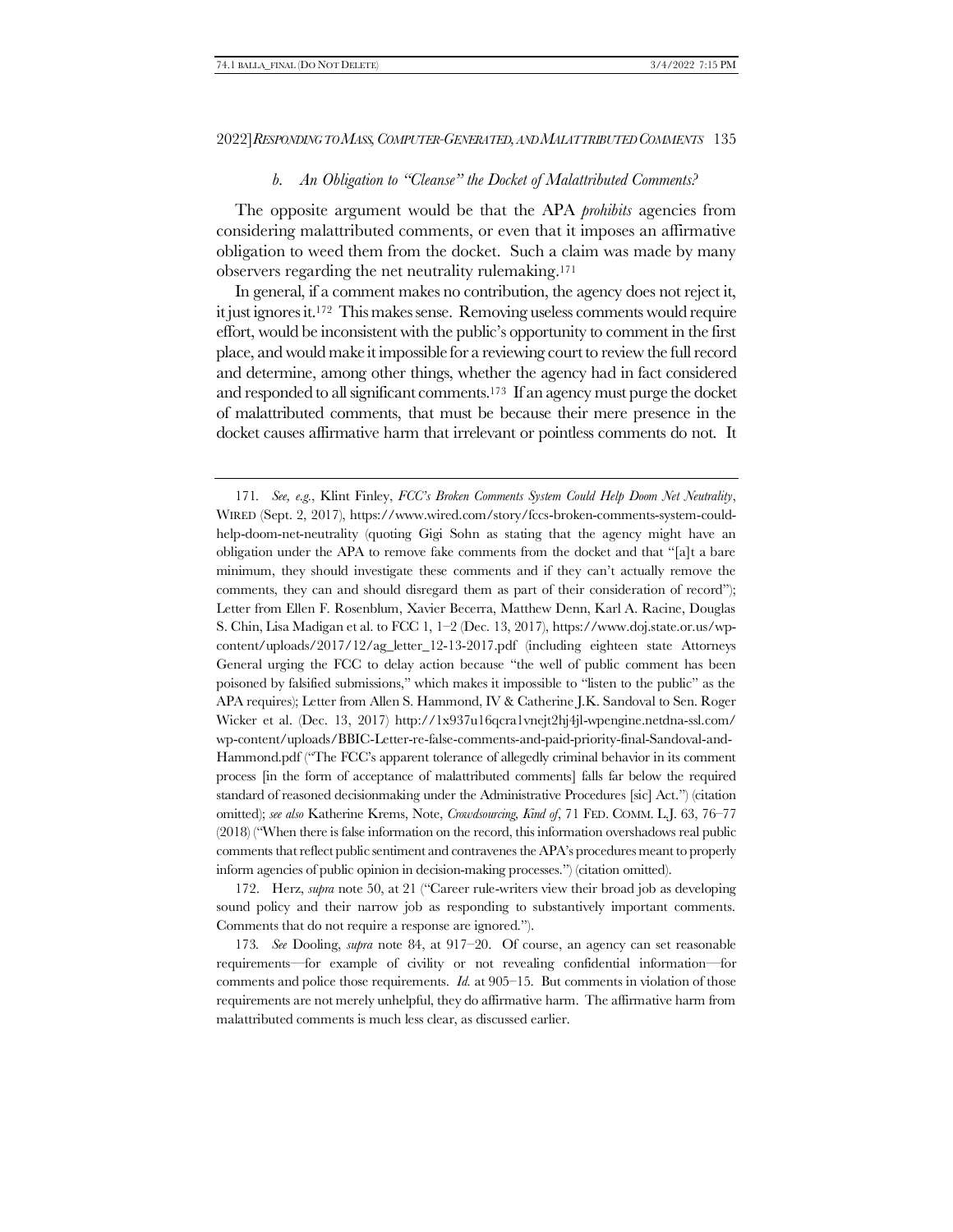#### <span id="page-40-1"></span>*b. An Obligation to "Cleanse" the Docket of Malattributed Comments?*

<span id="page-40-0"></span>The opposite argument would be that the APA *prohibits* agencies from considering malattributed comments, or even that it imposes an affirmative obligation to weed them from the docket. Such a claim was made by many observers regarding the net neutrality rulemaking.<sup>171</sup>

In general, if a comment makes no contribution, the agency does not reject it, it just ignores it.172 This makes sense. Removing useless comments would require effort, would be inconsistent with the public's opportunity to comment in the first place, and would make it impossible for a reviewing court to review the full record and determine, among other things, whether the agency had in fact considered and responded to all significant comments.173 If an agency must purge the docket of malattributed comments, that must be because their mere presence in the docket causes affirmative harm that irrelevant or pointless comments do not. It

172. Herz, *supra* note [50](#page-11-0), at 21 ("Career rule-writers view their broad job as developing sound policy and their narrow job as responding to substantively important comments. Comments that do not require a response are ignored.").

173*. See* Dooling, *supra* note [84,](#page-20-0) at 917–20. Of course, an agency can set reasonable requirements—for example of civility or not revealing confidential information—for comments and police those requirements. *Id.* at 905–15. But comments in violation of those requirements are not merely unhelpful, they do affirmative harm. The affirmative harm from malattributed comments is much less clear, as discussed earlier.

<sup>171</sup>*. See, e.g.*, Klint Finley, *FCC's Broken Comments System Could Help Doom Net Neutrality*, WIRED (Sept. 2, 2017), https://www.wired.com/story/fccs-broken-comments-system-couldhelp-doom-net-neutrality (quoting Gigi Sohn as stating that the agency might have an obligation under the APA to remove fake comments from the docket and that "[a]t a bare minimum, they should investigate these comments and if they can't actually remove the comments, they can and should disregard them as part of their consideration of record"); Letter from Ellen F. Rosenblum, Xavier Becerra, Matthew Denn, Karl A. Racine, Douglas S. Chin, Lisa Madigan et al. to FCC 1, 1–2 (Dec. 13, 2017), https://www.doj.state.or.us/wpcontent/uploads/2017/12/ag\_letter\_12-13-2017.pdf (including eighteen state Attorneys General urging the FCC to delay action because "the well of public comment has been poisoned by falsified submissions," which makes it impossible to "listen to the public" as the APA requires); Letter from Allen S. Hammond, IV & Catherine J.K. Sandoval to Sen. Roger Wicker et al. (Dec. 13, 2017) http://1x937u16qcra1vnejt2hj4jl-wpengine.netdna-ssl.com/ wp-content/uploads/BBIC-Letter-re-false-comments-and-paid-priority-final-Sandoval-and-Hammond.pdf ("The FCC's apparent tolerance of allegedly criminal behavior in its comment process [in the form of acceptance of malattributed comments] falls far below the required standard of reasoned decisionmaking under the Administrative Procedures [sic] Act.") (citation omitted); *see also* Katherine Krems, Note, *Crowdsourcing, Kind of*, 71 FED. COMM. L.J. 63, 76–77 (2018) ("When there is false information on the record, this information overshadows real public comments that reflect public sentiment and contravenes the APA's procedures meant to properly inform agencies of public opinion in decision-making processes.") (citation omitted).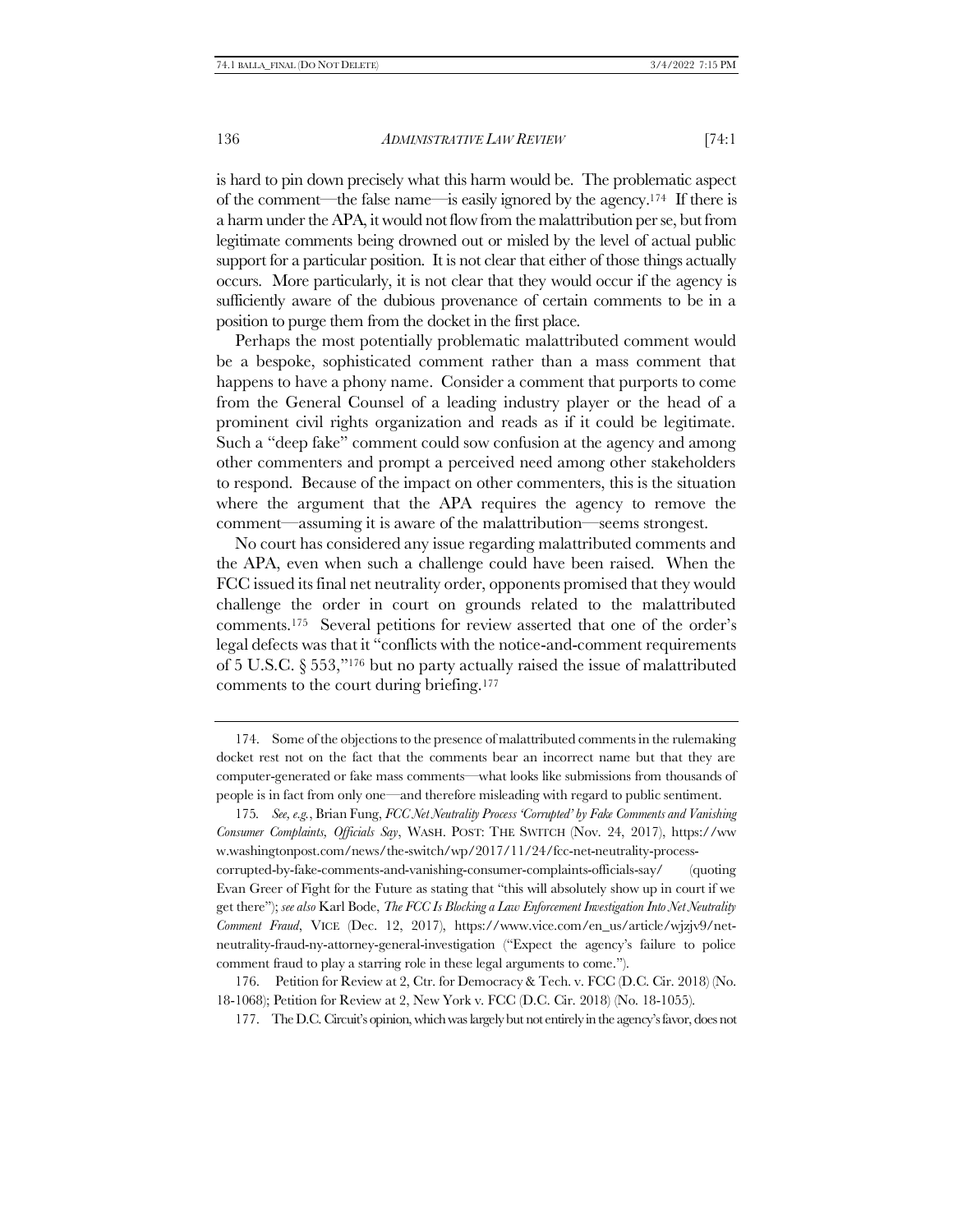is hard to pin down precisely what this harm would be. The problematic aspect of the comment—the false name—is easily ignored by the agency.174 If there is a harm under the APA, it would not flow from the malattribution per se, but from legitimate comments being drowned out or misled by the level of actual public support for a particular position. It is not clear that either of those things actually occurs. More particularly, it is not clear that they would occur if the agency is sufficiently aware of the dubious provenance of certain comments to be in a position to purge them from the docket in the first place.

Perhaps the most potentially problematic malattributed comment would be a bespoke, sophisticated comment rather than a mass comment that happens to have a phony name. Consider a comment that purports to come from the General Counsel of a leading industry player or the head of a prominent civil rights organization and reads as if it could be legitimate. Such a "deep fake" comment could sow confusion at the agency and among other commenters and prompt a perceived need among other stakeholders to respond. Because of the impact on other commenters, this is the situation where the argument that the APA requires the agency to remove the comment—assuming it is aware of the malattribution—seems strongest.

<span id="page-41-0"></span>No court has considered any issue regarding malattributed comments and the APA, even when such a challenge could have been raised. When the FCC issued its final net neutrality order, opponents promised that they would challenge the order in court on grounds related to the malattributed comments.<sup>175</sup> Several petitions for review asserted that one of the order's legal defects was that it "conflicts with the notice-and-comment requirements of 5 U.S.C. § 553,"<sup>176</sup> but no party actually raised the issue of malattributed comments to the court during briefing.<sup>177</sup>

<sup>174.</sup> Some of the objections to the presence of malattributed comments in the rulemaking docket rest not on the fact that the comments bear an incorrect name but that they are computer-generated or fake mass comments—what looks like submissions from thousands of people is in fact from only one—and therefore misleading with regard to public sentiment.

<sup>175</sup>*. See, e.g.*, Brian Fung, *FCC Net Neutrality Process 'Corrupted' by Fake Comments and Vanishing Consumer Complaints, Officials Say*, WASH. POST: THE SWITCH (Nov. 24, 2017), https://ww w.washingtonpost.com/news/the-switch/wp/2017/11/24/fcc-net-neutrality-process-

corrupted-by-fake-comments-and-vanishing-consumer-complaints-officials-say/ (quoting Evan Greer of Fight for the Future as stating that "this will absolutely show up in court if we get there"); *see also* Karl Bode, *The FCC Is Blocking a Law Enforcement Investigation Into Net Neutrality Comment Fraud*, VICE (Dec. 12, 2017), https://www.vice.com/en\_us/article/wjzjv9/netneutrality-fraud-ny-attorney-general-investigation ("Expect the agency's failure to police comment fraud to play a starring role in these legal arguments to come.").

<sup>176.</sup> Petition for Review at 2, Ctr. for Democracy & Tech. v. FCC (D.C. Cir. 2018) (No. 18-1068); Petition for Review at 2, New York v. FCC (D.C. Cir. 2018) (No. 18-1055).

<sup>177.</sup> The D.C. Circuit's opinion, which was largely but not entirely in the agency's favor, does not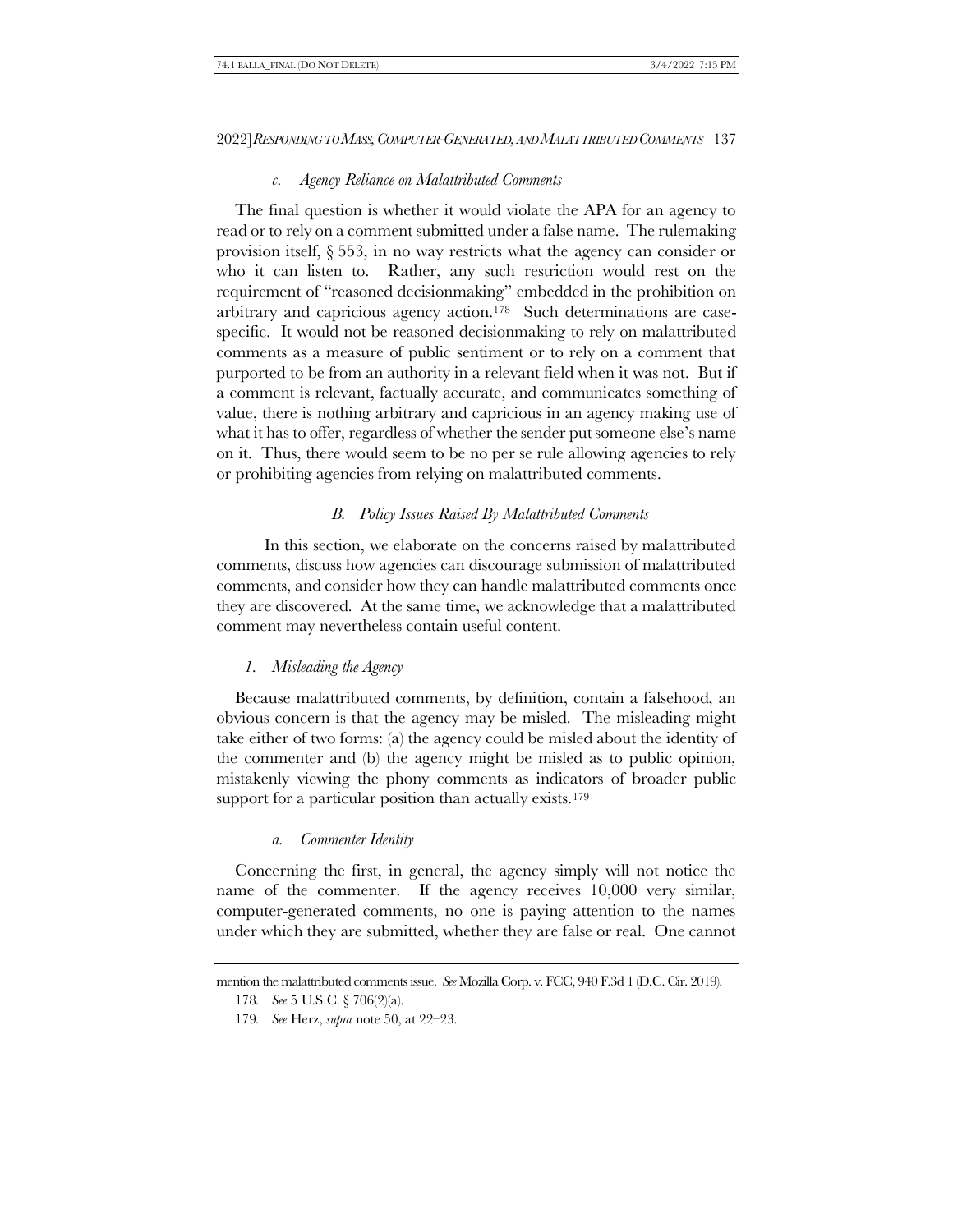#### *c. Agency Reliance on Malattributed Comments*

The final question is whether it would violate the APA for an agency to read or to rely on a comment submitted under a false name. The rulemaking provision itself, § 553, in no way restricts what the agency can consider or who it can listen to. Rather, any such restriction would rest on the requirement of "reasoned decisionmaking" embedded in the prohibition on arbitrary and capricious agency action.178 Such determinations are casespecific. It would not be reasoned decisionmaking to rely on malattributed comments as a measure of public sentiment or to rely on a comment that purported to be from an authority in a relevant field when it was not. But if a comment is relevant, factually accurate, and communicates something of value, there is nothing arbitrary and capricious in an agency making use of what it has to offer, regardless of whether the sender put someone else's name on it. Thus, there would seem to be no per se rule allowing agencies to rely or prohibiting agencies from relying on malattributed comments.

#### *B. Policy Issues Raised By Malattributed Comments*

In this section, we elaborate on the concerns raised by malattributed comments, discuss how agencies can discourage submission of malattributed comments, and consider how they can handle malattributed comments once they are discovered. At the same time, we acknowledge that a malattributed comment may nevertheless contain useful content.

#### <span id="page-42-0"></span>*1. Misleading the Agency*

Because malattributed comments, by definition, contain a falsehood, an obvious concern is that the agency may be misled. The misleading might take either of two forms: (a) the agency could be misled about the identity of the commenter and (b) the agency might be misled as to public opinion, mistakenly viewing the phony comments as indicators of broader public support for a particular position than actually exists.<sup>179</sup>

#### *a. Commenter Identity*

Concerning the first, in general, the agency simply will not notice the name of the commenter. If the agency receives 10,000 very similar, computer-generated comments, no one is paying attention to the names under which they are submitted, whether they are false or real. One cannot

mention the malattributed comments issue. *See* Mozilla Corp. v. FCC, 940 F.3d 1 (D.C. Cir. 2019).

<sup>178</sup>*. See* 5 U.S.C. § 706(2)(a).

<sup>179</sup>*. See* Herz, *supra* note [50,](#page-11-0) at 22–23.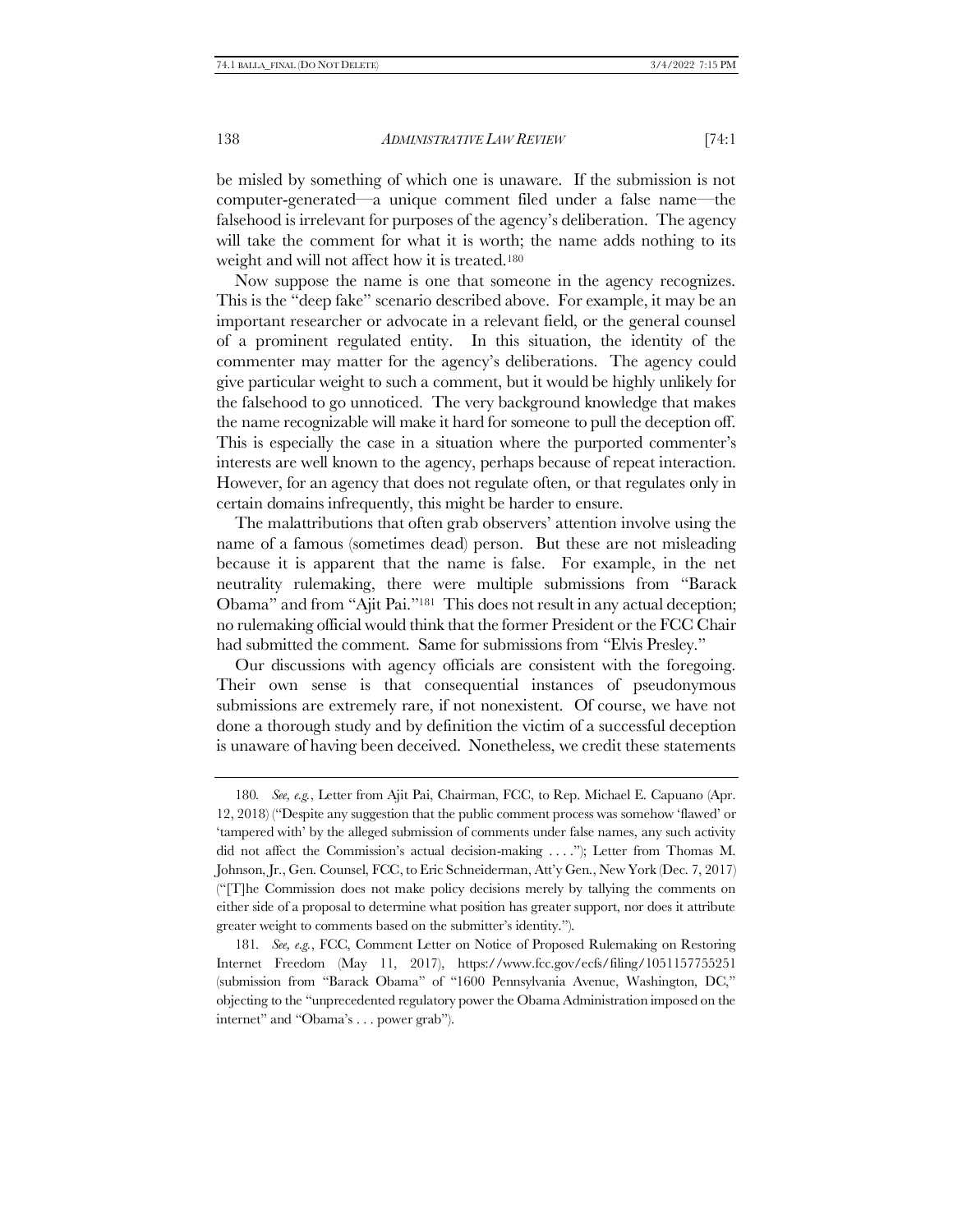be misled by something of which one is unaware. If the submission is not computer-generated—a unique comment filed under a false name—the falsehood is irrelevant for purposes of the agency's deliberation. The agency will take the comment for what it is worth; the name adds nothing to its weight and will not affect how it is treated.<sup>180</sup>

Now suppose the name is one that someone in the agency recognizes. This is the "deep fake" scenario described above. For example, it may be an important researcher or advocate in a relevant field, or the general counsel of a prominent regulated entity. In this situation, the identity of the commenter may matter for the agency's deliberations. The agency could give particular weight to such a comment, but it would be highly unlikely for the falsehood to go unnoticed. The very background knowledge that makes the name recognizable will make it hard for someone to pull the deception off. This is especially the case in a situation where the purported commenter's interests are well known to the agency, perhaps because of repeat interaction. However, for an agency that does not regulate often, or that regulates only in certain domains infrequently, this might be harder to ensure.

The malattributions that often grab observers' attention involve using the name of a famous (sometimes dead) person. But these are not misleading because it is apparent that the name is false. For example, in the net neutrality rulemaking, there were multiple submissions from "Barack Obama" and from "Ajit Pai."181 This does not result in any actual deception; no rulemaking official would think that the former President or the FCC Chair had submitted the comment. Same for submissions from "Elvis Presley."

Our discussions with agency officials are consistent with the foregoing. Their own sense is that consequential instances of pseudonymous submissions are extremely rare, if not nonexistent. Of course, we have not done a thorough study and by definition the victim of a successful deception is unaware of having been deceived. Nonetheless, we credit these statements

<sup>180</sup>*. See, e.g.*, Letter from Ajit Pai, Chairman, FCC, to Rep. Michael E. Capuano (Apr. 12, 2018) ("Despite any suggestion that the public comment process was somehow 'flawed' or 'tampered with' by the alleged submission of comments under false names, any such activity did not affect the Commission's actual decision-making . . . ."); Letter from Thomas M. Johnson, Jr., Gen. Counsel, FCC, to Eric Schneiderman, Att'y Gen., New York (Dec. 7, 2017) ("[T]he Commission does not make policy decisions merely by tallying the comments on either side of a proposal to determine what position has greater support, nor does it attribute greater weight to comments based on the submitter's identity.").

<sup>181</sup>*. See, e.g.*, FCC, Comment Letter on Notice of Proposed Rulemaking on Restoring Internet Freedom (May 11, 2017), https://www.fcc.gov/ecfs/filing/1051157755251 (submission from "Barack Obama" of "1600 Pennsylvania Avenue, Washington, DC," objecting to the "unprecedented regulatory power the Obama Administration imposed on the internet" and "Obama's . . . power grab").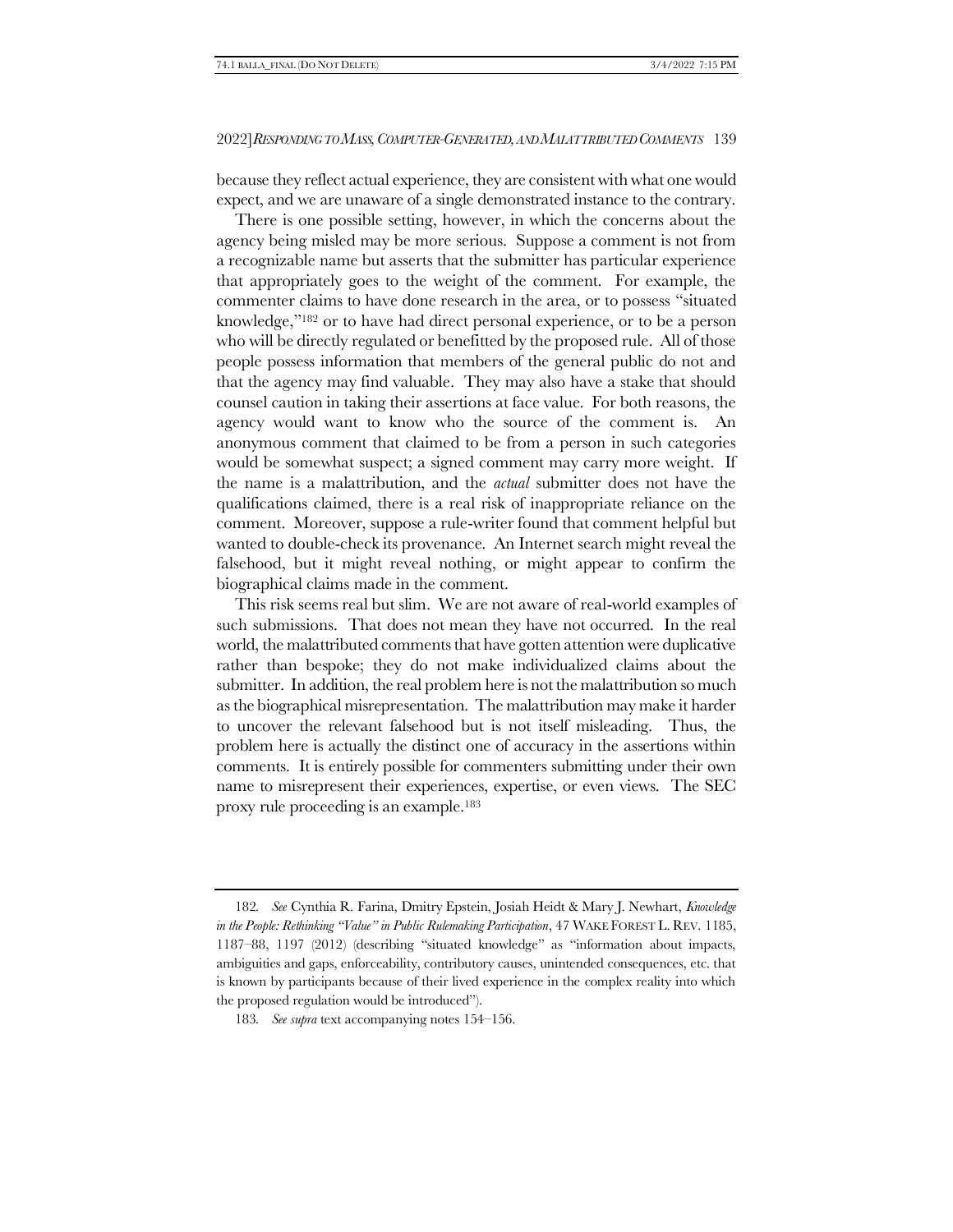because they reflect actual experience, they are consistent with what one would expect, and we are unaware of a single demonstrated instance to the contrary.

There is one possible setting, however, in which the concerns about the agency being misled may be more serious. Suppose a comment is not from a recognizable name but asserts that the submitter has particular experience that appropriately goes to the weight of the comment. For example, the commenter claims to have done research in the area, or to possess "situated knowledge,"<sup>182</sup> or to have had direct personal experience, or to be a person who will be directly regulated or benefitted by the proposed rule. All of those people possess information that members of the general public do not and that the agency may find valuable. They may also have a stake that should counsel caution in taking their assertions at face value. For both reasons, the agency would want to know who the source of the comment is. An anonymous comment that claimed to be from a person in such categories would be somewhat suspect; a signed comment may carry more weight. If the name is a malattribution, and the *actual* submitter does not have the qualifications claimed, there is a real risk of inappropriate reliance on the comment. Moreover, suppose a rule-writer found that comment helpful but wanted to double-check its provenance. An Internet search might reveal the falsehood, but it might reveal nothing, or might appear to confirm the biographical claims made in the comment.

This risk seems real but slim. We are not aware of real-world examples of such submissions. That does not mean they have not occurred. In the real world, the malattributed comments that have gotten attention were duplicative rather than bespoke; they do not make individualized claims about the submitter. In addition, the real problem here is not the malattribution so much as the biographical misrepresentation. The malattribution may make it harder to uncover the relevant falsehood but is not itself misleading. Thus, the problem here is actually the distinct one of accuracy in the assertions within comments. It is entirely possible for commenters submitting under their own name to misrepresent their experiences, expertise, or even views. The SEC proxy rule proceeding is an example.<sup>183</sup>

<sup>182</sup>*. See* Cynthia R. Farina, Dmitry Epstein, Josiah Heidt & Mary J. Newhart, *Knowledge in the People: Rethinking "Value" in Public Rulemaking Participation*, 47 WAKE FOREST L. REV. 1185, 1187–88, 1197 (2012) (describing "situated knowledge" as "information about impacts, ambiguities and gaps, enforceability, contributory causes, unintended consequences, etc. that is known by participants because of their lived experience in the complex reality into which the proposed regulation would be introduced").

<sup>183</sup>*. See supra* text accompanying note[s 154](#page-37-0)–[156.](#page-37-1)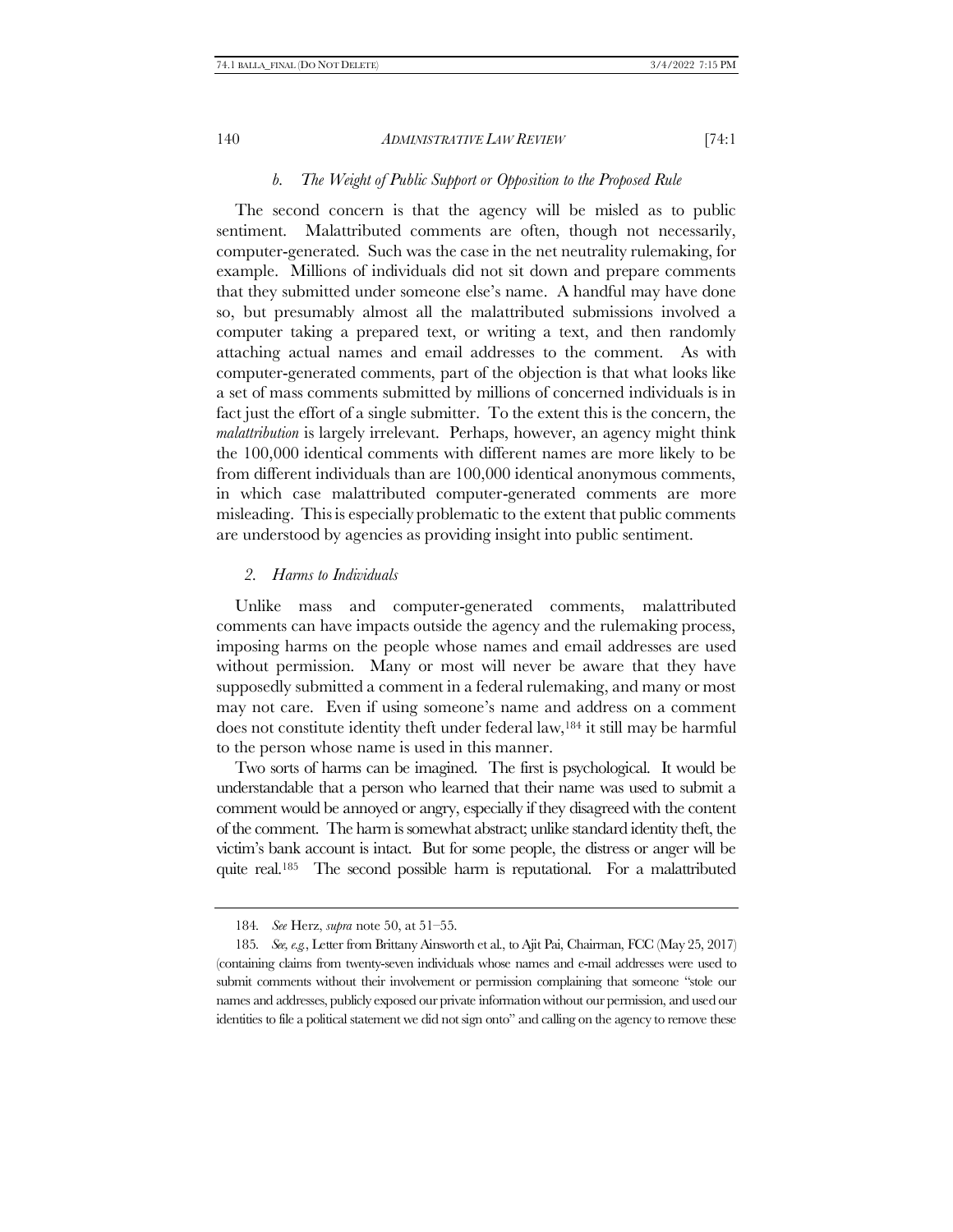#### *b. The Weight of Public Support or Opposition to the Proposed Rule*

The second concern is that the agency will be misled as to public sentiment. Malattributed comments are often, though not necessarily, computer-generated. Such was the case in the net neutrality rulemaking, for example. Millions of individuals did not sit down and prepare comments that they submitted under someone else's name. A handful may have done so, but presumably almost all the malattributed submissions involved a computer taking a prepared text, or writing a text, and then randomly attaching actual names and email addresses to the comment. As with computer-generated comments, part of the objection is that what looks like a set of mass comments submitted by millions of concerned individuals is in fact just the effort of a single submitter. To the extent this is the concern, the *malattribution* is largely irrelevant. Perhaps, however, an agency might think the 100,000 identical comments with different names are more likely to be from different individuals than are 100,000 identical anonymous comments, in which case malattributed computer-generated comments are more misleading. This is especially problematic to the extent that public comments are understood by agencies as providing insight into public sentiment.

# *2. Harms to Individuals*

Unlike mass and computer-generated comments, malattributed comments can have impacts outside the agency and the rulemaking process, imposing harms on the people whose names and email addresses are used without permission. Many or most will never be aware that they have supposedly submitted a comment in a federal rulemaking, and many or most may not care. Even if using someone's name and address on a comment does not constitute identity theft under federal law,<sup>184</sup> it still may be harmful to the person whose name is used in this manner.

Two sorts of harms can be imagined. The first is psychological. It would be understandable that a person who learned that their name was used to submit a comment would be annoyed or angry, especially if they disagreed with the content of the comment. The harm is somewhat abstract; unlike standard identity theft, the victim's bank account is intact. But for some people, the distress or anger will be quite real.185 The second possible harm is reputational. For a malattributed

<sup>184</sup>*. See* Herz, *supra* note [50,](#page-11-0) at 51–55.

<sup>185</sup>*. See, e.g.*, Letter from Brittany Ainsworth et al., to Ajit Pai, Chairman, FCC (May 25, 2017) (containing claims from twenty-seven individuals whose names and e-mail addresses were used to submit comments without their involvement or permission complaining that someone "stole our names and addresses, publicly exposed our private information without our permission, and used our identities to file a political statement we did not sign onto" and calling on the agency to remove these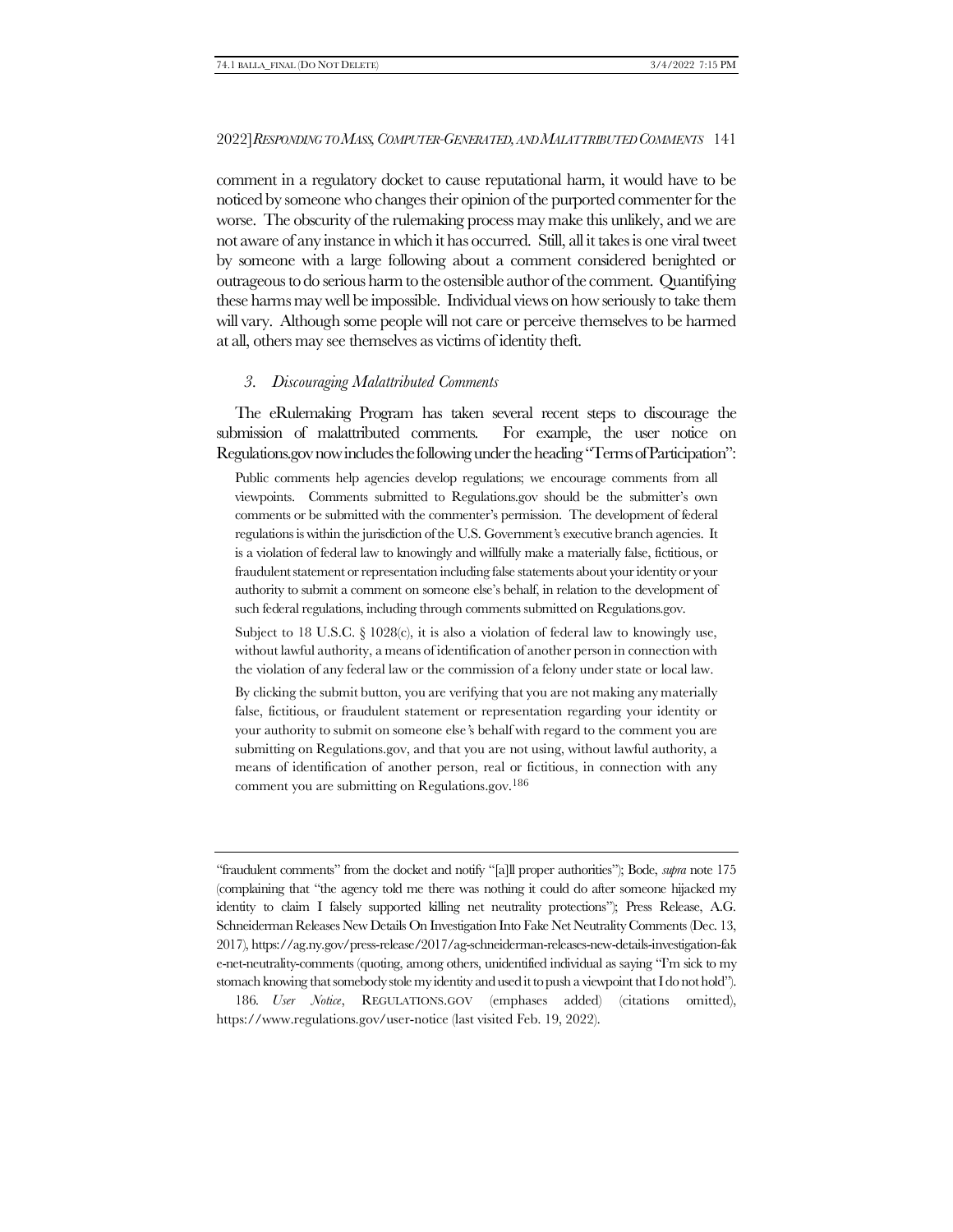comment in a regulatory docket to cause reputational harm, it would have to be noticed by someone who changes their opinion of the purported commenter for the worse. The obscurity of the rulemaking process may make this unlikely, and we are not aware of any instance in which it has occurred. Still, all it takes is one viral tweet by someone with a large following about a comment considered benighted or outrageous to do serious harm to the ostensible author of the comment. Quantifying these harms may well be impossible. Individual views on how seriously to take them will vary. Although some people will not care or perceive themselves to be harmed at all, others may see themselves as victims of identity theft.

#### *3. Discouraging Malattributed Comments*

The eRulemaking Program has taken several recent steps to discourage the submission of malattributed comments. For example, the user notice on Regulations.gov now includes the following under the heading "Terms of Participation":

Public comments help agencies develop regulations; we encourage comments from all viewpoints. Comments submitted to Regulations.gov should be the submitter's own comments or be submitted with the commenter's permission.The development of federal regulations is within the jurisdiction of the U.S. Government*'*s executive branch agencies. It is a violation of federal law to knowingly and willfully make a materially false, fictitious, or fraudulent statement or representation including false statements about your identity or your authority to submit a comment on someone else's behalf, in relation to the development of such federal regulations, including through comments submitted on Regulations.gov.

Subject to 18 U.S.C.  $\S$  1028(c), it is also a violation of federal law to knowingly use, without lawful authority, a means of identification of another person in connection with the violation of any federal law or the commission of a felony under state or local law.

By clicking the submit button, you are verifying that you are not making any materially false, fictitious, or fraudulent statement or representation regarding your identity or your authority to submit on someone else*'*s behalf with regard to the comment you are submitting on Regulations.gov, and that you are not using, without lawful authority, a means of identification of another person, real or fictitious, in connection with any comment you are submitting on Regulations.gov.186

"fraudulent comments" from the docket and notify "[a]ll proper authorities"); Bode, *supra* not[e 175](#page-41-0) (complaining that "the agency told me there was nothing it could do after someone hijacked my identity to claim I falsely supported killing net neutrality protections"); Press Release, A.G. Schneiderman Releases New Details On Investigation Into Fake Net Neutrality Comments (Dec. 13, 2017), https://ag.ny.gov/press-release/2017/ag-schneiderman-releases-new-details-investigation-fak e-net-neutrality-comments (quoting, among others, unidentified individual as saying "I'm sick to my stomach knowing that somebody stole my identity and used it to push a viewpoint that I do not hold").

186*. User Notice*, REGULATIONS.GOV (emphases added) (citations omitted), https://www.regulations.gov/user-notice (last visited Feb. 19, 2022).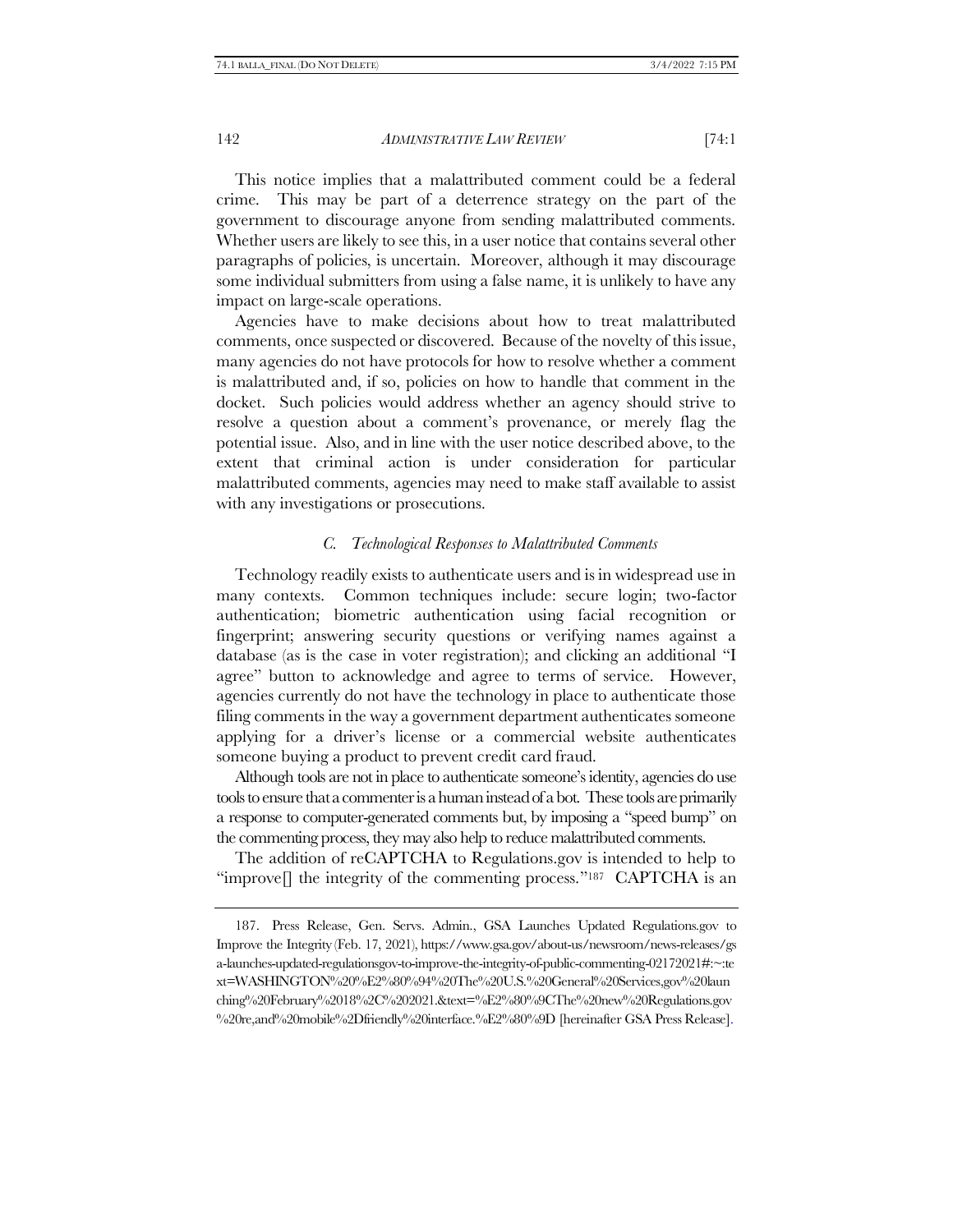This notice implies that a malattributed comment could be a federal crime. This may be part of a deterrence strategy on the part of the government to discourage anyone from sending malattributed comments. Whether users are likely to see this, in a user notice that contains several other paragraphs of policies, is uncertain. Moreover, although it may discourage some individual submitters from using a false name, it is unlikely to have any impact on large-scale operations.

Agencies have to make decisions about how to treat malattributed comments, once suspected or discovered. Because of the novelty of this issue, many agencies do not have protocols for how to resolve whether a comment is malattributed and, if so, policies on how to handle that comment in the docket. Such policies would address whether an agency should strive to resolve a question about a comment's provenance, or merely flag the potential issue. Also, and in line with the user notice described above, to the extent that criminal action is under consideration for particular malattributed comments, agencies may need to make staff available to assist with any investigations or prosecutions.

#### *C. Technological Responses to Malattributed Comments*

Technology readily exists to authenticate users and is in widespread use in many contexts. Common techniques include: secure login; two-factor authentication; biometric authentication using facial recognition or fingerprint; answering security questions or verifying names against a database (as is the case in voter registration); and clicking an additional "I agree" button to acknowledge and agree to terms of service. However, agencies currently do not have the technology in place to authenticate those filing comments in the way a government department authenticates someone applying for a driver's license or a commercial website authenticates someone buying a product to prevent credit card fraud.

Although tools are not in place to authenticate someone's identity, agencies do use tools to ensure that a commenter is a human instead of a bot. These tools are primarily a response to computer-generated comments but, by imposing a "speed bump" on the commenting process, they may also help to reduce malattributed comments.

<span id="page-47-0"></span>The addition of reCAPTCHA to Regulations.gov is intended to help to "improve $\parallel$  the integrity of the commenting process."<sup>187</sup> CAPTCHA is an

<sup>187.</sup> Press Release, Gen. Servs. Admin., GSA Launches Updated Regulations.gov to Improve the Integrity (Feb. 17, 2021), https://www.gsa.gov/about-us/newsroom/news-releases/gs a-launches-updated-regulationsgov-to-improve-the-integrity-of-public-commenting-02172021#:~:te xt=WASHINGTON%20%E2%80%94%20The%20U.S.%20General%20Services,gov%20laun ching%20February%2018%2C%202021.&text=%E2%80%9CThe%20new%20Regulations.gov %20re,and%20mobile%2Dfriendly%20interface.%E2%80%9D [hereinafter GSA Press Release].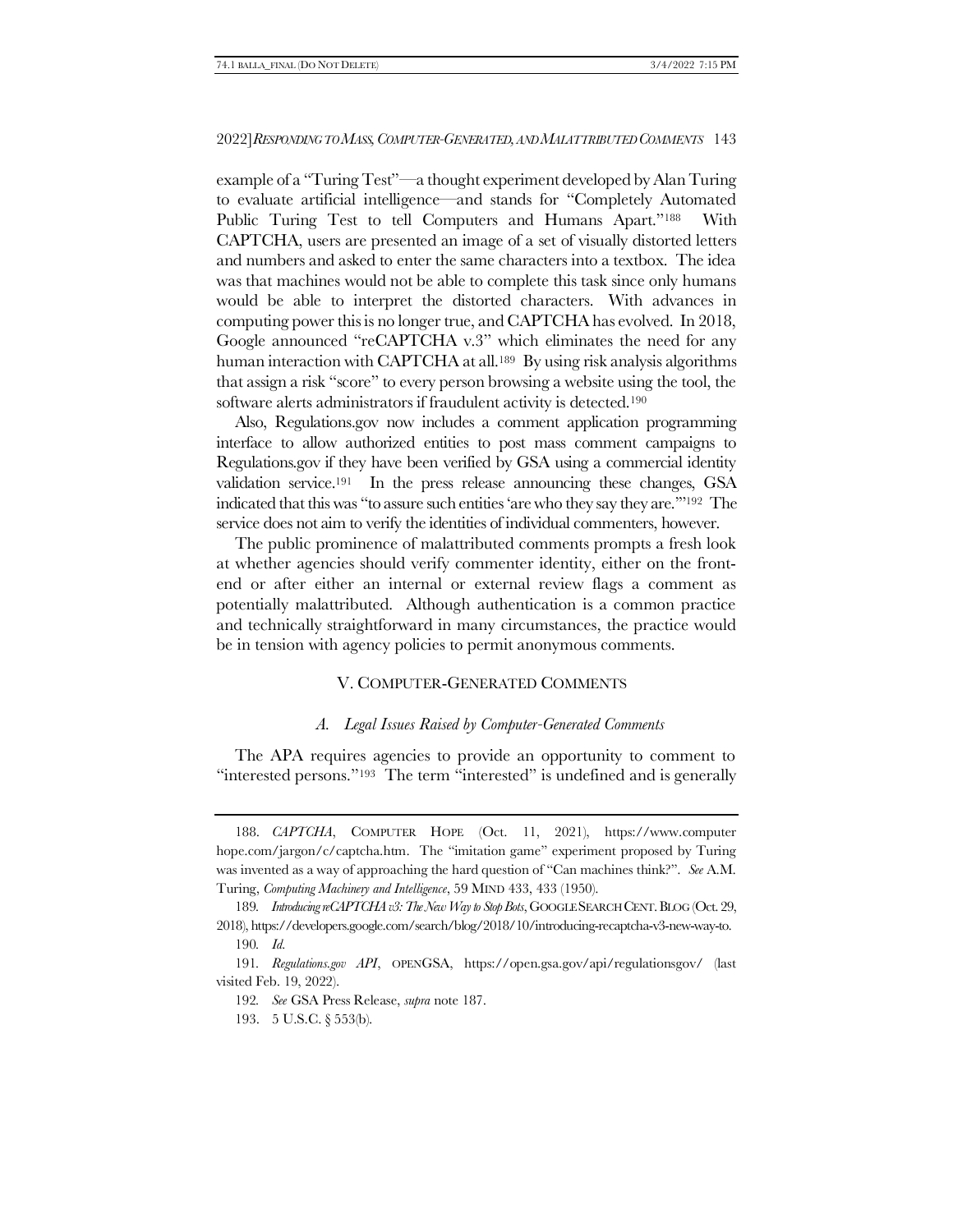example of a "Turing Test"—a thought experiment developed by Alan Turing to evaluate artificial intelligence—and stands for "Completely Automated Public Turing Test to tell Computers and Humans Apart."<sup>188</sup> With CAPTCHA, users are presented an image of a set of visually distorted letters and numbers and asked to enter the same characters into a textbox. The idea was that machines would not be able to complete this task since only humans would be able to interpret the distorted characters. With advances in computing power this is no longer true, and CAPTCHA has evolved. In 2018, Google announced "reCAPTCHA v.3" which eliminates the need for any human interaction with CAPTCHA at all.<sup>189</sup> By using risk analysis algorithms that assign a risk "score" to every person browsing a website using the tool, the software alerts administrators if fraudulent activity is detected.<sup>190</sup>

Also, Regulations.gov now includes a comment application programming interface to allow authorized entities to post mass comment campaigns to Regulations.gov if they have been verified by GSA using a commercial identity validation service.191 In the press release announcing these changes, GSA indicated that this was "to assure such entities 'are who they say they are.'"192 The service does not aim to verify the identities of individual commenters, however.

The public prominence of malattributed comments prompts a fresh look at whether agencies should verify commenter identity, either on the frontend or after either an internal or external review flags a comment as potentially malattributed. Although authentication is a common practice and technically straightforward in many circumstances, the practice would be in tension with agency policies to permit anonymous comments.

# <span id="page-48-0"></span>V. COMPUTER-GENERATED COMMENTS

#### *A. Legal Issues Raised by Computer-Generated Comments*

The APA requires agencies to provide an opportunity to comment to "interested persons."<sup>193</sup> The term "interested" is undefined and is generally

<sup>188.</sup> *CAPTCHA*, COMPUTER HOPE (Oct. 11, 2021), https://www.computer hope.com/jargon/c/captcha.htm. The "imitation game" experiment proposed by Turing was invented as a way of approaching the hard question of "Can machines think?". *See* A.M. Turing, *Computing Machinery and Intelligence*, 59 MIND 433, 433 (1950).

<sup>189.</sup> *Introducing reCAPTCHA v3: The New Way to Stop Bots*, GOOGLE SEARCH CENT. BLOG (Oct. 29, 2018), https://developers.google.com/search/blog/2018/10/introducing-recaptcha-v3-new-way-to. 190*. Id.*

<sup>191</sup>*. Regulations.gov API*, OPENGSA, https://open.gsa.gov/api/regulationsgov/ (last visited Feb. 19, 2022).

<sup>192</sup>*. See* GSA Press Release, *supra* not[e 187.](#page-47-0)

<sup>193.</sup> 5 U.S.C. § 553(b).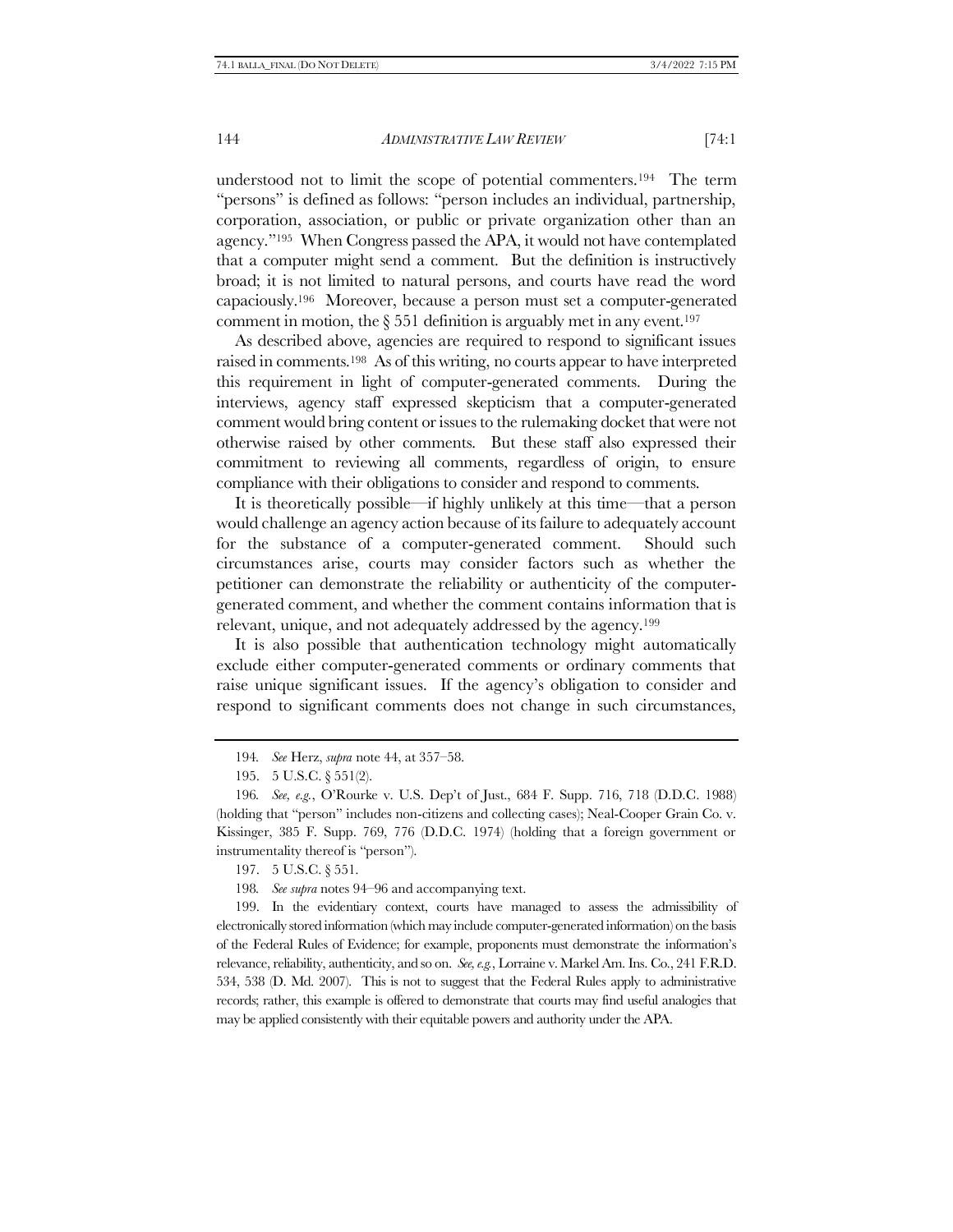understood not to limit the scope of potential commenters.194 The term "persons" is defined as follows: "person includes an individual, partnership, corporation, association, or public or private organization other than an agency."195 When Congress passed the APA, it would not have contemplated that a computer might send a comment. But the definition is instructively broad; it is not limited to natural persons, and courts have read the word capaciously.196 Moreover, because a person must set a computer-generated comment in motion, the  $\S 551$  definition is arguably met in any event.<sup>197</sup>

<span id="page-49-0"></span>As described above, agencies are required to respond to significant issues raised in comments.198 As of this writing, no courts appear to have interpreted this requirement in light of computer-generated comments. During the interviews, agency staff expressed skepticism that a computer-generated comment would bring content or issues to the rulemaking docket that were not otherwise raised by other comments. But these staff also expressed their commitment to reviewing all comments, regardless of origin, to ensure compliance with their obligations to consider and respond to comments.

It is theoretically possible—if highly unlikely at this time—that a person would challenge an agency action because of its failure to adequately account for the substance of a computer-generated comment. Should such circumstances arise, courts may consider factors such as whether the petitioner can demonstrate the reliability or authenticity of the computergenerated comment, and whether the comment contains information that is relevant, unique, and not adequately addressed by the agency.<sup>199</sup>

It is also possible that authentication technology might automatically exclude either computer-generated comments or ordinary comments that raise unique significant issues. If the agency's obligation to consider and respond to significant comments does not change in such circumstances,

199. In the evidentiary context, courts have managed to assess the admissibility of electronically stored information (which may include computer-generated information) on the basis of the Federal Rules of Evidence; for example, proponents must demonstrate the information's relevance, reliability, authenticity, and so on. *See, e.g.*, Lorraine v. Markel Am. Ins. Co., 241 F.R.D. 534, 538 (D. Md. 2007). This is not to suggest that the Federal Rules apply to administrative records; rather, this example is offered to demonstrate that courts may find useful analogies that may be applied consistently with their equitable powers and authority under the APA.

<sup>194</sup>*. See* Herz, *supra* note [44,](#page-10-1) at 357–58.

<sup>195.</sup> 5 U.S.C. § 551(2).

<sup>196</sup>*. See, e.g.*, O'Rourke v. U.S. Dep't of Just., 684 F. Supp. 716, 718 (D.D.C. 1988) (holding that "person" includes non-citizens and collecting cases); Neal-Cooper Grain Co. v. Kissinger, 385 F. Supp. 769, 776 (D.D.C. 1974) (holding that a foreign government or instrumentality thereof is "person").

<sup>197.</sup> 5 U.S.C. § 551.

<sup>198</sup>*. See supra* note[s 94](#page-22-0)–[96](#page-22-1) and accompanying text.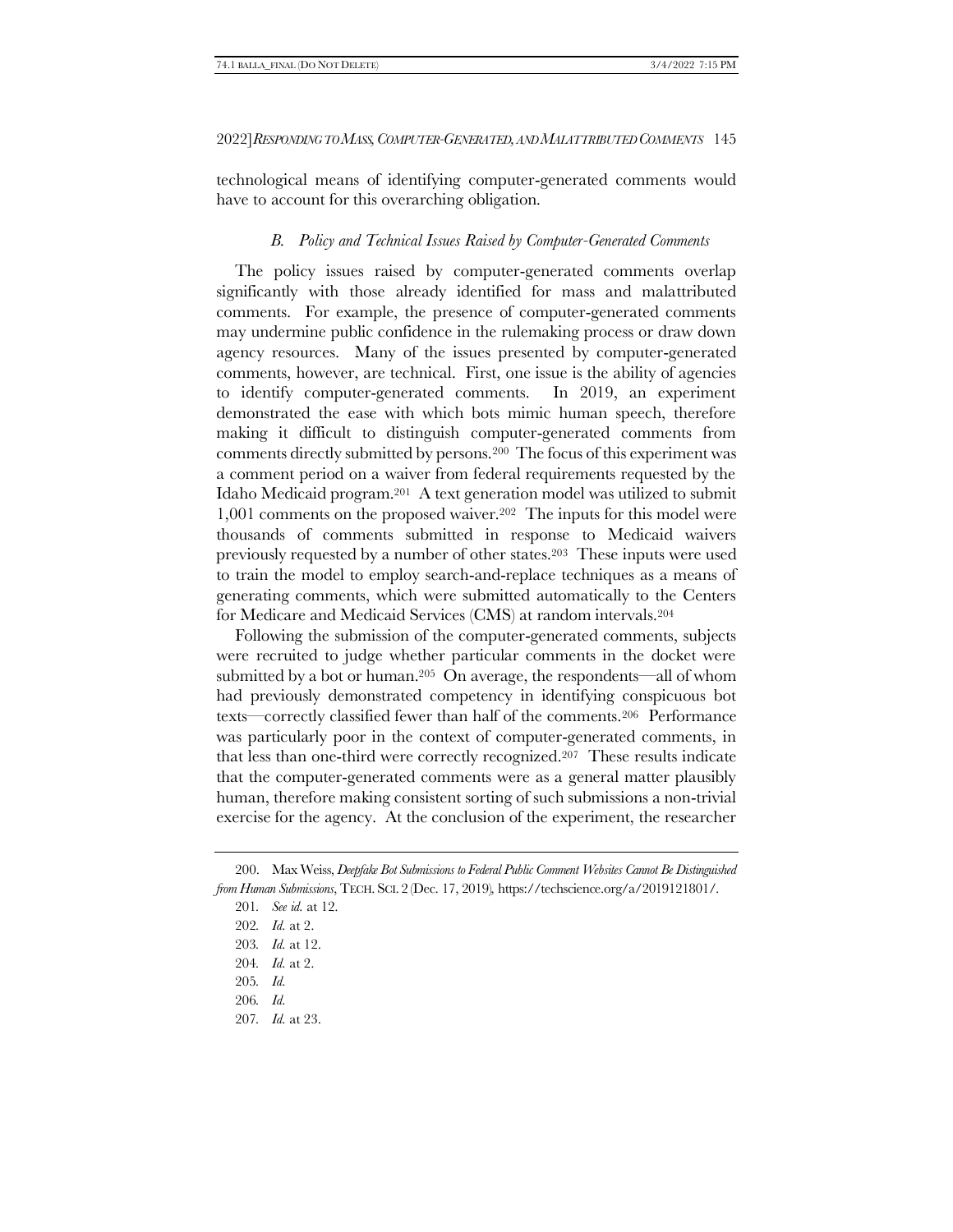<span id="page-50-1"></span>technological means of identifying computer-generated comments would have to account for this overarching obligation.

# <span id="page-50-2"></span>*B. Policy and Technical Issues Raised by Computer-Generated Comments*

The policy issues raised by computer-generated comments overlap significantly with those already identified for mass and malattributed comments. For example, the presence of computer-generated comments may undermine public confidence in the rulemaking process or draw down agency resources. Many of the issues presented by computer-generated comments, however, are technical. First, one issue is the ability of agencies to identify computer-generated comments. In 2019, an experiment demonstrated the ease with which bots mimic human speech, therefore making it difficult to distinguish computer-generated comments from comments directly submitted by persons.200 The focus of this experiment was a comment period on a waiver from federal requirements requested by the Idaho Medicaid program.201 A text generation model was utilized to submit 1,001 comments on the proposed waiver.202 The inputs for this model were thousands of comments submitted in response to Medicaid waivers previously requested by a number of other states.203 These inputs were used to train the model to employ search-and-replace techniques as a means of generating comments, which were submitted automatically to the Centers for Medicare and Medicaid Services (CMS) at random intervals.<sup>204</sup>

<span id="page-50-0"></span>Following the submission of the computer-generated comments, subjects were recruited to judge whether particular comments in the docket were submitted by a bot or human.205 On average, the respondents—all of whom had previously demonstrated competency in identifying conspicuous bot texts—correctly classified fewer than half of the comments.206 Performance was particularly poor in the context of computer-generated comments, in that less than one-third were correctly recognized.207 These results indicate that the computer-generated comments were as a general matter plausibly human, therefore making consistent sorting of such submissions a non-trivial exercise for the agency. At the conclusion of the experiment, the researcher

- 203*. Id.* at 12.
- 204*. Id.* at 2.
- 205*. Id.*
- 206*. Id.*
- 207*. Id.* at 23.

<sup>200.</sup> Max Weiss, *Deepfake Bot Submissions to Federal Public Comment Websites Cannot Be Distinguished from Human Submissions*, TECH. SCI. 2 (Dec. 17, 2019)*,* https://techscience.org/a/2019121801/.

<sup>201</sup>*. See id.* at 12.

<sup>202</sup>*. Id.* at 2.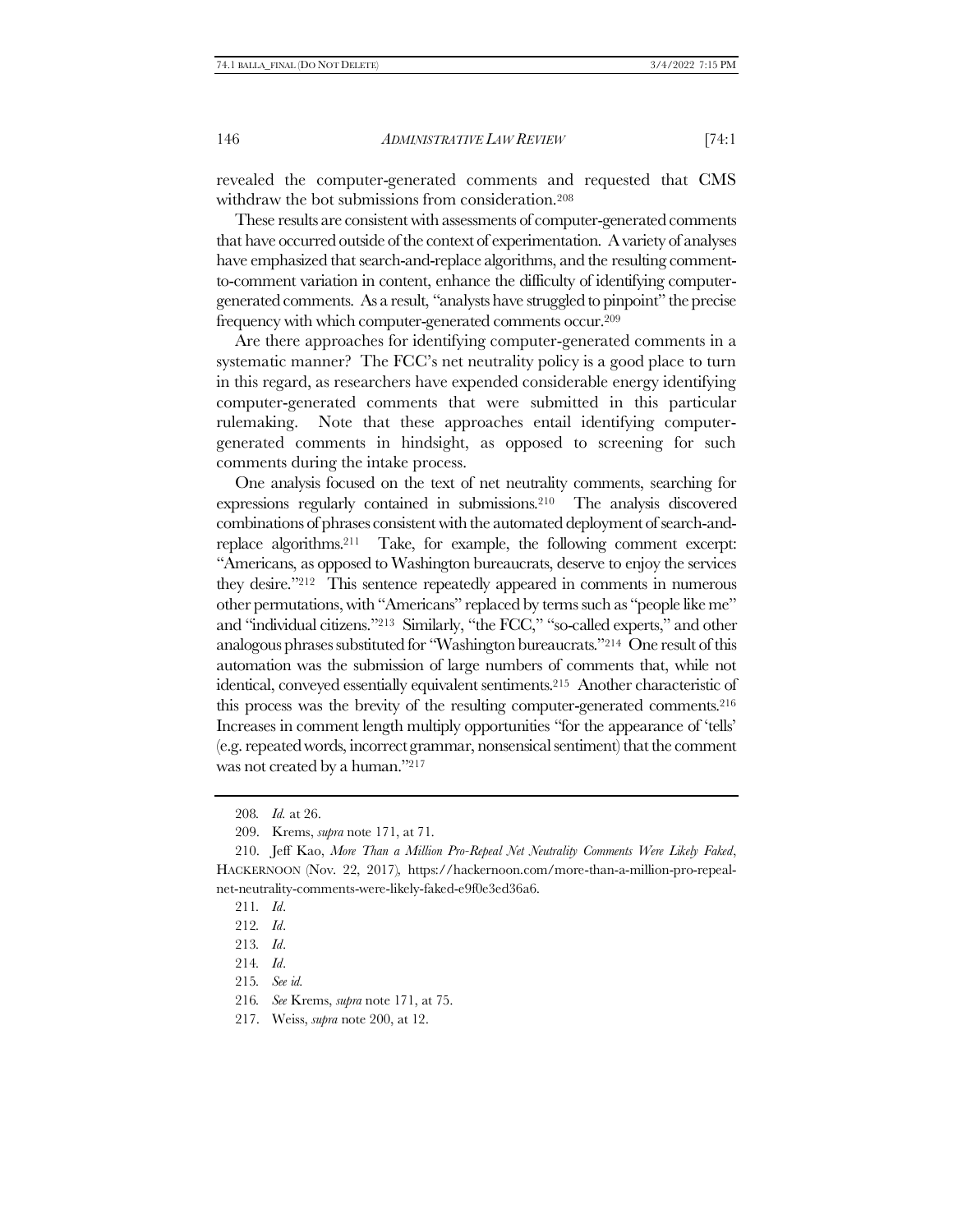revealed the computer-generated comments and requested that CMS withdraw the bot submissions from consideration.<sup>208</sup>

These results are consistent with assessments of computer-generated comments that have occurred outside of the context of experimentation. A variety of analyses have emphasized that search-and-replace algorithms, and the resulting commentto-comment variation in content, enhance the difficulty of identifying computergenerated comments. As a result, "analysts have struggled to pinpoint" the precise frequency with which computer-generated comments occur.<sup>209</sup>

Are there approaches for identifying computer-generated comments in a systematic manner? The FCC's net neutrality policy is a good place to turn in this regard, as researchers have expended considerable energy identifying computer-generated comments that were submitted in this particular rulemaking. Note that these approaches entail identifying computergenerated comments in hindsight, as opposed to screening for such comments during the intake process.

One analysis focused on the text of net neutrality comments, searching for expressions regularly contained in submissions.210 The analysis discovered combinations of phrases consistent with the automated deployment of search-andreplace algorithms.211 Take, for example, the following comment excerpt: "Americans, as opposed to Washington bureaucrats, deserve to enjoy the services they desire."212 This sentence repeatedly appeared in comments in numerous other permutations, with "Americans" replaced by terms such as "people like me" and "individual citizens."213 Similarly, "the FCC," "so-called experts," and other analogous phrases substituted for "Washington bureaucrats."214 One result of this automation was the submission of large numbers of comments that, while not identical, conveyed essentially equivalent sentiments. <sup>215</sup> Another characteristic of this process was the brevity of the resulting computer-generated comments.<sup>216</sup> Increases in comment length multiply opportunities "for the appearance of 'tells' (e.g. repeated words, incorrect grammar, nonsensical sentiment) that the comment was not created by a human."217

215*. See id.*

<sup>208</sup>*. Id.* at 26.

<sup>209.</sup> Krems, *supra* note [171,](#page-40-1) at 71.

<sup>210.</sup> Jeff Kao, *More Than a Million Pro-Repeal Net Neutrality Comments Were Likely Faked*, HACKERNOON (Nov. 22, 2017)*,* https://hackernoon.com/more-than-a-million-pro-repealnet-neutrality-comments-were-likely-faked-e9f0e3ed36a6.

<sup>211</sup>*. Id*.

<sup>212</sup>*. Id*.

<sup>213</sup>*. Id*.

<sup>214</sup>*. Id*.

<sup>216</sup>*. See* Krems, *supra* note [171,](#page-40-1) at 75.

<sup>217.</sup> Weiss, *supra* note [200,](#page-50-2) at 12.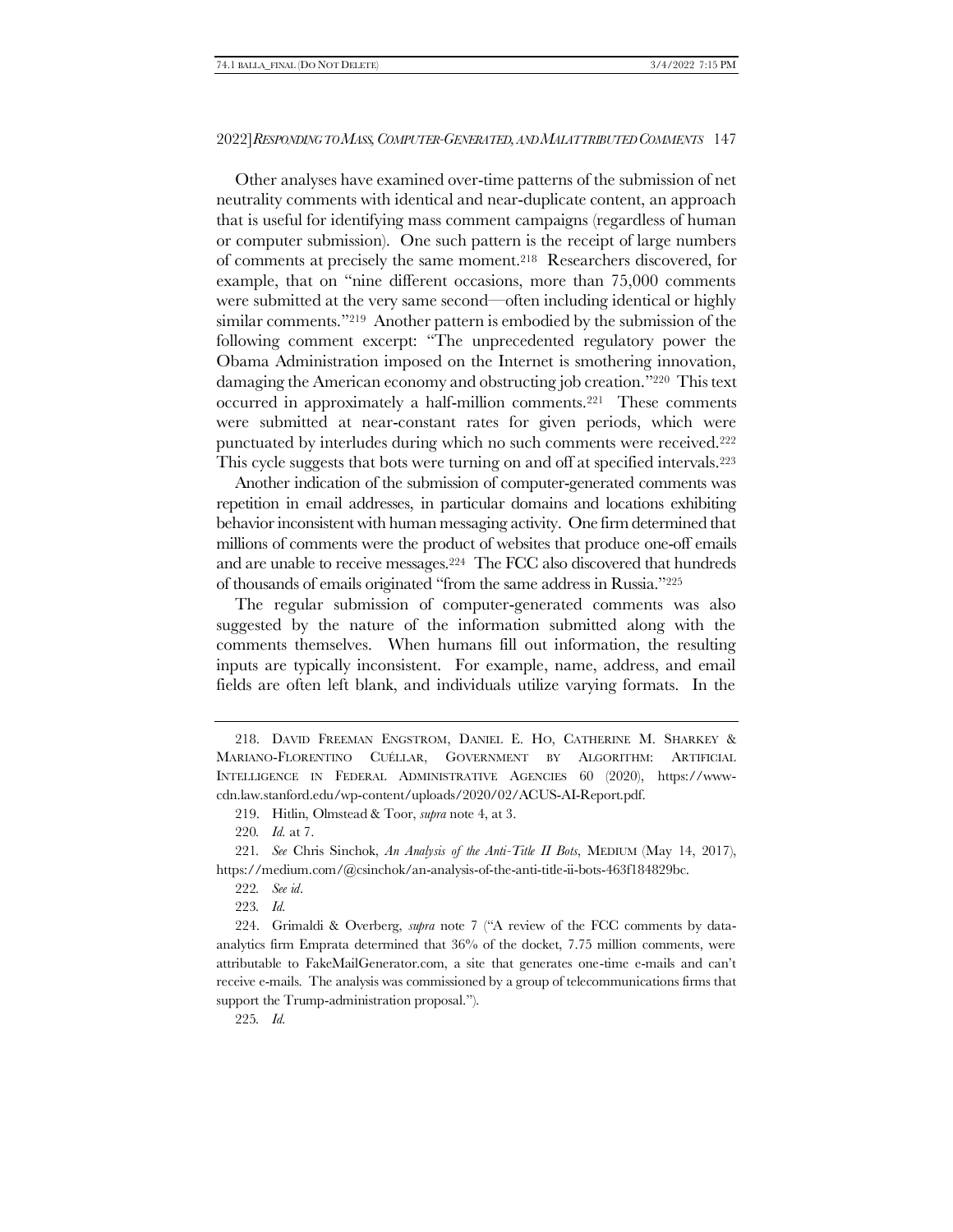Other analyses have examined over-time patterns of the submission of net neutrality comments with identical and near-duplicate content, an approach that is useful for identifying mass comment campaigns (regardless of human or computer submission). One such pattern is the receipt of large numbers of comments at precisely the same moment.218 Researchers discovered, for example, that on "nine different occasions, more than 75,000 comments were submitted at the very same second—often including identical or highly similar comments."<sup>219</sup> Another pattern is embodied by the submission of the following comment excerpt: "The unprecedented regulatory power the Obama Administration imposed on the Internet is smothering innovation, damaging the American economy and obstructing job creation."220 This text occurred in approximately a half-million comments.221 These comments were submitted at near-constant rates for given periods, which were punctuated by interludes during which no such comments were received.<sup>222</sup> This cycle suggests that bots were turning on and off at specified intervals.<sup>223</sup>

<span id="page-52-0"></span>Another indication of the submission of computer-generated comments was repetition in email addresses, in particular domains and locations exhibiting behavior inconsistent with human messaging activity. One firm determined that millions of comments were the product of websites that produce one-off emails and are unable to receive messages.224 The FCC also discovered that hundreds of thousands of emails originated "from the same address in Russia."<sup>225</sup>

The regular submission of computer-generated comments was also suggested by the nature of the information submitted along with the comments themselves. When humans fill out information, the resulting inputs are typically inconsistent. For example, name, address, and email fields are often left blank, and individuals utilize varying formats. In the

223*. Id.*

225*. Id.*

<sup>218.</sup> DAVID FREEMAN ENGSTROM, DANIEL E. HO, CATHERINE M. SHARKEY & MARIANO-FLORENTINO CUÉLLAR, GOVERNMENT BY ALGORITHM: ARTIFICIAL INTELLIGENCE IN FEDERAL ADMINISTRATIVE AGENCIES 60 (2020), https://wwwcdn.law.stanford.edu/wp-content/uploads/2020/02/ACUS-AI-Report.pdf.

<sup>219.</sup> Hitlin, Olmstead & Toor, *supra* not[e 4,](#page-2-0) at 3.

<sup>220</sup>*. Id.* at 7.

<sup>221</sup>*. See* Chris Sinchok, *An Analysis of the Anti-Title II Bots*, MEDIUM (May 14, 2017), https://medium.com/@csinchok/an-analysis-of-the-anti-title-ii-bots-463f184829bc.

<sup>222</sup>*. See id*.

<sup>224.</sup> Grimaldi & Overberg, *supra* note [7](#page-2-3) ("A review of the FCC comments by dataanalytics firm Emprata determined that 36% of the docket, 7.75 million comments, were attributable to FakeMailGenerator.com, a site that generates one-time e-mails and can't receive e-mails. The analysis was commissioned by a group of telecommunications firms that support the Trump-administration proposal.").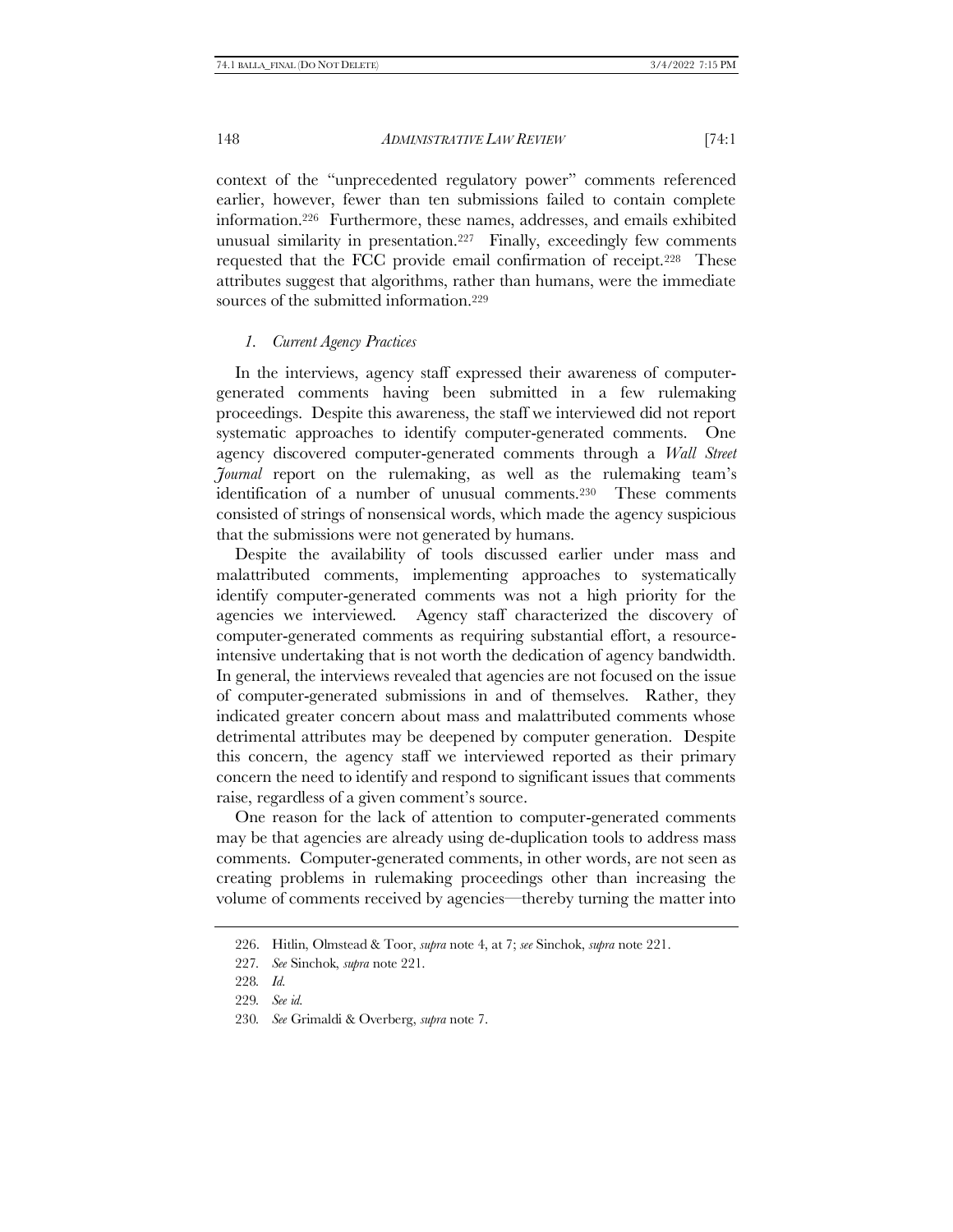context of the "unprecedented regulatory power" comments referenced earlier, however, fewer than ten submissions failed to contain complete information.226 Furthermore, these names, addresses, and emails exhibited unusual similarity in presentation.227 Finally, exceedingly few comments requested that the FCC provide email confirmation of receipt.228 These attributes suggest that algorithms, rather than humans, were the immediate sources of the submitted information.<sup>229</sup>

#### *1. Current Agency Practices*

In the interviews, agency staff expressed their awareness of computergenerated comments having been submitted in a few rulemaking proceedings. Despite this awareness, the staff we interviewed did not report systematic approaches to identify computer-generated comments. One agency discovered computer-generated comments through a *Wall Street Journal* report on the rulemaking, as well as the rulemaking team's identification of a number of unusual comments.230 These comments consisted of strings of nonsensical words, which made the agency suspicious that the submissions were not generated by humans.

Despite the availability of tools discussed earlier under mass and malattributed comments, implementing approaches to systematically identify computer-generated comments was not a high priority for the agencies we interviewed. Agency staff characterized the discovery of computer-generated comments as requiring substantial effort, a resourceintensive undertaking that is not worth the dedication of agency bandwidth. In general, the interviews revealed that agencies are not focused on the issue of computer-generated submissions in and of themselves. Rather, they indicated greater concern about mass and malattributed comments whose detrimental attributes may be deepened by computer generation. Despite this concern, the agency staff we interviewed reported as their primary concern the need to identify and respond to significant issues that comments raise, regardless of a given comment's source.

One reason for the lack of attention to computer-generated comments may be that agencies are already using de-duplication tools to address mass comments. Computer-generated comments, in other words, are not seen as creating problems in rulemaking proceedings other than increasing the volume of comments received by agencies—thereby turning the matter into

<sup>226.</sup> Hitlin, Olmstead & Toor, *supra* not[e 4,](#page-2-0) at 7; *see* Sinchok, *supra* note [221.](#page-52-0)

<sup>227</sup>*. See* Sinchok, *supra* not[e 221.](#page-52-0)

<sup>228</sup>*. Id.*

<sup>229</sup>*. See id.*

<sup>230</sup>*. See* Grimaldi & Overberg, *supra* note [7.](#page-2-3)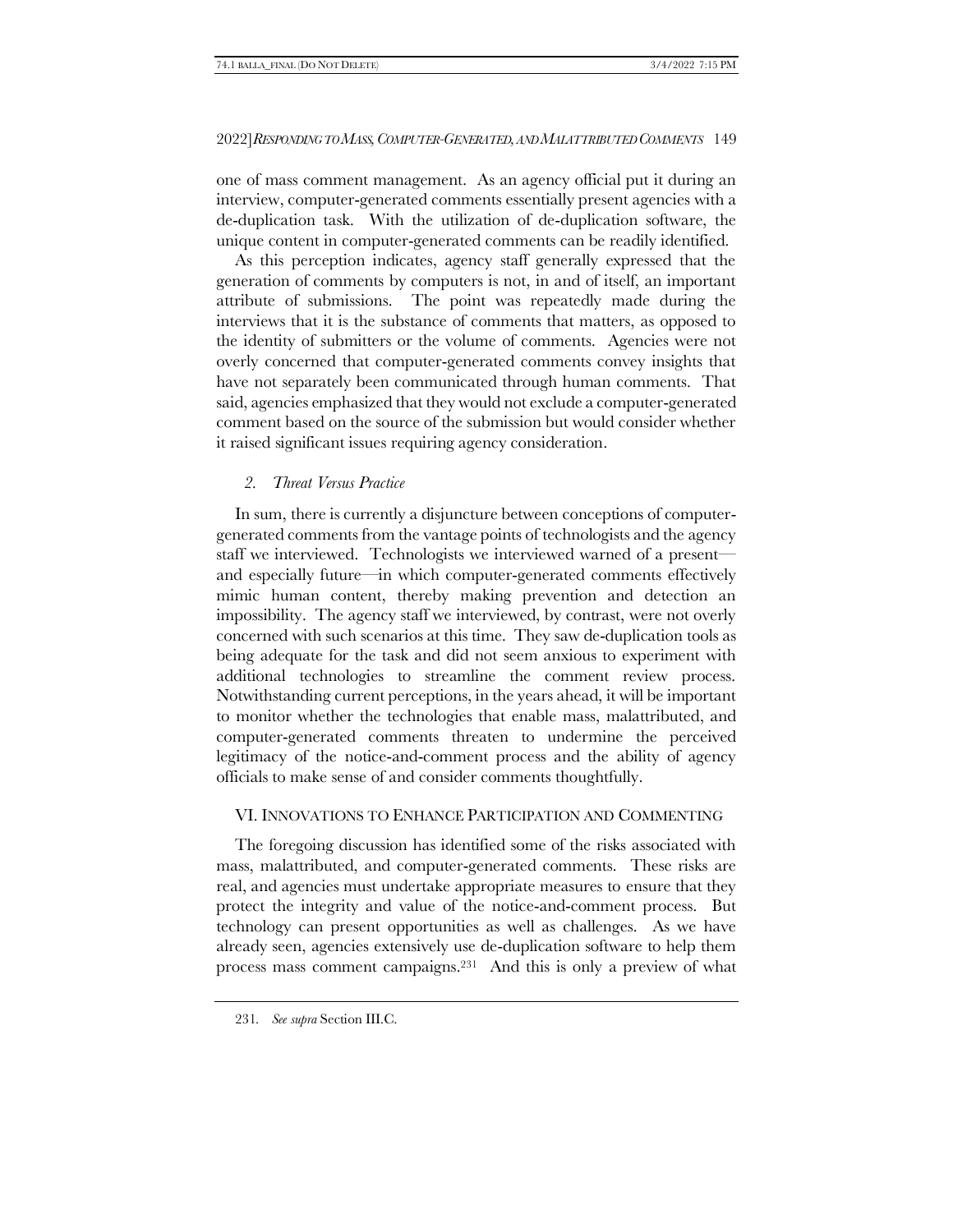one of mass comment management. As an agency official put it during an interview, computer-generated comments essentially present agencies with a de-duplication task. With the utilization of de-duplication software, the unique content in computer-generated comments can be readily identified.

As this perception indicates, agency staff generally expressed that the generation of comments by computers is not, in and of itself, an important attribute of submissions. The point was repeatedly made during the interviews that it is the substance of comments that matters, as opposed to the identity of submitters or the volume of comments. Agencies were not overly concerned that computer-generated comments convey insights that have not separately been communicated through human comments. That said, agencies emphasized that they would not exclude a computer-generated comment based on the source of the submission but would consider whether it raised significant issues requiring agency consideration.

# *2. Threat Versus Practice*

In sum, there is currently a disjuncture between conceptions of computergenerated comments from the vantage points of technologists and the agency staff we interviewed. Technologists we interviewed warned of a present and especially future—in which computer-generated comments effectively mimic human content, thereby making prevention and detection an impossibility. The agency staff we interviewed, by contrast, were not overly concerned with such scenarios at this time. They saw de-duplication tools as being adequate for the task and did not seem anxious to experiment with additional technologies to streamline the comment review process. Notwithstanding current perceptions, in the years ahead, it will be important to monitor whether the technologies that enable mass, malattributed, and computer-generated comments threaten to undermine the perceived legitimacy of the notice-and-comment process and the ability of agency officials to make sense of and consider comments thoughtfully.

# VI. INNOVATIONS TO ENHANCE PARTICIPATION AND COMMENTING

The foregoing discussion has identified some of the risks associated with mass, malattributed, and computer-generated comments. These risks are real, and agencies must undertake appropriate measures to ensure that they protect the integrity and value of the notice-and-comment process. But technology can present opportunities as well as challenges. As we have already seen, agencies extensively use de-duplication software to help them process mass comment campaigns.231 And this is only a preview of what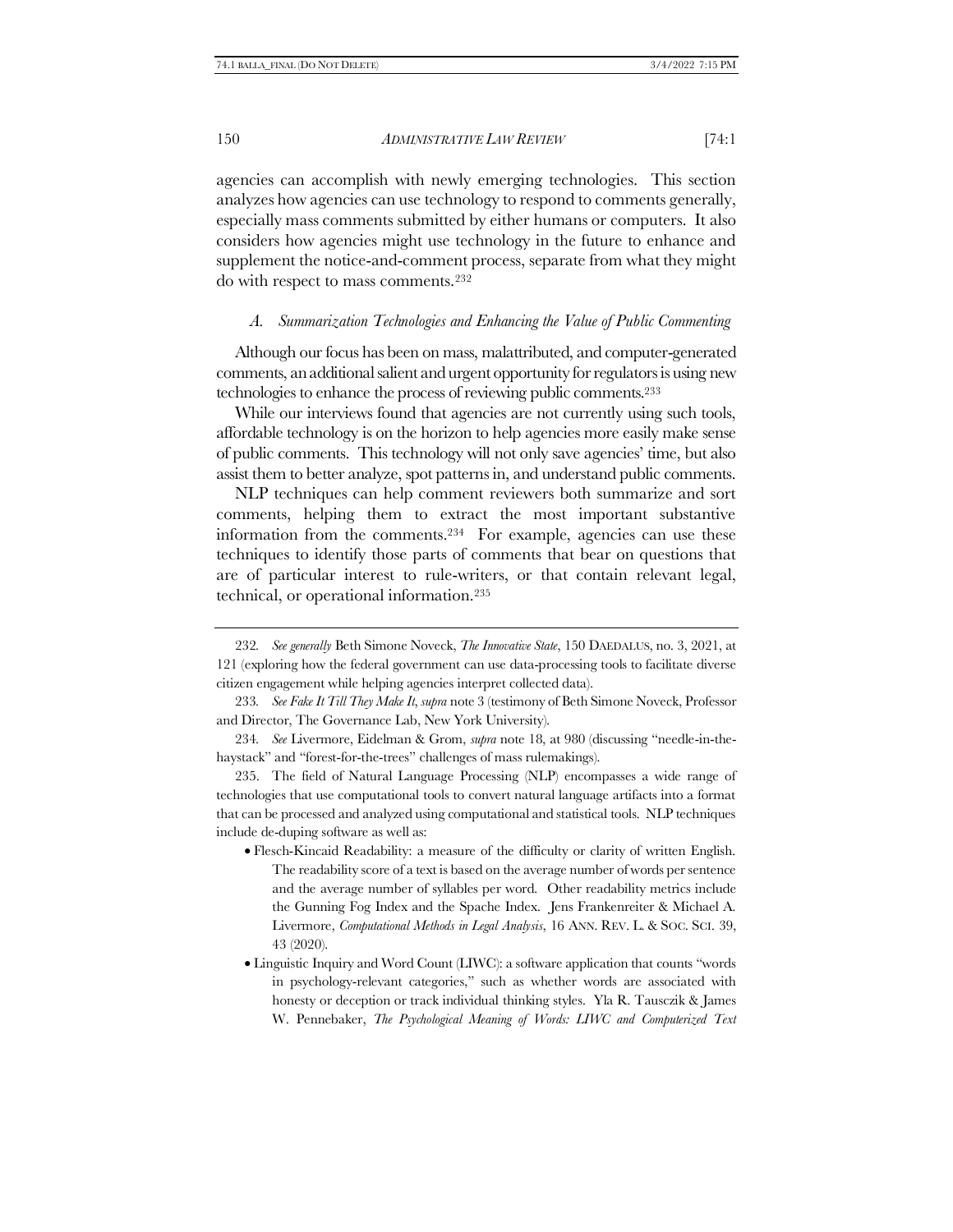agencies can accomplish with newly emerging technologies. This section analyzes how agencies can use technology to respond to comments generally, especially mass comments submitted by either humans or computers. It also considers how agencies might use technology in the future to enhance and supplement the notice-and-comment process, separate from what they might do with respect to mass comments.<sup>232</sup>

#### *A. Summarization Technologies and Enhancing the Value of Public Commenting*

Although our focus has been on mass, malattributed, and computer-generated comments, an additional salient and urgent opportunity for regulators is using new technologies to enhance the process of reviewing public comments.<sup>233</sup>

While our interviews found that agencies are not currently using such tools, affordable technology is on the horizon to help agencies more easily make sense of public comments. This technology will not only save agencies' time, but also assist them to better analyze, spot patterns in, and understand public comments.

NLP techniques can help comment reviewers both summarize and sort comments, helping them to extract the most important substantive information from the comments.234 For example, agencies can use these techniques to identify those parts of comments that bear on questions that are of particular interest to rule-writers, or that contain relevant legal, technical, or operational information.<sup>235</sup>

235. The field of Natural Language Processing (NLP) encompasses a wide range of technologies that use computational tools to convert natural language artifacts into a format that can be processed and analyzed using computational and statistical tools. NLP techniques include de-duping software as well as:

- Flesch-Kincaid Readability: a measure of the difficulty or clarity of written English. The readability score of a text is based on the average number of words per sentence and the average number of syllables per word. Other readability metrics include the Gunning Fog Index and the Spache Index. Jens Frankenreiter & Michael A. Livermore, *Computational Methods in Legal Analysis*, 16 ANN. REV. L. & SOC. SCI. 39, 43 (2020).
- Linguistic Inquiry and Word Count (LIWC): a software application that counts "words in psychology-relevant categories," such as whether words are associated with honesty or deception or track individual thinking styles. Yla R. Tausczik & James W. Pennebaker, *The Psychological Meaning of Words: LIWC and Computerized Text*

<sup>232</sup>*. See generally* Beth Simone Noveck, *The Innovative State*, 150 DAEDALUS, no. 3, 2021, at 121 (exploring how the federal government can use data-processing tools to facilitate diverse citizen engagement while helping agencies interpret collected data).

<sup>233</sup>*. See Fake It Till They Make It*, *supra* not[e 3](#page-2-1) (testimony of Beth Simone Noveck, Professor and Director, The Governance Lab, New York University).

<sup>234</sup>*. See* Livermore, Eidelman & Grom, *supra* note [18](#page-5-1), at 980 (discussing "needle-in-thehaystack" and "forest-for-the-trees" challenges of mass rulemakings).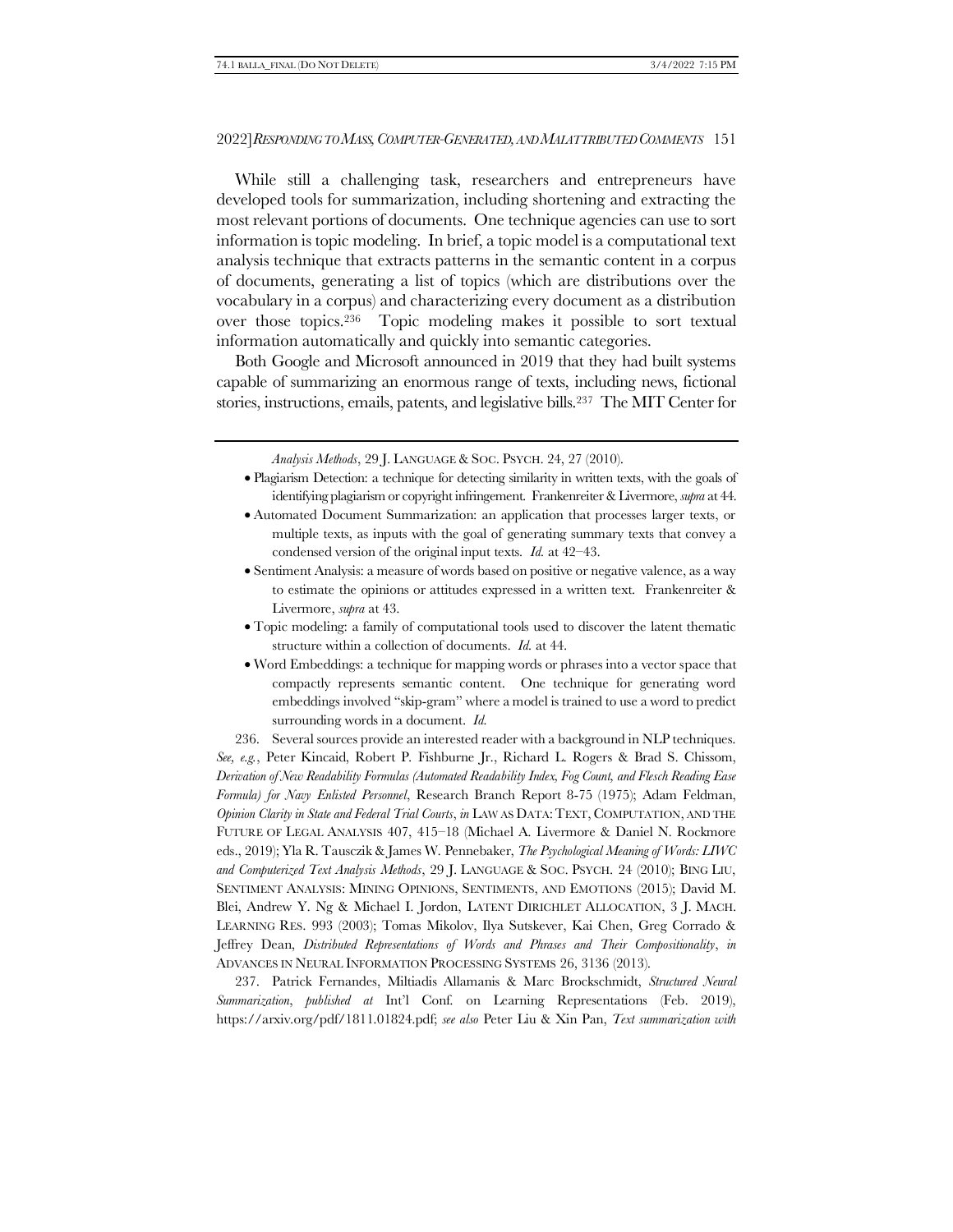While still a challenging task, researchers and entrepreneurs have developed tools for summarization, including shortening and extracting the most relevant portions of documents. One technique agencies can use to sort information is topic modeling. In brief, a topic model is a computational text analysis technique that extracts patterns in the semantic content in a corpus of documents, generating a list of topics (which are distributions over the vocabulary in a corpus) and characterizing every document as a distribution over those topics.236 Topic modeling makes it possible to sort textual information automatically and quickly into semantic categories.

Both Google and Microsoft announced in 2019 that they had built systems capable of summarizing an enormous range of texts, including news, fictional stories, instructions, emails, patents, and legislative bills.237 The MIT Center for

*Analysis Methods*, 29 J. LANGUAGE & SOC. PSYCH. 24, 27 (2010).

- Plagiarism Detection: a technique for detecting similarity in written texts, with the goals of identifying plagiarism or copyright infringement. Frankenreiter & Livermore, *supra* at 44.
- Automated Document Summarization: an application that processes larger texts, or multiple texts, as inputs with the goal of generating summary texts that convey a condensed version of the original input texts*. Id.* at 42–43.
- Sentiment Analysis: a measure of words based on positive or negative valence, as a way to estimate the opinions or attitudes expressed in a written text. Frankenreiter & Livermore, *supra* at 43.
- Topic modeling: a family of computational tools used to discover the latent thematic structure within a collection of documents. *Id.* at 44.
- Word Embeddings: a technique for mapping words or phrases into a vector space that compactly represents semantic content. One technique for generating word embeddings involved "skip-gram" where a model is trained to use a word to predict surrounding words in a document. *Id.*

236. Several sources provide an interested reader with a background in NLP techniques.

*See, e.g.*, Peter Kincaid, Robert P. Fishburne Jr., Richard L. Rogers & Brad S. Chissom, *Derivation of New Readability Formulas (Automated Readability Index, Fog Count, and Flesch Reading Ease Formula) for Navy Enlisted Personnel*, Research Branch Report 8-75 (1975); Adam Feldman, *Opinion Clarity in State and Federal Trial Courts*, *in* LAW AS DATA:TEXT, COMPUTATION, AND THE FUTURE OF LEGAL ANALYSIS 407, 415–18 (Michael A. Livermore & Daniel N. Rockmore eds., 2019); Yla R. Tausczik & James W. Pennebaker, *The Psychological Meaning of Words: LIWC and Computerized Text Analysis Methods*, 29 J. LANGUAGE & SOC. PSYCH. 24 (2010); BING LIU, SENTIMENT ANALYSIS: MINING OPINIONS, SENTIMENTS, AND EMOTIONS (2015); David M. Blei, Andrew Y. Ng & Michael I. Jordon, LATENT DIRICHLET ALLOCATION, 3 J. MACH. LEARNING RES. 993 (2003); Tomas Mikolov, Ilya Sutskever, Kai Chen, Greg Corrado & Jeffrey Dean, *Distributed Representations of Words and Phrases and Their Compositionality*, *in* ADVANCES IN NEURAL INFORMATION PROCESSING SYSTEMS 26, 3136 (2013).

237. Patrick Fernandes, Miltiadis Allamanis & Marc Brockschmidt, *Structured Neural Summarization*, *published at* Int'l Conf. on Learning Representations (Feb. 2019), https://arxiv.org/pdf/1811.01824.pdf; *see also* Peter Liu & Xin Pan, *Text summarization with*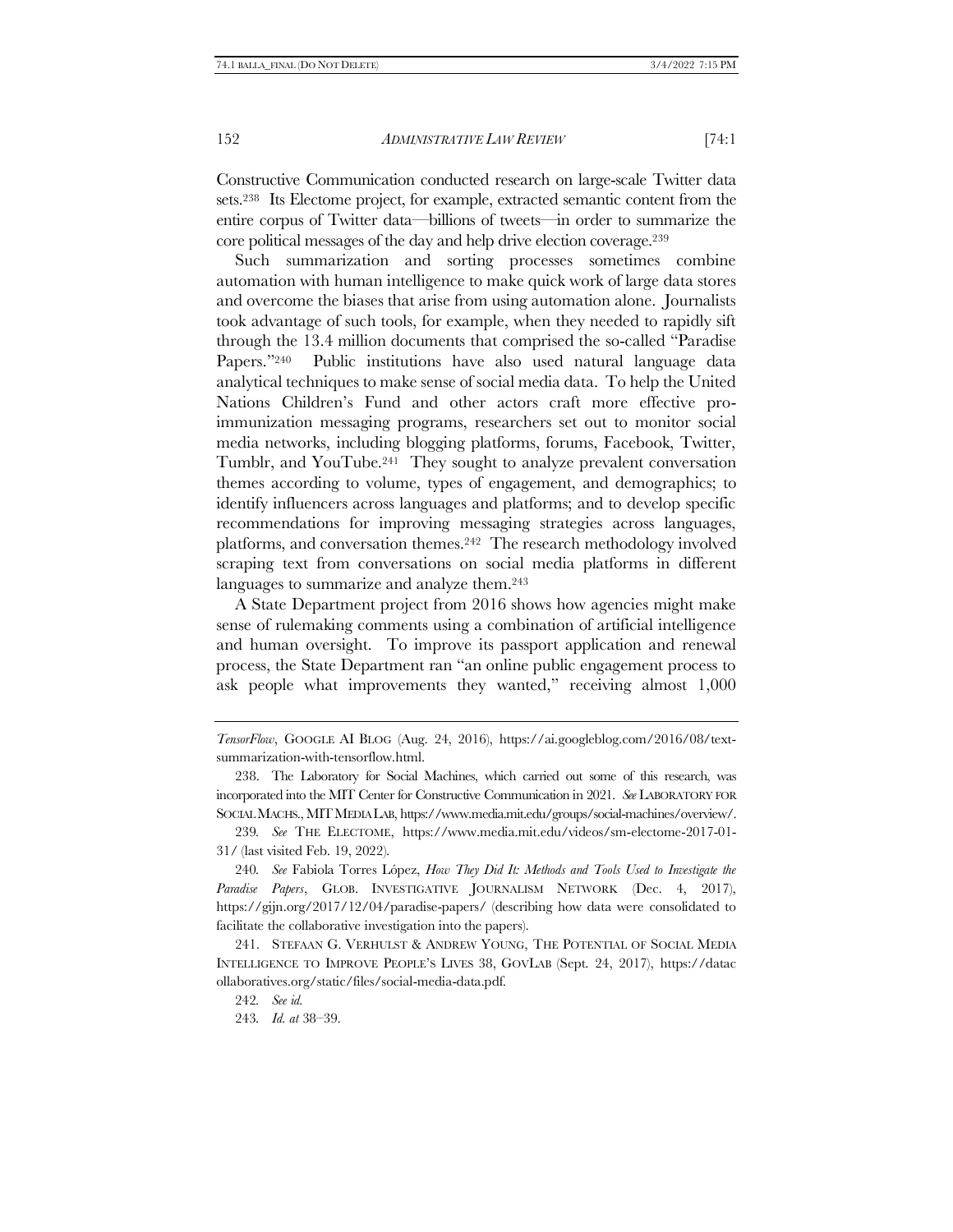Constructive Communication conducted research on large-scale Twitter data sets.238 Its Electome project, for example, extracted semantic content from the entire corpus of Twitter data—billions of tweets—in order to summarize the core political messages of the day and help drive election coverage.<sup>239</sup>

Such summarization and sorting processes sometimes combine automation with human intelligence to make quick work of large data stores and overcome the biases that arise from using automation alone. Journalists took advantage of such tools, for example, when they needed to rapidly sift through the 13.4 million documents that comprised the so-called "Paradise Papers."240 Public institutions have also used natural language data analytical techniques to make sense of social media data. To help the United Nations Children's Fund and other actors craft more effective proimmunization messaging programs, researchers set out to monitor social media networks, including blogging platforms, forums, Facebook, Twitter, Tumblr, and YouTube.241 They sought to analyze prevalent conversation themes according to volume, types of engagement, and demographics; to identify influencers across languages and platforms; and to develop specific recommendations for improving messaging strategies across languages, platforms, and conversation themes.242 The research methodology involved scraping text from conversations on social media platforms in different languages to summarize and analyze them. 243

A State Department project from 2016 shows how agencies might make sense of rulemaking comments using a combination of artificial intelligence and human oversight. To improve its passport application and renewal process, the State Department ran "an online public engagement process to ask people what improvements they wanted," receiving almost 1,000

240*. See* Fabiola Torres López, *How They Did It: Methods and Tools Used to Investigate the Paradise Papers*, GLOB. INVESTIGATIVE JOURNALISM NETWORK (Dec. 4, 2017), https://gijn.org/2017/12/04/paradise-papers/ (describing how data were consolidated to facilitate the collaborative investigation into the papers).

241. STEFAAN G. VERHULST & ANDREW YOUNG, THE POTENTIAL OF SOCIAL MEDIA INTELLIGENCE TO IMPROVE PEOPLE'S LIVES 38, GOVLAB (Sept. 24, 2017), https://datac ollaboratives.org/static/files/social-media-data.pdf.

242*. See id.*

243*. Id. at* 38–39.

*TensorFlow*, GOOGLE AI BLOG (Aug. 24, 2016), https://ai.googleblog.com/2016/08/textsummarization-with-tensorflow.html.

<sup>238.</sup> The Laboratory for Social Machines, which carried out some of this research, was incorporated into the MIT Center for Constructive Communication in 2021. *See* LABORATORY FOR SOCIAL MACHS., MITMEDIA LAB, https://www.media.mit.edu/groups/social-machines/overview/.

<sup>239</sup>*. See* THE ELECTOME, https://www.media.mit.edu/videos/sm-electome-2017-01- 31/ (last visited Feb. 19, 2022).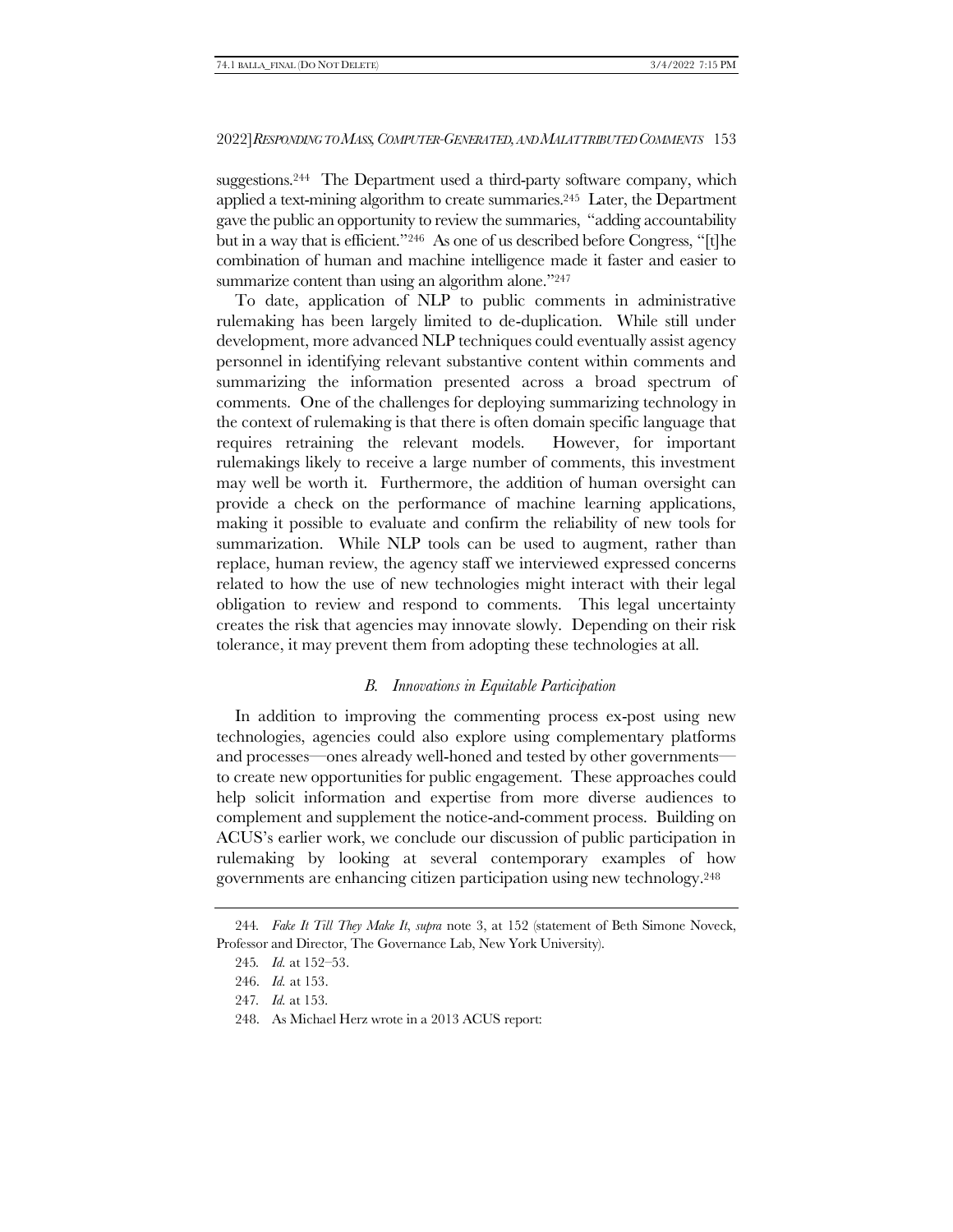suggestions.244 The Department used a third-party software company, which applied a text-mining algorithm to create summaries.245 Later, the Department gave the public an opportunity to review the summaries, "adding accountability but in a way that is efficient."<sup>246</sup> As one of us described before Congress, "[t]he combination of human and machine intelligence made it faster and easier to summarize content than using an algorithm alone."247

To date, application of NLP to public comments in administrative rulemaking has been largely limited to de-duplication. While still under development, more advanced NLP techniques could eventually assist agency personnel in identifying relevant substantive content within comments and summarizing the information presented across a broad spectrum of comments. One of the challenges for deploying summarizing technology in the context of rulemaking is that there is often domain specific language that requires retraining the relevant models. However, for important rulemakings likely to receive a large number of comments, this investment may well be worth it. Furthermore, the addition of human oversight can provide a check on the performance of machine learning applications, making it possible to evaluate and confirm the reliability of new tools for summarization. While NLP tools can be used to augment, rather than replace, human review, the agency staff we interviewed expressed concerns related to how the use of new technologies might interact with their legal obligation to review and respond to comments. This legal uncertainty creates the risk that agencies may innovate slowly. Depending on their risk tolerance, it may prevent them from adopting these technologies at all.

# *B. Innovations in Equitable Participation*

In addition to improving the commenting process ex-post using new technologies, agencies could also explore using complementary platforms and processes—ones already well-honed and tested by other governments to create new opportunities for public engagement. These approaches could help solicit information and expertise from more diverse audiences to complement and supplement the notice-and-comment process. Building on ACUS's earlier work, we conclude our discussion of public participation in rulemaking by looking at several contemporary examples of how governments are enhancing citizen participation using new technology.<sup>248</sup>

<sup>244</sup>*. Fake It Till They Make It*, *supra* note [3,](#page-2-1) at 152 (statement of Beth Simone Noveck, Professor and Director, The Governance Lab, New York University).

<sup>245</sup>*. Id.* at 152–53.

<sup>246.</sup> *Id.* at 153.

<sup>247</sup>*. Id.* at 153.

<sup>248.</sup> As Michael Herz wrote in a 2013 ACUS report: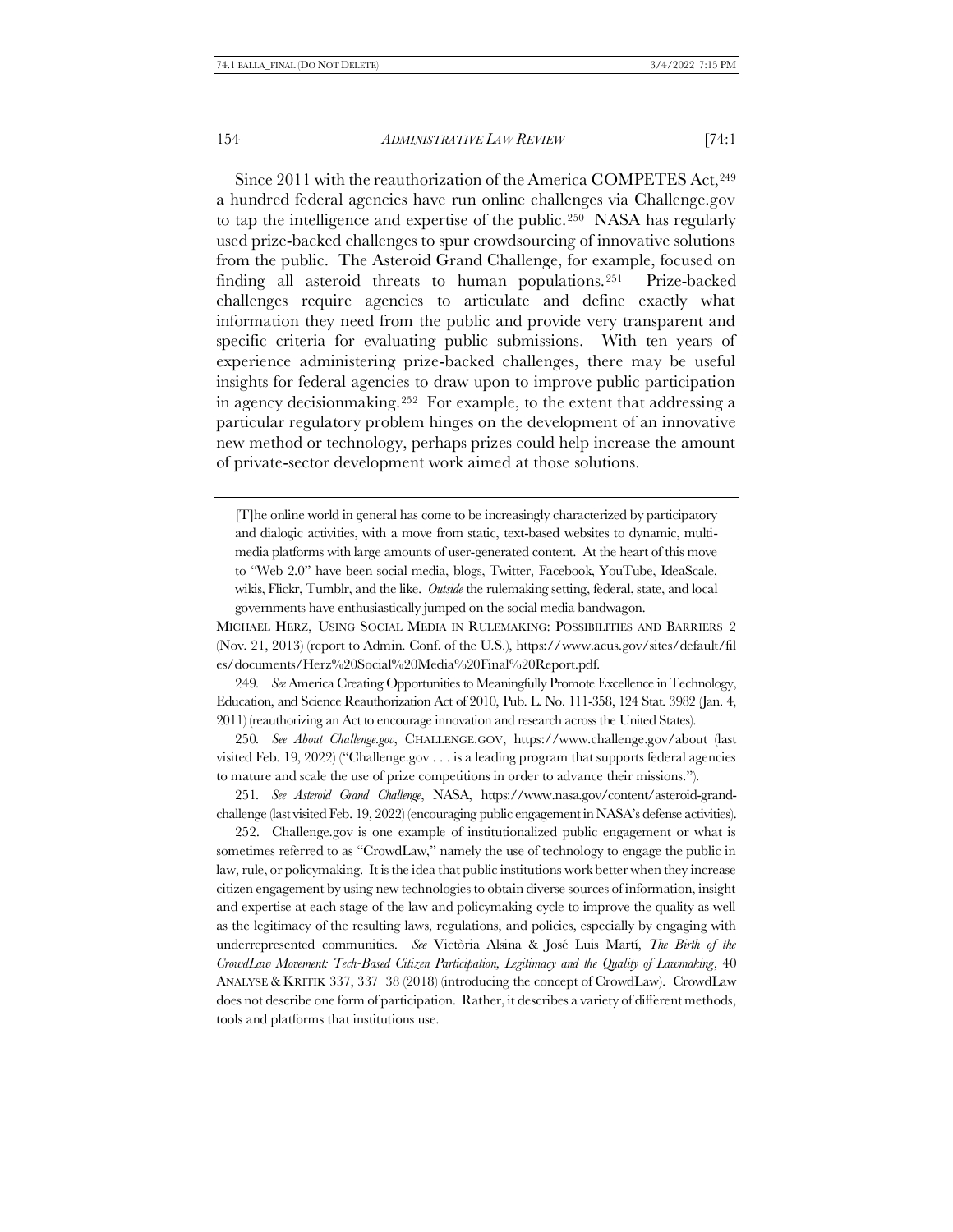Since 2011 with the reauthorization of the America COMPETES Act, 249 a hundred federal agencies have run online challenges via Challenge.gov to tap the intelligence and expertise of the public.250 NASA has regularly used prize-backed challenges to spur crowdsourcing of innovative solutions from the public. The Asteroid Grand Challenge, for example, focused on finding all asteroid threats to human populations.251 Prize-backed challenges require agencies to articulate and define exactly what information they need from the public and provide very transparent and specific criteria for evaluating public submissions. With ten years of experience administering prize-backed challenges, there may be useful insights for federal agencies to draw upon to improve public participation in agency decisionmaking.252 For example, to the extent that addressing a particular regulatory problem hinges on the development of an innovative new method or technology, perhaps prizes could help increase the amount of private-sector development work aimed at those solutions.

[T]he online world in general has come to be increasingly characterized by participatory and dialogic activities, with a move from static, text-based websites to dynamic, multimedia platforms with large amounts of user-generated content. At the heart of this move to "Web 2.0" have been social media, blogs, Twitter, Facebook, YouTube, IdeaScale, wikis, Flickr, Tumblr, and the like. *Outside* the rulemaking setting, federal, state, and local governments have enthusiastically jumped on the social media bandwagon.

MICHAEL HERZ, USING SOCIAL MEDIA IN RULEMAKING: POSSIBILITIES AND BARRIERS 2 (Nov. 21, 2013) (report to Admin. Conf. of the U.S.), https://www.acus.gov/sites/default/fil es/documents/Herz%20Social%20Media%20Final%20Report.pdf.

249*. See* America Creating Opportunities to Meaningfully Promote Excellence in Technology, Education, and Science Reauthorization Act of 2010, Pub. L. No. 111-358, 124 Stat. 3982 (Jan. 4, 2011) (reauthorizing an Act to encourage innovation and research across the United States).

250*. See About Challenge.gov*, CHALLENGE.GOV, https://www.challenge.gov/about (last visited Feb. 19, 2022) ("Challenge.gov . . . is a leading program that supports federal agencies to mature and scale the use of prize competitions in order to advance their missions.").

251*. See Asteroid Grand Challenge*, NASA, https://www.nasa.gov/content/asteroid-grandchallenge (last visited Feb. 19, 2022) (encouraging public engagement in NASA's defense activities).

252. Challenge.gov is one example of institutionalized public engagement or what is sometimes referred to as "CrowdLaw," namely the use of technology to engage the public in law, rule, or policymaking. It is the idea that public institutions work better when they increase citizen engagement by using new technologies to obtain diverse sources of information, insight and expertise at each stage of the law and policymaking cycle to improve the quality as well as the legitimacy of the resulting laws, regulations, and policies, especially by engaging with underrepresented communities. *See* Victòria Alsina & José Luis Martí, *The Birth of the CrowdLaw Movement: Tech-Based Citizen Participation, Legitimacy and the Quality of Lawmaking*, 40 ANALYSE & KRITIK 337, 337–38 (2018) (introducing the concept of CrowdLaw). CrowdLaw does not describe one form of participation. Rather, it describes a variety of different methods, tools and platforms that institutions use.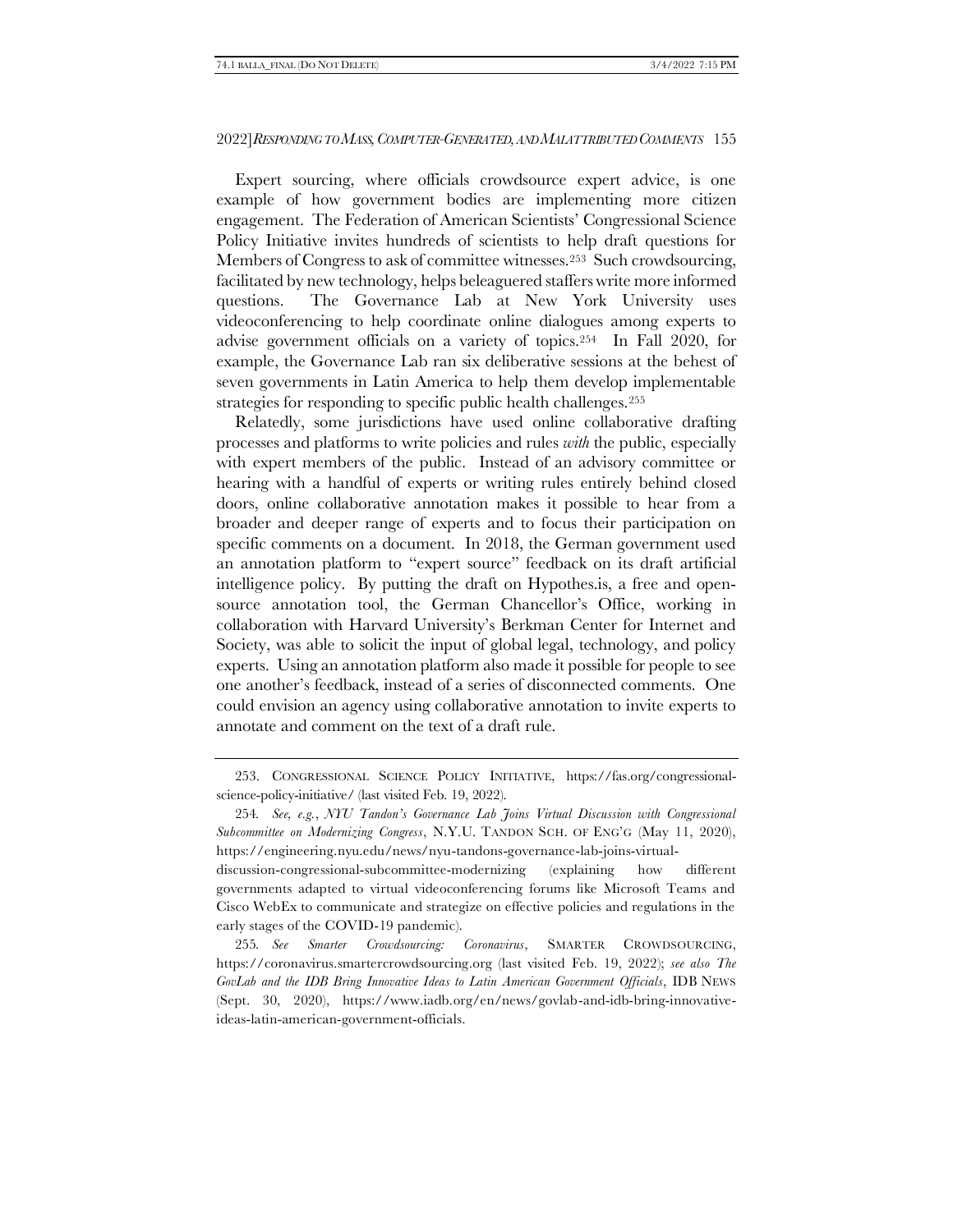Expert sourcing, where officials crowdsource expert advice, is one example of how government bodies are implementing more citizen engagement. The Federation of American Scientists' Congressional Science Policy Initiative invites hundreds of scientists to help draft questions for Members of Congress to ask of committee witnesses.253 Such crowdsourcing, facilitated by new technology, helps beleaguered staffers write more informed questions. The Governance Lab at New York University uses videoconferencing to help coordinate online dialogues among experts to advise government officials on a variety of topics.254 In Fall 2020, for example, the Governance Lab ran six deliberative sessions at the behest of seven governments in Latin America to help them develop implementable strategies for responding to specific public health challenges.<sup>255</sup>

Relatedly, some jurisdictions have used online collaborative drafting processes and platforms to write policies and rules *with* the public, especially with expert members of the public. Instead of an advisory committee or hearing with a handful of experts or writing rules entirely behind closed doors, online collaborative annotation makes it possible to hear from a broader and deeper range of experts and to focus their participation on specific comments on a document. In 2018, the German government used an annotation platform to "expert source" feedback on its draft artificial intelligence policy. By putting the draft on Hypothes.is, a free and opensource annotation tool, the German Chancellor's Office, working in collaboration with Harvard University's Berkman Center for Internet and Society, was able to solicit the input of global legal, technology, and policy experts. Using an annotation platform also made it possible for people to see one another's feedback, instead of a series of disconnected comments. One could envision an agency using collaborative annotation to invite experts to annotate and comment on the text of a draft rule.

255*. See Smarter Crowdsourcing: Coronavirus*, SMARTER CROWDSOURCING, https://coronavirus.smartercrowdsourcing.org (last visited Feb. 19, 2022); *see also The GovLab and the IDB Bring Innovative Ideas to Latin American Government Officials*, IDB NEWS (Sept. 30, 2020), https://www.iadb.org/en/news/govlab-and-idb-bring-innovativeideas-latin-american-government-officials.

<sup>253.</sup> CONGRESSIONAL SCIENCE POLICY INITIATIVE, https://fas.org/congressionalscience-policy-initiative/ (last visited Feb. 19, 2022).

<sup>254</sup>*. See, e.g.*, *NYU Tandon's Governance Lab Joins Virtual Discussion with Congressional Subcommittee on Modernizing Congress*, N.Y.U. TANDON SCH. OF ENG'G (May 11, 2020), https://engineering.nyu.edu/news/nyu-tandons-governance-lab-joins-virtualdiscussion-congressional-subcommittee-modernizing (explaining how different governments adapted to virtual videoconferencing forums like Microsoft Teams and Cisco WebEx to communicate and strategize on effective policies and regulations in the early stages of the COVID-19 pandemic).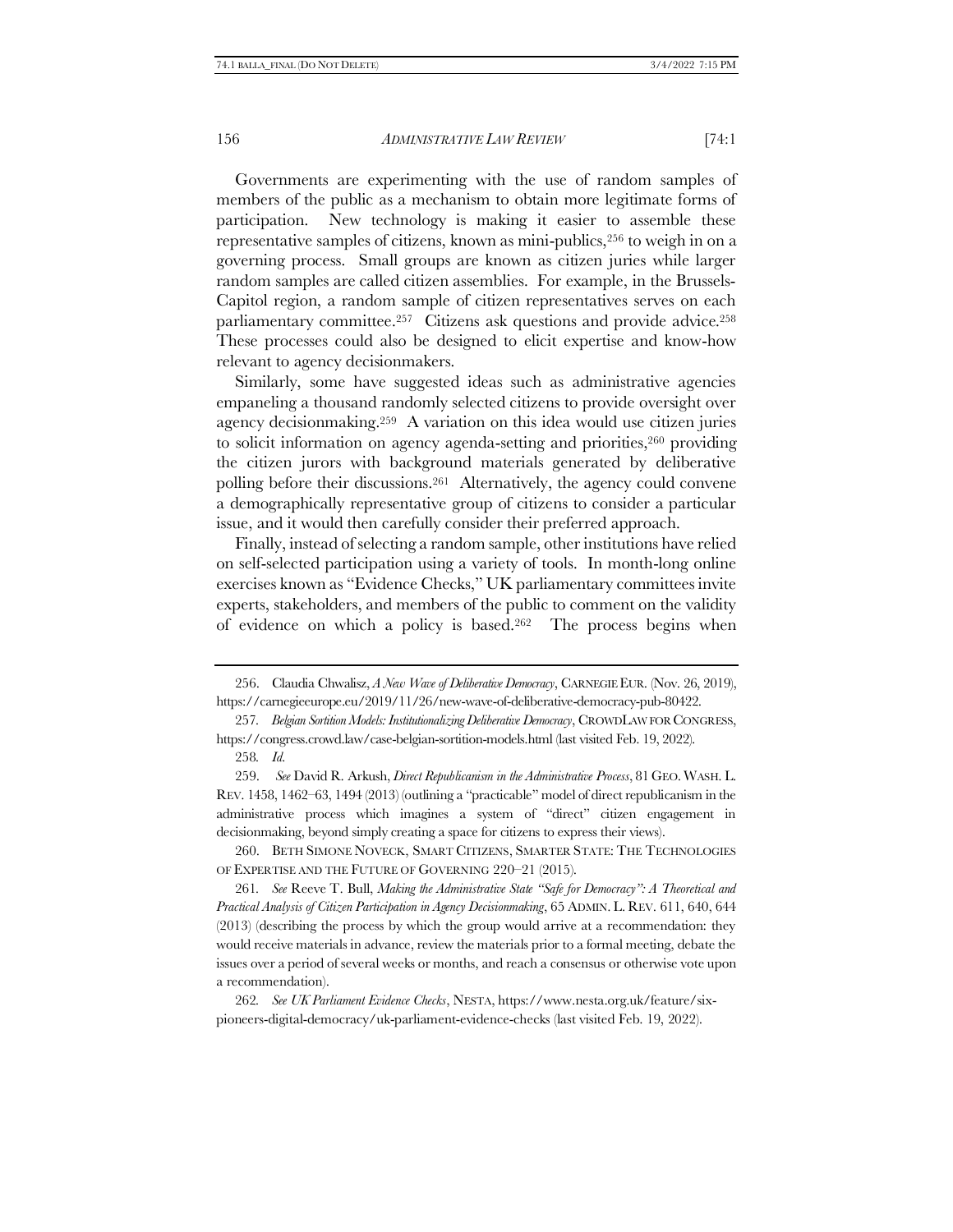Governments are experimenting with the use of random samples of members of the public as a mechanism to obtain more legitimate forms of participation. New technology is making it easier to assemble these representative samples of citizens, known as mini-publics,<sup>256</sup> to weigh in on a governing process. Small groups are known as citizen juries while larger random samples are called citizen assemblies. For example, in the Brussels-Capitol region, a random sample of citizen representatives serves on each parliamentary committee.<sup>257</sup> Citizens ask questions and provide advice.<sup>258</sup> These processes could also be designed to elicit expertise and know-how relevant to agency decisionmakers.

Similarly, some have suggested ideas such as administrative agencies empaneling a thousand randomly selected citizens to provide oversight over agency decisionmaking.259 A variation on this idea would use citizen juries to solicit information on agency agenda-setting and priorities,<sup>260</sup> providing the citizen jurors with background materials generated by deliberative polling before their discussions.261 Alternatively, the agency could convene a demographically representative group of citizens to consider a particular issue, and it would then carefully consider their preferred approach.

Finally, instead of selecting a random sample, other institutions have relied on self-selected participation using a variety of tools. In month-long online exercises known as "Evidence Checks," UK parliamentary committees invite experts, stakeholders, and members of the public to comment on the validity of evidence on which a policy is based.262 The process begins when

260. BETH SIMONE NOVECK, SMART CITIZENS, SMARTER STATE: THE TECHNOLOGIES OF EXPERTISE AND THE FUTURE OF GOVERNING 220–21 (2015).

261*. See* Reeve T. Bull, *Making the Administrative State "Safe for Democracy": A Theoretical and Practical Analysis of Citizen Participation in Agency Decisionmaking*, 65 ADMIN. L. REV. 611, 640, 644 (2013) (describing the process by which the group would arrive at a recommendation: they would receive materials in advance, review the materials prior to a formal meeting, debate the issues over a period of several weeks or months, and reach a consensus or otherwise vote upon a recommendation).

262*. See UK Parliament Evidence Checks*, NESTA, https://www.nesta.org.uk/feature/sixpioneers-digital-democracy/uk-parliament-evidence-checks (last visited Feb. 19, 2022).

<sup>256.</sup> Claudia Chwalisz, *A New Wave of Deliberative Democracy*, CARNEGIE EUR. (Nov. 26, 2019), https://carnegieeurope.eu/2019/11/26/new-wave-of-deliberative-democracy-pub-80422.

<sup>257</sup>*. Belgian Sortition Models: Institutionalizing Deliberative Democracy*, CROWDLAW FOR CONGRESS, https://congress.crowd.law/case-belgian-sortition-models.html (last visited Feb. 19, 2022).

<sup>258</sup>*. Id.* 

<sup>259.</sup> *See* David R. Arkush, *Direct Republicanism in the Administrative Process*, 81 GEO. WASH. L. REV. 1458, 1462–63, 1494 (2013) (outlining a "practicable" model of direct republicanism in the administrative process which imagines a system of "direct" citizen engagement in decisionmaking, beyond simply creating a space for citizens to express their views).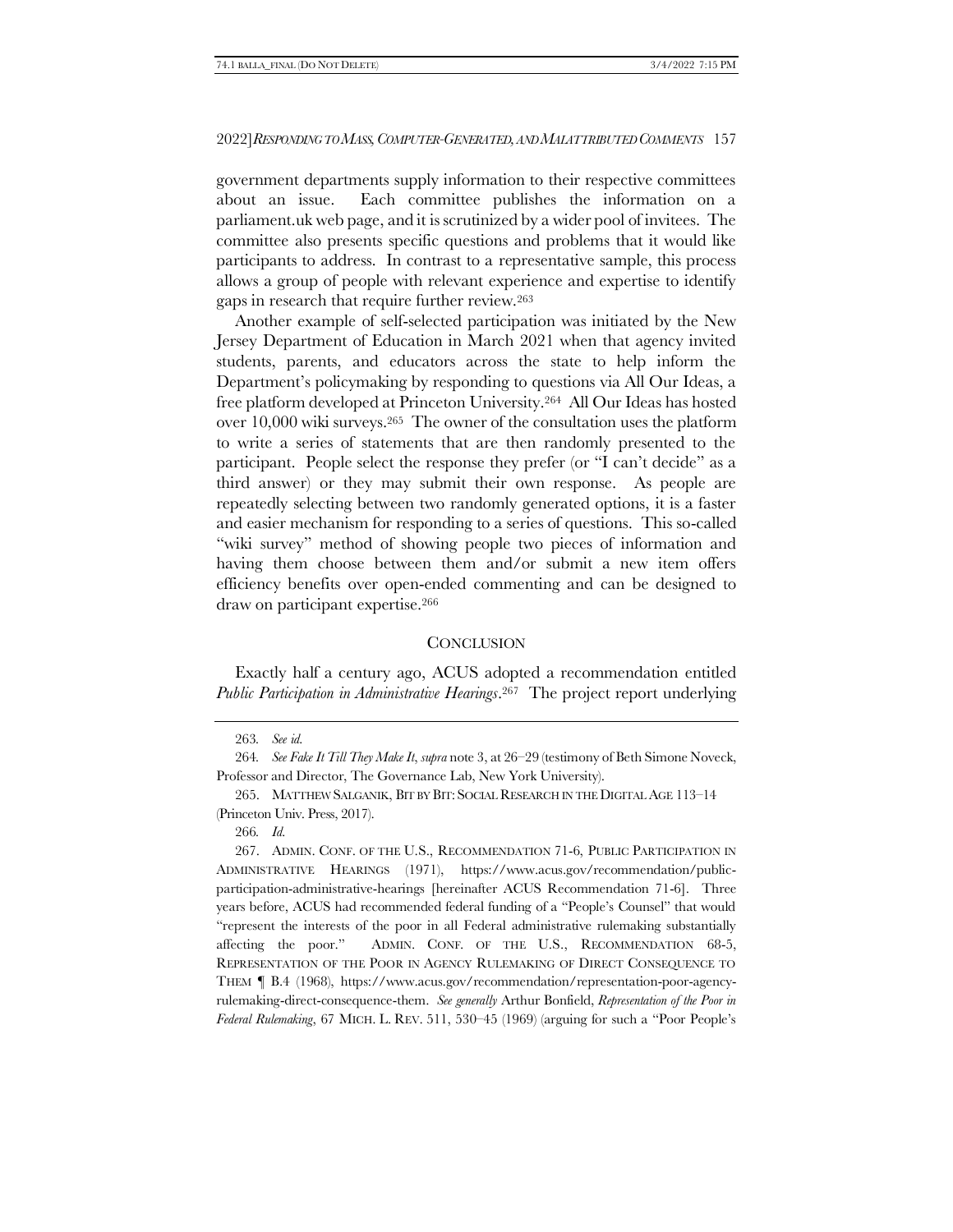government departments supply information to their respective committees about an issue. Each committee publishes the information on a parliament.uk web page, and it is scrutinized by a wider pool of invitees. The committee also presents specific questions and problems that it would like participants to address. In contrast to a representative sample, this process allows a group of people with relevant experience and expertise to identify gaps in research that require further review.<sup>263</sup>

Another example of self-selected participation was initiated by the New Jersey Department of Education in March 2021 when that agency invited students, parents, and educators across the state to help inform the Department's policymaking by responding to questions via All Our Ideas, a free platform developed at Princeton University.264 All Our Ideas has hosted over 10,000 wiki surveys. <sup>265</sup> The owner of the consultation uses the platform to write a series of statements that are then randomly presented to the participant. People select the response they prefer (or "I can't decide" as a third answer) or they may submit their own response. As people are repeatedly selecting between two randomly generated options, it is a faster and easier mechanism for responding to a series of questions. This so-called "wiki survey" method of showing people two pieces of information and having them choose between them and/or submit a new item offers efficiency benefits over open-ended commenting and can be designed to draw on participant expertise.<sup>266</sup>

#### <span id="page-62-0"></span>**CONCLUSION**

Exactly half a century ago, ACUS adopted a recommendation entitled *Public Participation in Administrative Hearings*. <sup>267</sup> The project report underlying

<sup>263</sup>*. See id.*

<sup>264</sup>*. See Fake It Till They Make It*, *supra* not[e 3,](#page-2-1) at 26–29 (testimony of Beth Simone Noveck, Professor and Director, The Governance Lab, New York University).

<sup>265.</sup> MATTHEW SALGANIK, BIT BY BIT: SOCIAL RESEARCH IN THE DIGITAL AGE 113–14 (Princeton Univ. Press, 2017).

<sup>266</sup>*. Id.*

<sup>267.</sup> ADMIN. CONF. OF THE U.S., RECOMMENDATION 71-6, PUBLIC PARTICIPATION IN ADMINISTRATIVE HEARINGS (1971), https://www.acus.gov/recommendation/publicparticipation-administrative-hearings [hereinafter ACUS Recommendation 71-6]. Three years before, ACUS had recommended federal funding of a "People's Counsel" that would "represent the interests of the poor in all Federal administrative rulemaking substantially affecting the poor." ADMIN. CONF. OF THE U.S., RECOMMENDATION 68-5, REPRESENTATION OF THE POOR IN AGENCY RULEMAKING OF DIRECT CONSEQUENCE TO THEM ¶ B.4 (1968), https://www.acus.gov/recommendation/representation-poor-agencyrulemaking-direct-consequence-them. *See generally* Arthur Bonfield, *Representation of the Poor in Federal Rulemaking*, 67 MICH. L. REV. 511, 530–45 (1969) (arguing for such a "Poor People's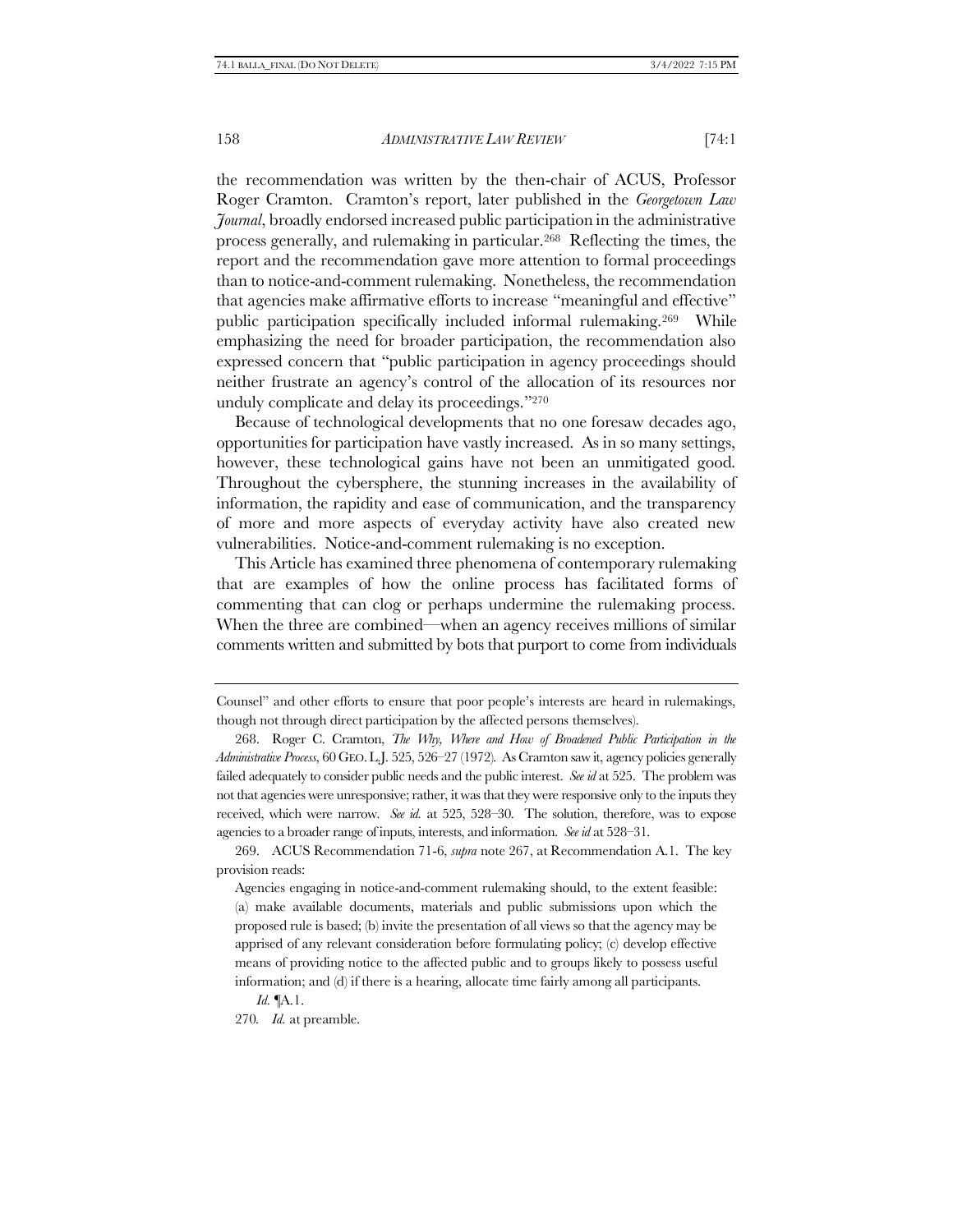the recommendation was written by the then-chair of ACUS, Professor Roger Cramton. Cramton's report, later published in the *Georgetown Law Journal*, broadly endorsed increased public participation in the administrative process generally, and rulemaking in particular.268 Reflecting the times, the report and the recommendation gave more attention to formal proceedings than to notice-and-comment rulemaking. Nonetheless, the recommendation that agencies make affirmative efforts to increase "meaningful and effective" public participation specifically included informal rulemaking.269 While emphasizing the need for broader participation, the recommendation also expressed concern that "public participation in agency proceedings should neither frustrate an agency's control of the allocation of its resources nor unduly complicate and delay its proceedings."<sup>270</sup>

Because of technological developments that no one foresaw decades ago, opportunities for participation have vastly increased. As in so many settings, however, these technological gains have not been an unmitigated good. Throughout the cybersphere, the stunning increases in the availability of information, the rapidity and ease of communication, and the transparency of more and more aspects of everyday activity have also created new vulnerabilities. Notice-and-comment rulemaking is no exception.

This Article has examined three phenomena of contemporary rulemaking that are examples of how the online process has facilitated forms of commenting that can clog or perhaps undermine the rulemaking process. When the three are combined—when an agency receives millions of similar comments written and submitted by bots that purport to come from individuals

269. ACUS Recommendation 71-6, *supra* note [267,](#page-62-0) at Recommendation A.1. The key provision reads:

Agencies engaging in notice-and-comment rulemaking should, to the extent feasible: (a) make available documents, materials and public submissions upon which the proposed rule is based; (b) invite the presentation of all views so that the agency may be apprised of any relevant consideration before formulating policy; (c) develop effective means of providing notice to the affected public and to groups likely to possess useful information; and (d) if there is a hearing, allocate time fairly among all participants.

*Id.* ¶A.1.

270*. Id.* at preamble.

Counsel" and other efforts to ensure that poor people's interests are heard in rulemakings, though not through direct participation by the affected persons themselves).

<sup>268.</sup> Roger C. Cramton, *The Why, Where and How of Broadened Public Participation in the Administrative Process*, 60 GEO.L.J. 525, 526–27 (1972). As Cramton saw it, agency policies generally failed adequately to consider public needs and the public interest. *See id* at 525. The problem was not that agencies were unresponsive; rather, it was that they were responsive only to the inputs they received, which were narrow. *See id.* at 525, 528–30. The solution, therefore, was to expose agencies to a broader range of inputs, interests, and information. *See id* at 528–31.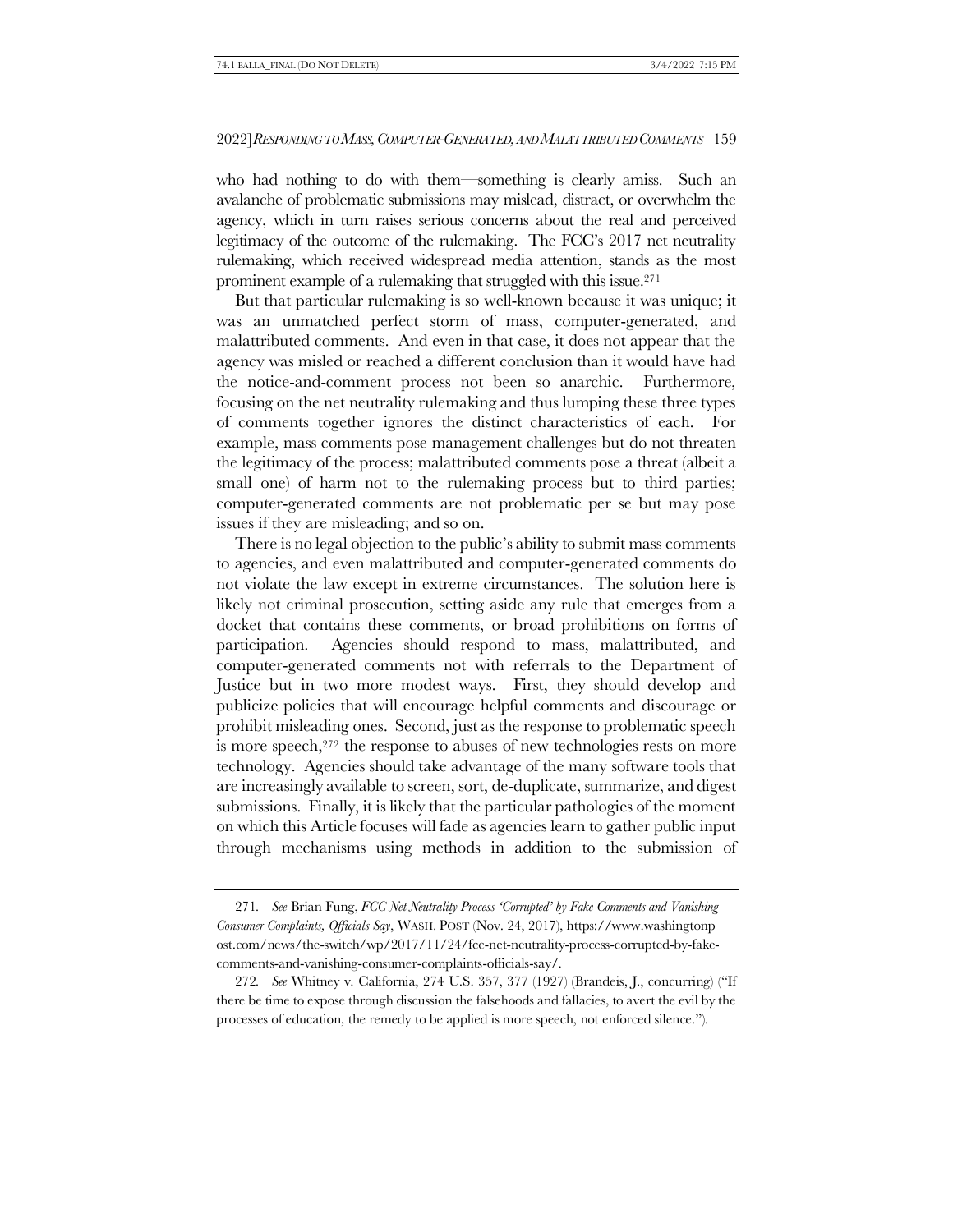who had nothing to do with them—something is clearly amiss. Such an avalanche of problematic submissions may mislead, distract, or overwhelm the agency, which in turn raises serious concerns about the real and perceived legitimacy of the outcome of the rulemaking. The FCC's 2017 net neutrality rulemaking, which received widespread media attention, stands as the most prominent example of a rulemaking that struggled with this issue.<sup>271</sup>

But that particular rulemaking is so well-known because it was unique; it was an unmatched perfect storm of mass, computer-generated, and malattributed comments. And even in that case, it does not appear that the agency was misled or reached a different conclusion than it would have had the notice-and-comment process not been so anarchic. Furthermore, focusing on the net neutrality rulemaking and thus lumping these three types of comments together ignores the distinct characteristics of each. For example, mass comments pose management challenges but do not threaten the legitimacy of the process; malattributed comments pose a threat (albeit a small one) of harm not to the rulemaking process but to third parties; computer-generated comments are not problematic per se but may pose issues if they are misleading; and so on.

There is no legal objection to the public's ability to submit mass comments to agencies, and even malattributed and computer-generated comments do not violate the law except in extreme circumstances. The solution here is likely not criminal prosecution, setting aside any rule that emerges from a docket that contains these comments, or broad prohibitions on forms of participation. Agencies should respond to mass, malattributed, and computer-generated comments not with referrals to the Department of Justice but in two more modest ways. First, they should develop and publicize policies that will encourage helpful comments and discourage or prohibit misleading ones. Second, just as the response to problematic speech is more speech,<sup>272</sup> the response to abuses of new technologies rests on more technology. Agencies should take advantage of the many software tools that are increasingly available to screen, sort, de-duplicate, summarize, and digest submissions. Finally, it is likely that the particular pathologies of the moment on which this Article focuses will fade as agencies learn to gather public input through mechanisms using methods in addition to the submission of

<sup>271</sup>*. See* Brian Fung, *FCC Net Neutrality Process 'Corrupted' by Fake Comments and Vanishing Consumer Complaints, Officials Say*, WASH. POST (Nov. 24, 2017), https://www.washingtonp ost.com/news/the-switch/wp/2017/11/24/fcc-net-neutrality-process-corrupted-by-fakecomments-and-vanishing-consumer-complaints-officials-say/.

<sup>272</sup>*. See* Whitney v. California, 274 U.S. 357, 377 (1927) (Brandeis, J., concurring) ("If there be time to expose through discussion the falsehoods and fallacies, to avert the evil by the processes of education, the remedy to be applied is more speech, not enforced silence.").